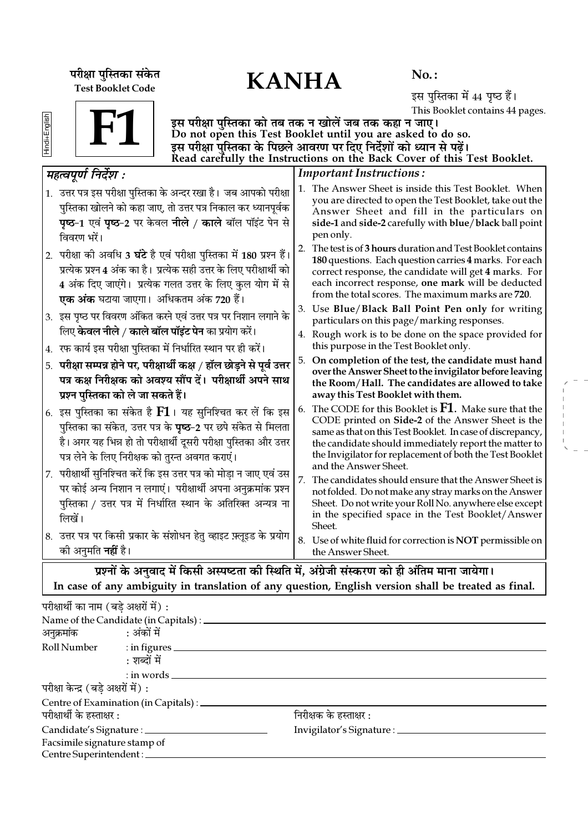परीक्षा पुस्तिका संकेत $\mathbf{KANHA}$ Test Booklet Code

No. :

इस पुस्तिका में 44 पृष्ठ हैं। This Booklet contains 44 pages.

| S.     |  |
|--------|--|
| c      |  |
| Ŧ<br>= |  |
|        |  |



इस परीक्षा पुस्तिका को तब तक न खोलें जब तक कहा न जाए। Do not open this Test Booklet until you are asked to do so. इस परीक्षा पुस्तिका के पिछले आवरण पर दिए निर्देशों को ध्यान से पढ़ें। Read carefully the Instructions on the Back Cover of this Test Booklet.

| महत्वपूर्ण निर्देश :                                                                                                                                                                                                                                                         | <b>Important Instructions:</b>                                                                                                                                                                                                                                                                                          |  |  |  |  |  |
|------------------------------------------------------------------------------------------------------------------------------------------------------------------------------------------------------------------------------------------------------------------------------|-------------------------------------------------------------------------------------------------------------------------------------------------------------------------------------------------------------------------------------------------------------------------------------------------------------------------|--|--|--|--|--|
| 1. उत्तर पत्र इस परीक्षा पुस्तिका के अन्दर रखा है। जब आपको परीक्षा<br>पुस्तिका खोलने को कहा जाए, तो उत्तर पत्र निकाल कर ध्यानपूर्वक<br><b>पृष्ठ-1</b> एवं <b>पृष्ठ-2</b> पर केवल <b>नीले / काले</b> बॉल पॉइंट पेन से<br>विवरण भरें।                                          | 1. The Answer Sheet is inside this Test Booklet. When<br>you are directed to open the Test Booklet, take out the<br>Answer Sheet and fill in the particulars on<br>side-1 and side-2 carefully with blue/black ball point<br>pen only.                                                                                  |  |  |  |  |  |
| 2.  परीक्षा की अवधि 3 <b>घंटे</b> है एवं परीक्षा पुस्तिका में 180 प्रश्न हैं।<br>प्रत्येक प्रश्न 4 अंक का है। प्रत्येक सही उत्तर के लिए परीक्षार्थी को<br>4 अंक दिए जाएंगे। प्रत्येक गलत उत्तर के लिए कुल योग में से<br><b>एक अंक</b> घटाया जाएगा।  अधिकतम अंक 720 हैं।      | The test is of 3 hours duration and Test Booklet contains<br>2.<br>180 questions. Each question carries 4 marks. For each<br>correct response, the candidate will get 4 marks. For<br>each incorrect response, one mark will be deducted<br>from the total scores. The maximum marks are 720.                           |  |  |  |  |  |
| 3. इस पृष्ठ पर विवरण अंकित करने एवं उत्तर पत्र पर निशान लगाने के<br>लिए <b>केवल नीले / काले बॉल पॉइंट पेन</b> का प्रयोग करें।<br>4. रफ कार्य इस परीक्षा पुस्तिका में निर्धारित स्थान पर ही करें।                                                                             | 3. Use Blue/Black Ball Point Pen only for writing<br>particulars on this page/marking responses.<br>4. Rough work is to be done on the space provided for<br>this purpose in the Test Booklet only.                                                                                                                     |  |  |  |  |  |
| परीक्षा सम्पन्न होने पर, परीक्षार्थी कक्ष / हॉल छोड़ने से पूर्व उत्तर<br>5.<br>पत्र कक्ष निरीक्षक को अवश्य सौंप दें। परीक्षार्थी अपने साथ<br>प्रश्न पुस्तिका को ले जा सकते हैं।                                                                                              | On completion of the test, the candidate must hand<br>5.<br>over the Answer Sheet to the invigilator before leaving<br>the Room/Hall. The candidates are allowed to take<br>away this Test Booklet with them.                                                                                                           |  |  |  |  |  |
| $\vert$ 6. इस पुस्तिका का संकेत है ${\bf F1}$ । यह सुनिश्चित कर लें कि इस<br>पुस्तिका का संकेत, उत्तर पत्र के <b>पृष्ठ</b> –2 पर छपे संकेत से मिलता<br>है। अगर यह भिन्न हो तो परीक्षार्थी दूसरी परीक्षा पुस्तिका और उत्तर<br>पत्र लेने के लिए निरीक्षक को तुरन्त अवगत कराएं। | The CODE for this Booklet is $F1$ . Make sure that the<br>CODE printed on Side-2 of the Answer Sheet is the<br>same as that on this Test Booklet. In case of discrepancy,<br>the candidate should immediately report the matter to<br>the Invigilator for replacement of both the Test Booklet<br>and the Answer Sheet. |  |  |  |  |  |
| 7. परीक्षार्थी सुनिश्चित करें कि इस उत्तर पत्र को मोड़ा न जाए एवं उस<br>पर कोई अन्य निशान न लगाएं। परीक्षार्थी अपना अनुक्रमांक प्रश्न<br>पुस्तिका / उत्तर पत्र में निर्धारित स्थान के अतिरिक्त अन्यत्र ना<br>लिखें।                                                          | 7.<br>The candidates should ensure that the Answer Sheet is<br>not folded. Do not make any stray marks on the Answer<br>Sheet. Do not write your Roll No. anywhere else except<br>in the specified space in the Test Booklet/Answer<br>Sheet.                                                                           |  |  |  |  |  |
| 8. उत्तर पत्र पर किसी प्रकार के संशोधन हेतु व्हाइट फ़्लूइड के प्रयोग<br>को अनुमति <b>नहीं</b> है।                                                                                                                                                                            | 8. Use of white fluid for correction is NOT permissible on<br>the Answer Sheet.                                                                                                                                                                                                                                         |  |  |  |  |  |
| प्रश्नों के अनुवाद में किसी अस्पष्टता की स्थिति में, अंग्रेजी संस्करण को ही अंतिम माना जायेगा।                                                                                                                                                                               |                                                                                                                                                                                                                                                                                                                         |  |  |  |  |  |

In case of any ambiguity in translation of any question, English version shall be treated as final.

| परीक्षार्थी का नाम (बडे अक्षरों में) : |                                                  |                                     |  |
|----------------------------------------|--------------------------------------------------|-------------------------------------|--|
|                                        |                                                  |                                     |  |
| अनुक्रमांक : अंकों में                 |                                                  |                                     |  |
|                                        | Roll Number : in figures                         |                                     |  |
|                                        | : शब्दों में                                     |                                     |  |
|                                        | $:$ in words $\_\_\_\_\_\_\_\_\_\_\_\_$          |                                     |  |
| परीक्षा केन्द्र (बडे अक्षरों में) :    |                                                  |                                     |  |
|                                        | Centre of Examination (in Capitals) : __________ |                                     |  |
| परीक्षार्थी के हस्ताक्षर :             |                                                  | निरीक्षक के हस्ताक्षर :             |  |
| Candidate's Signature : ______________ |                                                  | Invigilator's Signature : _________ |  |
| Facsimile signature stamp of           |                                                  |                                     |  |
|                                        | Centre Superintendent :                          |                                     |  |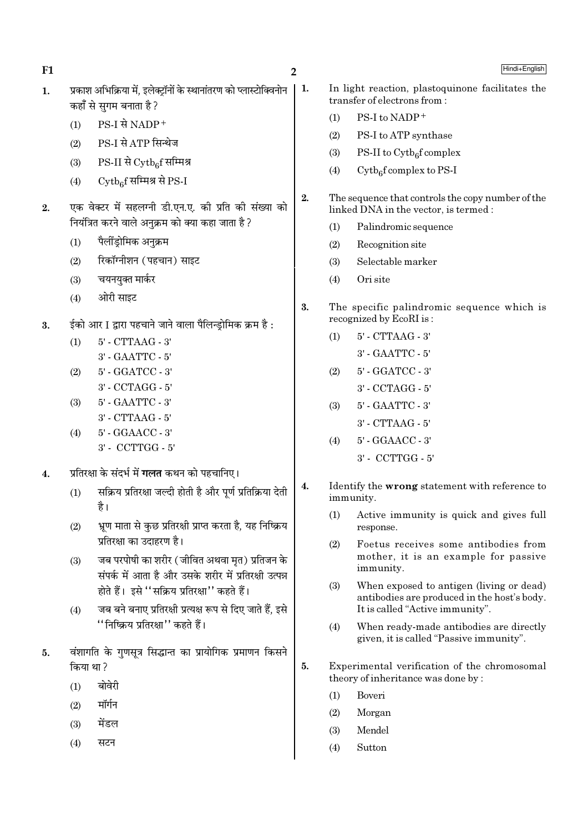$\mathbf{1}$ .

- प्रकाश अभिक्रिया में. इलेक्टॉनों के स्थानांतरण को प्लास्टोक्विनोन कहाँ से सगम बनाता है ?
	- PS-I से NADP+  $(1)$
	- PS-I से ATP सिन्थेज  $(2)$
	- $PS-II$  से  $\mathrm{Cytb}_{\alpha}$ f सम्मिश्र  $(3)$
	- $\mathrm{Cytb}_\mathrm{e}$ f सम्मिश्र से PS-I  $(4)$
- एक वेक्टर में सहलग्नी डी.एन.ए. की प्रति की संख्या को  $2.$ नियंत्रित करने वाले अनक्रम को क्या कहा जाता है ?
	- पैलींड्रोमिक अनुक्रम  $(1)$
	- रिकॉग्नीशन (पहचान) साइट  $(2)$
	- चयनयक्त मार्कर  $(3)$
	- ओरी साइट  $(4)$
- ईको आर I द्वारा पहचाने जाने वाला पैलिन्डोमिक क्रम है:  $\overline{3}$ .
	- $5'$  CTTAAG  $3'$  $(1)$ 
		- 3' GAATTC 5'
	- 5' GGATCC 3'  $(2)$
	- 3' CCTAGG 5'
	- 5' GAATTC 3'  $(3)$ 
		- 3' CTTAAG 5'
	- 5' GGAACC 3'  $(4)$ 3' - CCTTGG - 5'
- प्रतिरक्षा के संदर्भ में **गलत** कथन को पहचानिए।  $\overline{4}$ .
	- सक्रिय प्रतिरक्षा जल्दी होती है और पूर्ण प्रतिक्रिया देती  $(1)$ है।
	- भ्रण माता से कुछ प्रतिरक्षी प्राप्त करता है, यह निष्क्रिय  $(2)$ प्रतिरक्षा का उदाहरण है।
	- जब परपोषी का शरीर (जीवित अथवा मृत) प्रतिजन के  $(3)$ संपर्क में आता है और उसके शरीर में प्रतिरक्षी उत्पन्न होते हैं। इसे "सक्रिय प्रतिरक्षा" कहते हैं।
	- जब बने बनाए प्रतिरक्षी प्रत्यक्ष रूप से दिए जाते हैं. इसे  $(4)$ ''निष्क्रिय प्रतिरक्षा'' कहते हैं।
- वंशागति के गुणसूत्र सिद्धान्त का प्रायोगिक प्रमाणन किसने 5. किया था ?
	- बोवेरी  $(1)$
	- मॉर्गन  $(2)$
	- मेंडल  $(3)$
	- $(4)$ सटन

 $\overline{2}$ 

 $\vert$  1.

- Hindi+English
- In light reaction, plastoquinone facilitates the transfer of electrons from:
	- PS-I to NADP+  $(1)$
	- PS-I to ATP synthase  $(2)$
	- $(3)$ PS-II to  $\mathrm{Cytb}_{6}$ f complex
	- $Cytb<sub>6</sub>f complex to PS-I$  $(4)$
- $2.$ The sequence that controls the copy number of the linked DNA in the vector, is termed :
	- Palindromic sequence  $(1)$
	- $(2)$ Recognition site
	- Selectable marker  $(3)$
	- Ori site  $(4)$
- 3. The specific palindromic sequence which is recognized by EcoRI is:
	- $(1)$ 5' - CTTAAG - 3'
		- 3' GAATTC 5'
	- 5' GGATCC 3'  $(2)$ 
		- $3'$  CCTAGG  $5'$
	- 5' GAATTC 3'  $(3)$ 
		- 3' CTTAAG 5'
	- $(4)$ 5' - GGAACC - 3'
		- $3'$  CCTTGG  $5'$
- Identify the wrong statement with reference to  $\boldsymbol{4}$ . immunity.
	- $(1)$ Active immunity is quick and gives full response.
	- $(2)$ Foetus receives some antibodies from mother, it is an example for passive immunity.
	- When exposed to antigen (living or dead)  $(3)$ antibodies are produced in the host's body. It is called "Active immunity".
	- $(4)$ When ready-made antibodies are directly given, it is called "Passive immunity".
- 5. Experimental verification of the chromosomal theory of inheritance was done by:
	- $(1)$ Boveri
	- $(2)$ Morgan
	- Mendel  $(3)$
	- Sutton  $(4)$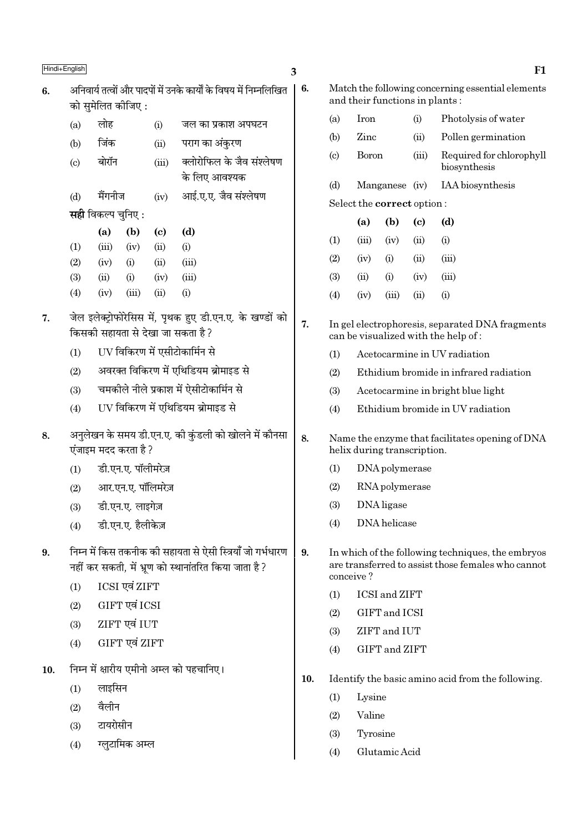|     | Hindi+English                                                                                                       |                                        |                    |                                     |                                                                   | 3                                                                              |                                                                                                                      |                |                                |                            | F1                                                                                     |  |  |
|-----|---------------------------------------------------------------------------------------------------------------------|----------------------------------------|--------------------|-------------------------------------|-------------------------------------------------------------------|--------------------------------------------------------------------------------|----------------------------------------------------------------------------------------------------------------------|----------------|--------------------------------|----------------------------|----------------------------------------------------------------------------------------|--|--|
| 6.  |                                                                                                                     | को सुमेलित कीजिए:                      |                    |                                     | अनिवार्य तत्वों और पादपों में उनके कार्यों के विषय में निम्नलिखित | 6.                                                                             |                                                                                                                      |                | and their functions in plants: |                            | Match the following concerning essential elements                                      |  |  |
|     | (a)                                                                                                                 | लोह                                    |                    | (i)                                 | जल का प्रकाश अपघटन                                                |                                                                                | (a)                                                                                                                  | Iron           |                                | (i)                        | Photolysis of water                                                                    |  |  |
|     | (b)                                                                                                                 | जिंक                                   |                    | (ii)                                | पराग का अंकुरण                                                    |                                                                                | (b)                                                                                                                  | Zinc           |                                | (ii)                       | Pollen germination                                                                     |  |  |
|     | (c)                                                                                                                 | बोरॉन                                  |                    | क्लोरोफिल के जैव संश्लेषण<br>(iii)  |                                                                   |                                                                                | (c)                                                                                                                  | <b>Boron</b>   |                                | (iii)                      | Required for chlorophyll<br>biosynthesis                                               |  |  |
|     |                                                                                                                     |                                        |                    |                                     | के लिए आवश्यक                                                     |                                                                                | (d)                                                                                                                  | Manganese (iv) |                                |                            | IAA biosynthesis                                                                       |  |  |
|     | (d)                                                                                                                 | मैंगनीज                                |                    | (iv)                                | आई.ए.ए. जैव संश्लेषण                                              |                                                                                |                                                                                                                      |                | Select the correct option:     |                            |                                                                                        |  |  |
|     |                                                                                                                     | <b>सही</b> विकल्प चुनिए :              |                    |                                     |                                                                   |                                                                                |                                                                                                                      | (a)            | (b)                            | $\left( \mathrm{e}\right)$ | (d)                                                                                    |  |  |
|     | (1)                                                                                                                 | (a)<br>(iii)                           | (b)<br>(iv)        | $\left( \mathbf{c} \right)$<br>(ii) | (d)<br>(i)                                                        |                                                                                | (1)                                                                                                                  | (iii)          | (iv)                           | (ii)                       | (i)                                                                                    |  |  |
|     | (2)                                                                                                                 | (iv)                                   | (i)                | (ii)                                | (iii)                                                             |                                                                                | (2)                                                                                                                  | (iv)           | (i)                            | (ii)                       | (iii)                                                                                  |  |  |
|     | (3)                                                                                                                 | (ii)                                   | (i)                | (iv)                                | (iii)                                                             |                                                                                | (3)                                                                                                                  | (ii)           | (i)                            | (iv)                       | (iii)                                                                                  |  |  |
|     | (4)                                                                                                                 | (iv)                                   | (iii)              | (ii)                                | (i)                                                               |                                                                                | (4)                                                                                                                  | (iv)           | (iii)                          | (ii)                       | (i)                                                                                    |  |  |
| 7.  | जेल इलेक्ट्रोफोरेसिस में, पृथक हुए डी.एन.ए. के खण्डों को<br>किसकी सहायता से देखा जा सकता है ?                       |                                        |                    |                                     |                                                                   | 7.                                                                             |                                                                                                                      |                |                                |                            | In gel electrophoresis, separated DNA fragments<br>can be visualized with the help of: |  |  |
|     | (1)                                                                                                                 | UV विकिरण में एसीटोकार्मिन से          |                    |                                     |                                                                   |                                                                                | (1)                                                                                                                  |                |                                |                            | Acetocarmine in UV radiation                                                           |  |  |
|     | (2)                                                                                                                 |                                        |                    |                                     | अवरक्त विकिरण में एथिडियम ब्रोमाइड से                             |                                                                                | (2)                                                                                                                  |                |                                |                            | Ethidium bromide in infrared radiation                                                 |  |  |
|     | (3)                                                                                                                 | चमकोले नीले प्रकाश में ऐसीटोकार्मिन से |                    |                                     |                                                                   |                                                                                | (3)                                                                                                                  |                |                                |                            | Acetocarmine in bright blue light                                                      |  |  |
|     | (4)                                                                                                                 | UV विकिरण में एथिडियम ब्रोमाइड से      |                    |                                     |                                                                   |                                                                                | (4)                                                                                                                  |                |                                |                            | Ethidium bromide in UV radiation                                                       |  |  |
| 8.  | अनुलेखन के समय डी.एन.ए. की कुंडली को खोलने में कौनसा<br>एंजाइम मदद करता है ?                                        |                                        |                    |                                     | 8.                                                                | Name the enzyme that facilitates opening of DNA<br>helix during transcription. |                                                                                                                      |                |                                |                            |                                                                                        |  |  |
|     | (1)                                                                                                                 |                                        | डी.एन.ए. पॉलीमरेज़ |                                     |                                                                   |                                                                                | (1)<br>DNA polymerase                                                                                                |                |                                |                            |                                                                                        |  |  |
|     | (2)                                                                                                                 |                                        | आर.एन.ए. पॉलिमरेज़ |                                     |                                                                   |                                                                                | (2)                                                                                                                  | RNA polymerase |                                |                            |                                                                                        |  |  |
|     | (3)                                                                                                                 |                                        | डी.एन.ए. लाइगेज़   |                                     |                                                                   |                                                                                | (3)                                                                                                                  | DNA ligase     |                                |                            |                                                                                        |  |  |
|     | (4)                                                                                                                 |                                        | डी.एन.ए. हैलीकेज़  |                                     |                                                                   |                                                                                | (4)                                                                                                                  |                | DNA helicase                   |                            |                                                                                        |  |  |
| 9.  | निम्न में किस तकनीक की सहायता से ऐसी स्त्रियाँ जो गर्भधारण<br>नहीं कर सकती, में भ्रूण को स्थानांतरित किया जाता है ? |                                        |                    |                                     |                                                                   | 9.                                                                             | In which of the following techniques, the embryos<br>are transferred to assist those females who cannot<br>conceive? |                |                                |                            |                                                                                        |  |  |
|     | (1)                                                                                                                 |                                        | ICSI एवं ZIFT      |                                     |                                                                   |                                                                                | (1)                                                                                                                  |                | <b>ICSI</b> and <b>ZIFT</b>    |                            |                                                                                        |  |  |
|     | (2)                                                                                                                 |                                        | GIFT एवं ICSI      |                                     |                                                                   |                                                                                | (2)                                                                                                                  |                | GIFT and ICSI                  |                            |                                                                                        |  |  |
|     | (3)                                                                                                                 |                                        | ZIFT एवं IUT       |                                     |                                                                   |                                                                                | (3)                                                                                                                  |                | ZIFT and IUT                   |                            |                                                                                        |  |  |
|     | (4)                                                                                                                 |                                        | GIFT एवं ZIFT      |                                     |                                                                   |                                                                                | (4)                                                                                                                  |                | GIFT and ZIFT                  |                            |                                                                                        |  |  |
| 10. |                                                                                                                     |                                        |                    |                                     | निम्न में क्षारीय एमीनो अम्ल को पहचानिए।                          |                                                                                |                                                                                                                      |                |                                |                            |                                                                                        |  |  |
|     | (1)                                                                                                                 | लाइसिन                                 |                    |                                     |                                                                   | 10.                                                                            |                                                                                                                      |                |                                |                            | Identify the basic amino acid from the following.                                      |  |  |
|     | (2)                                                                                                                 | वैलीन                                  |                    |                                     |                                                                   |                                                                                | (1)                                                                                                                  | Lysine         |                                |                            |                                                                                        |  |  |
|     | (3)                                                                                                                 | टायरोसीन                               |                    |                                     |                                                                   |                                                                                | (2)                                                                                                                  | Valine         |                                |                            |                                                                                        |  |  |
|     | (4)                                                                                                                 |                                        | ग्लुटामिक अम्ल     |                                     |                                                                   |                                                                                | (3)                                                                                                                  | Tyrosine       |                                |                            |                                                                                        |  |  |
|     |                                                                                                                     |                                        |                    |                                     |                                                                   |                                                                                | (4)                                                                                                                  |                | Glutamic Acid                  |                            |                                                                                        |  |  |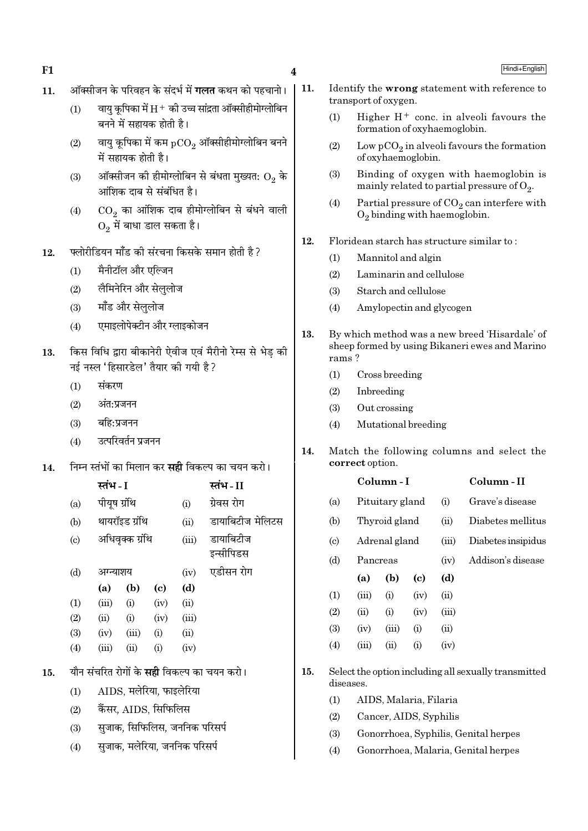- ऑक्सीजन के परिवहन के संदर्भ में **गलत** कथन को पहचानो। 11.
	- वाय कपिका में  $\rm H^+$  की उच्च सांद्रता ऑक्सीहीमोग्लोबिन  $(1)$ बनने में सहायक होती है।
	- वायु कूपिका में कम  $pCO<sub>2</sub>$  ऑक्सीहीमोग्लोबिन बनने  $(2)$ में सहायक होती है।
	- ऑक्सीजन की हीमोग्लोबिन से बंधता मुख्यत:  $\mathrm{O}_2$  के  $(3)$ आंशिक दाब से संबंधित है।
	- $CO<sub>2</sub>$  का आंशिक दाब हीमोग्लोबिन से बंधने वाली  $(4)$  $0, \vec{r}$  बाधा डाल सकता है।
- फ्लोरीडियन मॉॅंड की संरचना किसके समान होती है ? 12.
	- मैनीटॉल और एल्जिन  $(1)$
	- लैमिनेरिन और सेलुलोज  $(2)$
	- मॉॅंड और सेलुलोज  $(3)$
	- एमाइलोपेक्टीन और ग्लाइकोजन  $(4)$
- किस विधि द्वारा बीकानेरी ऐवीज एवं मैरीनो रेम्स से भेड की 13. नई नस्ल 'हिसारडेल' तैयार की गयी है ?
	- संकरण  $(1)$

- अंत:प्रजनन  $(2)$
- बहि:प्रजनन  $(3)$
- उत्परिवर्तन प्रजनन  $(4)$
- निम्न स्तंभों का मिलान कर **सद्दी** विकल्प का चयन करो। 14.

|                            | स्तभ - I     |                 |                            |       | स्तभ - II                                         |
|----------------------------|--------------|-----------------|----------------------------|-------|---------------------------------------------------|
| (a)                        | पीयूष ग्रंथि |                 |                            | (i)   | ग्रेवस रोग                                        |
| (b)                        |              | थायरॉइड ग्रंथि  |                            | (ii)  | डायाबिटीज मेलिटस                                  |
| $\left( \mathrm{c}\right)$ |              | अधिवृक्क ग्रंथि |                            | (iii) | डायाबिटीज<br>इन्सीपिडस                            |
| (d)                        | अग्न्याशय    |                 |                            | (iv)  | एडीसन रोग                                         |
|                            | (a)          | (b)             | $\left( \mathrm{e}\right)$ | (d)   |                                                   |
| (1)                        | (iii)        | (i)             | (iv)                       | (ii)  |                                                   |
| (2)                        | (ii)         | (i)             | (iv)                       | (iii) |                                                   |
| (3)                        | (iv)         | (iii)           | (i)                        | (ii)  |                                                   |
| (4)                        | (iii)        | (ii)            | (i)                        | (iv)  |                                                   |
|                            |              |                 |                            |       | यौन संचरित रोगों के <b>सही</b> विकल्प का चयन करो। |
|                            |              |                 |                            |       |                                                   |

- $(1)$  $AIDS$ , मलेरिया, फाइलेरिया
- कैंसर. AIDS. सिफिलिस  $(2)$

15.

- सजाक, सिफिलिस, जननिक परिसर्प  $(3)$
- सुजाक, मलेरिया, जननिक परिसर्प  $(4)$
- 11. Identify the wrong statement with reference to transport of oxygen.
	- Higher  $H^+$  conc. in alveoli favours the  $(1)$ formation of oxyhaemoglobin.
	- Low  $pCO<sub>2</sub>$  in alveoli favours the formation  $(2)$ of oxyhaemoglobin.
	- Binding of oxygen with haemoglobin is  $(3)$ mainly related to partial pressure of  $O_2$ .
	- $(4)$ Partial pressure of  $CO<sub>2</sub>$  can interfere with  $O_2$  binding with haemoglobin.
- 12. Floridean starch has structure similar to:
	- Mannitol and algin  $(1)$
	- $(2)$ Laminarin and cellulose
	- $(3)$ Starch and cellulose
	- Amylopectin and glycogen  $(4)$
- 13. By which method was a new breed 'Hisardale' of sheep formed by using Bikaneri ewes and Marino rams?
	- $(1)$ Cross breeding
	- Inbreeding  $(2)$
	- Out crossing  $(3)$
	- $(4)$ Mutational breeding
- $14.$ Match the following columns and select the correct option.

|                             |          | Column - I    |                 |       | Column - II        |
|-----------------------------|----------|---------------|-----------------|-------|--------------------|
| (a)                         |          |               | Pituitary gland |       | Grave's disease    |
| (b)                         |          | Thyroid gland |                 |       | Diabetes mellitus  |
| $\left( \mathrm{c} \right)$ |          | Adrenal gland |                 |       | Diabetes insipidus |
| (d)                         | Pancreas |               |                 | (iv)  | Addison's disease  |
|                             | (a)      | (b)           | (c)             | (d)   |                    |
| (1)                         | (iii)    | (i)           | (iv)            | (ii)  |                    |
| (2)                         | (ii)     | (i)           | (iv)            | (iii) |                    |
| (3)                         | (iv)     | (iii)         | (i)             | (ii)  |                    |
| (4)                         | (iii)    | (ii)          | (i)             | (iv)  |                    |
|                             |          |               |                 |       |                    |

- 15. Select the option including all sexually transmitted diseases.
	- $(1)$ AIDS, Malaria, Filaria
	- $(2)$ Cancer, AIDS, Syphilis
	- Gonorrhoea, Syphilis, Genital herpes  $(3)$
	- $(4)$ Gonorrhoea, Malaria, Genital herpes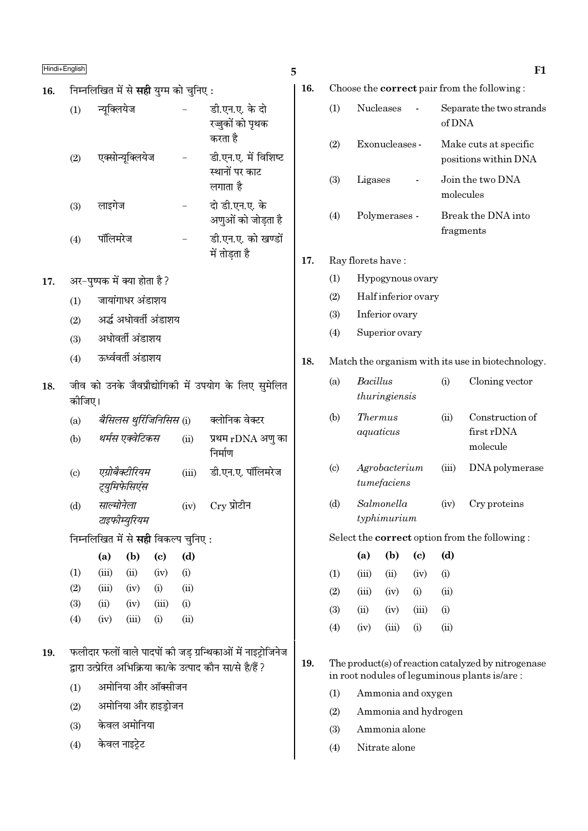- निम्नलिखित में से **सही** युग्म को चुनिए : 16. न्यूक्लियेज डी.एन.ए. के दो  $(1)$ रज़ुकों को पृथक करता है डी.एन.ए. में विशिष्ट एक्सोन्यक्लियेज  $(2)$ स्थानों पर काट लगाता है दो डी.एन.ए. के लाइगेज  $(3)$ अणुओं को जोड़ता है डी.एन.ए. को खण्डों पॉलिमरेज  $(4)$ में तोड़ता है अर-पृष्पक में क्या होता है ?  $17.$ जायांगाधर अंडाशय  $(1)$ अर्द्ध अधोवर्ती अंडाशय  $(2)$ अधोवर्ती अंडाशय  $(3)$ ऊर्ध्ववर्ती अंडाशय  $(4)$ जीव को उनके जैवप्रौद्योगिकी में उपयोग के लिए सुमेलित 18. कोजिए। बैसिलस थुर्रिजिनिसिस (i) क्लोनिक वेक्टर  $(a)$ थर्मस एक्वेटिकस प्रथम rDNA अणु का  $(b)$  $(ii)$ निर्माण डी.एन.ए. पॉलिमरेज एग्रोबैक्टीरियम  $(iii)$  $(c)$ ट्यूमिफेसिएंस साल्मोनेला  $C_{\rm \scriptstyle IV}$  प्रोटीन  $(iv)$  $(d)$ टाइफीम्युरियम निम्नलिखित में से **सही** विकल्प चुनिए :  $(a)$  $(b)$  $(c)$  $(d)$  $(1)$  $(iii)$  $(ii)$  $(iv)$  $(i)$  $(2)$  $(iii)$  $(iv)$  $(i)$  $(ii)$  $(3)$  $(ii)$  $(iii)$  $(iv)$  $(i)$  $(4)$  $(iv)$  $(iii)$  $(i)$  $(ii)$ फलीदार फलों वाले पादपों की जड ग्रन्थिकाओं में नाइट्रोजिनेज 19. द्वारा उत्प्रेरित अभिक्रिया का/के उत्पाद कौन सा/से है/हैं ? अमोनिया और ऑक्सीजन  $(1)$ अमोनिया और हाइड्रोजन  $(2)$ 
	- केवल अमोनिया  $(3)$
	- केवल नाइटेट  $(4)$

| ۰<br>.,<br>×<br>i<br>٢<br>۰.<br>۰.<br>w |  |
|-----------------------------------------|--|

16. Choose the **correct** pair from the following:

| (1) | <b>Nucleases</b> | Separate the two strands<br>of DNA            |
|-----|------------------|-----------------------------------------------|
| (2) | Exonucleases -   | Make cuts at specific<br>positions within DNA |
| (3) | Ligases          | Join the two DNA<br>molecules                 |
| (4) | Polymerases -    | Break the DNA into<br>fragments               |

#### 17. Ray florets have:

- $(1)$ Hypogynous ovary
- $(2)$ Half inferior ovary
- $(3)$ Inferior ovary
- $(4)$ Superior ovary

#### 18. Match the organism with its use in biotechnology.

| (a)        | Bacillus<br>thuringiensis                              | $\left(1\right)$ | Cloning vector                                                        |
|------------|--------------------------------------------------------|------------------|-----------------------------------------------------------------------|
| (b)        | <i>Thermus</i><br>aquaticus                            | (11)             | Construction of<br>first rDNA<br>molecule                             |
| $\sqrt{2}$ | $\Lambda$ where $\Lambda$ as a $\Lambda$ and $\Lambda$ | $\sqrt{222}$     | $\mathbf{D}\mathbf{M}$ $\mathbf{A}$ and $\mathbf{A}$ and $\mathbf{A}$ |

- Agrobacterium  $\left( \mathrm{c}\right)$  $(iii)$ DNA polymerase tumefaciens
- $(d)$ Salmonella Cry proteins  $(iv)$ typhimurium

### Select the **correct** option from the following:

|     | (a)   | (b)    | (c)       | (d)  |
|-----|-------|--------|-----------|------|
| (1) | (iii) | $\sin$ | (iv)      | (i)  |
| (2) | (iii) | (iv)   | (i)       | (ii) |
| (3) | (ii)  | (iv)   | (iii)     | (i)  |
| (4) | (iv)  | (iii)  | $\rm (i)$ | (ii) |

19. The product(s) of reaction catalyzed by nitrogenase in root nodules of leguminous plants is/are:

- Ammonia and oxygen  $(1)$
- $(2)$ Ammonia and hydrogen
- $(3)$ Ammonia alone
- Nitrate alone  $(4)$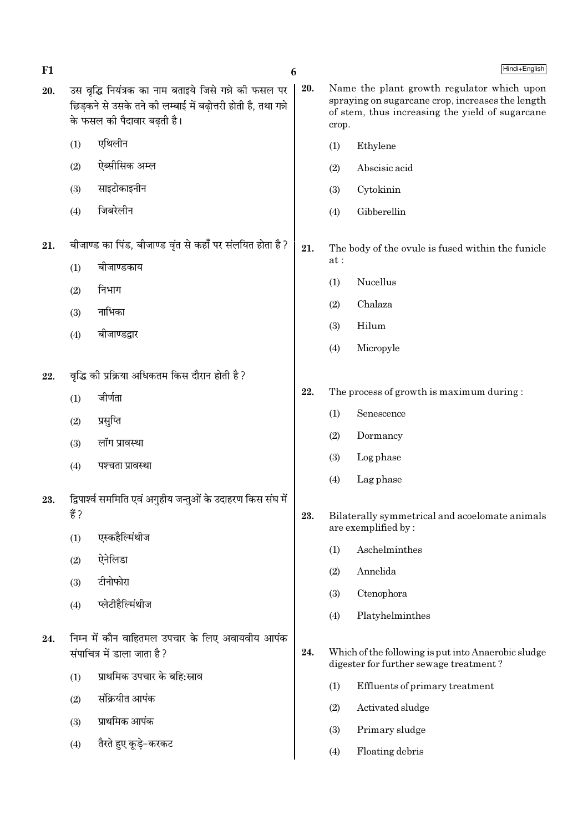6

- उस वृद्धि नियंत्रक का नाम बताइये जिसे गन्ने की फसल पर 20. छिडकने से उसके तने की लम्बाई में बढोत्तरी होती है. तथा गन्ने के फसल की पैदावार बढती है।
	- एथिलीन  $(1)$
	- ऐब्सीसिक अम्ल  $(2)$
	- साइटोकाइनीन  $(3)$
	- जिबरेलीन  $(4)$
- बीजाण्ड का पिंड, बीजाण्ड वृंत से कहाँ पर संलयित होता है ? 21.
	- बीजाण्डकाय  $(1)$
	- निभाग  $(2)$
	- नाभिका  $(3)$
	- बीजाण्डद्वार  $(4)$
- वृद्धि की प्रक्रिया अधिकतम किस दौरान होती है ? 22.
	- जीर्णता  $(1)$
	- प्रसूप्ति  $(2)$
	- $(3)$ लॉग प्रावस्था
	- $(4)$ पश्चता प्रावस्था
- द्विपार्श्व सममिति एवं अगुहीय जन्तुओं के उदाहरण किस संघ में 23. ੜ੍ਹੇ  $2$ 
	- एस्कहैल्मिंथीज  $(1)$
	- ऐनेलिडा  $(2)$
	- टीनोफोरा  $(3)$
	- प्लेटीहैल्मिंथीज  $(4)$
- निम्न में कौन वाहितमल उपचार के लिए अवायवीय आपंक 24. संपाचित्र में डाला जाता है?
	- प्राथमिक उपचार के बहि:स्राव  $(1)$
	- संक्रियीत आपंक  $(2)$
	- प्राथमिक आपंक  $(3)$
	- तैरते हुए कडे-करकट  $(4)$
- 20. Name the plant growth regulator which upon spraying on sugarcane crop, increases the length of stem, thus increasing the yield of sugarcane crop.
	- $(1)$ Ethylene
	- Abscisic acid  $(2)$
	- Cytokinin  $(3)$
	- Gibberellin  $(4)$
- $21$ The body of the ovule is fused within the funicle  $at:$ 
	- $(1)$ Nucellus
	- Chalaza  $(2)$
	- $(3)$ Hilum
	- Micropyle  $(4)$
- 22. The process of growth is maximum during:
	- Senescence  $(1)$
	- $(2)$ Dormancy
	- $(3)$ Log phase
	- $(4)$ Lag phase
- 23. Bilaterally symmetrical and acoelomate animals are exemplified by:
	- Aschelminthes  $(1)$
	- Annelida  $(2)$
	- $(3)$ Ctenophora
	- $(4)$ Platyhelminthes
- 24. Which of the following is put into Anaerobic sludge digester for further sewage treatment?
	- $(1)$ Effluents of primary treatment
	- $(2)$ Activated sludge
	- $(3)$ Primary sludge
	- $(4)$ Floating debris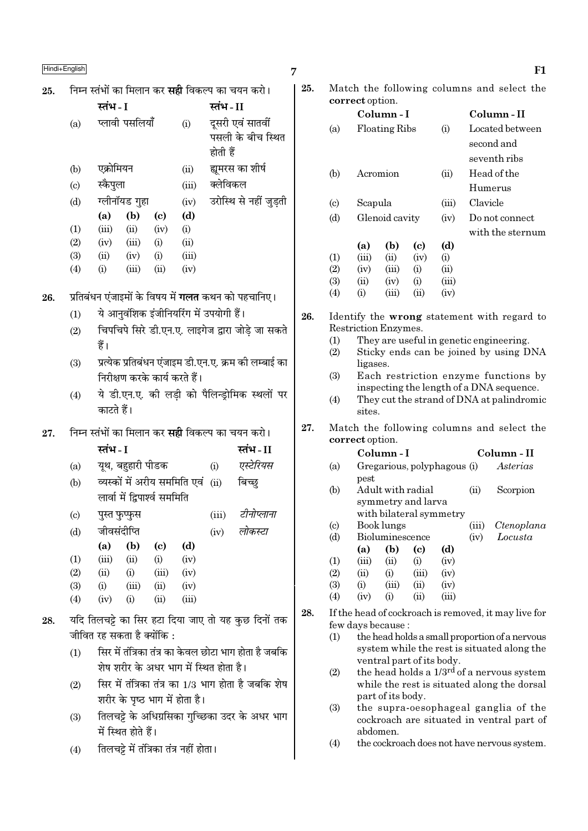|     | Hindi+English                 |                                                              |                                                   | 7   |                        |                      |                                  |                             |               |          | F1                                                                                    |
|-----|-------------------------------|--------------------------------------------------------------|---------------------------------------------------|-----|------------------------|----------------------|----------------------------------|-----------------------------|---------------|----------|---------------------------------------------------------------------------------------|
| 25. |                               | निम्न स्तंभों का मिलान कर <b>सही</b> विकल्प का चयन करो।      |                                                   | 25. |                        |                      |                                  |                             |               |          | Match the following columns and select the                                            |
|     |                               | स्तंभ - I                                                    | स्तंभ-II                                          |     |                        | correct option.      |                                  |                             |               |          |                                                                                       |
|     | (a)                           | प्लावी पसलियाँ<br>(i)                                        | दूसरी एवं सातवीं<br>पसली के बीच स्थित<br>होती हैं |     | (a)                    |                      | Column-I<br><b>Floating Ribs</b> |                             | (i)           |          | Column-II<br>Located between<br>second and<br>seventh ribs                            |
|     | (b)                           | एक्रोमियन<br>(ii)                                            | ह्यमरस का शीर्ष                                   |     | (b)                    |                      | Acromion                         |                             | (ii)          |          | Head of the                                                                           |
|     | (c)                           | स्कैपुला<br>(iii)                                            | क्लेविकल                                          |     |                        |                      |                                  |                             |               |          | Humerus                                                                               |
|     | (d)                           | ग्लीनॉयड गुहा<br>(iv)                                        | उरोस्थि से नहीं जुड़ती                            |     | $\left( \circ \right)$ | Scapula              |                                  |                             | (iii)         | Clavicle |                                                                                       |
|     |                               | (b)<br>(d)<br>(a)<br>$\left( \mathbf{c} \right)$             |                                                   |     | (d)                    |                      | Glenoid cavity                   |                             | (iv)          |          | Do not connect                                                                        |
|     | (1)                           | (ii)<br>(iii)<br>(iv)<br>(i)                                 |                                                   |     |                        |                      |                                  |                             |               |          | with the sternum                                                                      |
|     | (2)                           | (ii)<br>(iii)<br>(i)<br>(iv)                                 |                                                   |     |                        | (a)                  | (b)                              | $\left( \mathbf{c} \right)$ | (d)           |          |                                                                                       |
|     | (3)                           | (iii)<br>(ii)<br>(i)<br>(iv)                                 |                                                   |     | (1)                    | (iii)                | (ii)                             | (iv)                        | (i)           |          |                                                                                       |
|     | (4)                           | (iii)<br>(ii)<br>(iv)<br>(i)                                 |                                                   |     | (2)                    | (iv)                 | (iii)                            | (i)                         | (ii)          |          |                                                                                       |
|     |                               |                                                              |                                                   |     | (3)<br>(4)             | (ii)<br>(i)          | (iv)<br>(iii)                    | (i)<br>(ii)                 | (iii)<br>(iv) |          |                                                                                       |
| 26. |                               | प्रतिबंधन एंजाइमों के विषय में <b>गलत</b> कथन को पहचानिए।    |                                                   |     |                        |                      |                                  |                             |               |          |                                                                                       |
|     | (1)                           | ये आनुवंशिक इंजीनियरिंग में उपयोगी हैं।                      |                                                   | 26. |                        |                      |                                  |                             |               |          | Identify the wrong statement with regard to                                           |
|     | (2)                           | चिपचिपे सिरे डी.एन.ए. लाइगेज द्वारा जोड़े जा सकते            |                                                   |     |                        | Restriction Enzymes. |                                  |                             |               |          |                                                                                       |
|     |                               | हैं।                                                         |                                                   |     | (1)<br>(2)             |                      |                                  |                             |               |          | They are useful in genetic engineering.<br>Sticky ends can be joined by using DNA     |
|     | (3)                           | प्रत्येक प्रतिबंधन एंजाइम डी.एन.ए. क्रम की लम्बाई का         |                                                   |     |                        | ligases.             |                                  |                             |               |          |                                                                                       |
|     | निरीक्षण करके कार्य करते हैं। |                                                              |                                                   |     | (3)                    |                      |                                  |                             |               |          | Each restriction enzyme functions by                                                  |
|     | (4)                           | ये डी.एन.ए. की लड़ी को पैलिन्ड्रोमिक स्थलों पर<br>काटते हैं। |                                                   |     | (4)                    | sites.               |                                  |                             |               |          | inspecting the length of a DNA sequence.<br>They cut the strand of DNA at palindromic |
| 27. |                               | निम्न स्तंभों का मिलान कर <b>सही</b> विकल्प का चयन करो।      |                                                   | 27. |                        | correct option.      |                                  |                             |               |          | Match the following columns and select the                                            |
|     |                               | स्तंभ - I                                                    | स्तंभ-II                                          |     |                        |                      | Column-I                         |                             |               |          | Column - II                                                                           |
|     | (a)                           | यूथ, बहुहारी पीडक                                            | एस्टेरियस<br>(i)                                  |     | (a)                    |                      |                                  | Gregarious, polyphagous (i) |               |          | Asterias                                                                              |
|     | (b)                           | व्यस्कों में अरीय सममिति एवं                                 | बिच्छ्<br>(ii)                                    |     |                        | pest                 |                                  |                             |               |          |                                                                                       |
|     |                               | लार्वा में द्विपार्श्व सममिति                                |                                                   |     | (b)                    |                      |                                  | Adult with radial           |               | (ii)     | Scorpion                                                                              |
|     |                               |                                                              |                                                   |     |                        |                      |                                  | symmetry and larva          |               |          |                                                                                       |
|     | $\left( \mathrm{c}\right)$    | पुस्त फुप्फुस                                                | टीनोप्लाना<br>(iii)                               |     | $\left( \circ \right)$ |                      | Book lungs                       | with bilateral symmetry     |               | (iii)    | Ctenoplana                                                                            |
|     | (d)                           | जीवसंदीप्ति                                                  | लोकस्टा<br>(iv)                                   |     | (d)                    |                      | Bioluminescence                  |                             |               | (iv)     | Locusta                                                                               |
|     |                               | (b)<br>(a)<br>(c)<br>(d)                                     |                                                   |     |                        | (a)                  | (b)                              | $\left( \mathbf{c} \right)$ | (d)           |          |                                                                                       |
|     | (1)                           | (ii)<br>(iv)<br>(iii)<br>(i)                                 |                                                   |     | (1)                    | (iii)                | (ii)                             | (i)                         | (iv)          |          |                                                                                       |
|     | (2)                           | (ii)<br>(i)<br>(iii)<br>(iv)                                 |                                                   |     | (2)                    | (ii)                 | (i)                              | (iii)                       | (iv)          |          |                                                                                       |
|     | (3)<br>(4)                    | (iv)<br>(iii)<br>(ii)<br>(i)<br>(iii)<br>(iv)<br>(i)<br>(ii) |                                                   |     | (3)<br>(4)             | (i)<br>(iv)          | (iii)<br>(i)                     | (ii)<br>(ii)                | (iv)<br>(iii) |          |                                                                                       |
|     |                               |                                                              |                                                   | 28. |                        |                      |                                  |                             |               |          | If the head of cockroach is removed, it may live for                                  |
| 28. |                               | यदि तिलचट्टे का सिर हटा दिया जाए तो यह कुछ दिनों तक          |                                                   |     |                        | few days because:    |                                  |                             |               |          |                                                                                       |
|     |                               | जीवित रह सकता है क्योंकि :                                   |                                                   |     | (1)                    |                      |                                  |                             |               |          | the head holds a small proportion of a nervous                                        |
|     | (1)                           | सिर में तंत्रिका तंत्र का केवल छोटा भाग होता है जबकि         |                                                   |     |                        |                      |                                  |                             |               |          | system while the rest is situated along the                                           |
|     |                               | शेष शरीर के अधर भाग में स्थित होता है।                       |                                                   |     | (2)                    |                      |                                  | ventral part of its body.   |               |          | the head holds a $1/3^{rd}$ of a nervous system                                       |
|     | (2)                           | सिर में तंत्रिका तंत्र का 1/3 भाग होता है जबकि शेष           |                                                   |     |                        |                      |                                  |                             |               |          | while the rest is situated along the dorsal                                           |
|     |                               | शरीर के पृष्ठ भाग में होता है।                               |                                                   |     |                        |                      | part of its body.                |                             |               |          |                                                                                       |
|     |                               |                                                              |                                                   |     |                        |                      |                                  |                             |               |          |                                                                                       |

- (3) तिलचट्टे के अधिग्रसिका गुच्छिका उदर के अधर भाग ्<br>में स्थित होते हैं।
- $(4)$  तिलचट्टे में तंत्रिका तंत्र नहीं होता ।

| 25. | Match the following columns and select the |
|-----|--------------------------------------------|
|     | <b>correct</b> option.                     |

|     |                             | correct option.      |                                        |                            |             |                                                    |  |  |  |  |  |  |
|-----|-----------------------------|----------------------|----------------------------------------|----------------------------|-------------|----------------------------------------------------|--|--|--|--|--|--|
|     |                             |                      | Column - I                             |                            | Column - II |                                                    |  |  |  |  |  |  |
|     | (a)                         |                      | <b>Floating Ribs</b>                   |                            | (i)         | Located between                                    |  |  |  |  |  |  |
|     |                             |                      |                                        |                            |             | second and                                         |  |  |  |  |  |  |
|     |                             |                      |                                        |                            |             | seventh ribs                                       |  |  |  |  |  |  |
|     | (b)                         |                      | Acromion                               |                            | (ii)        | Head of the                                        |  |  |  |  |  |  |
|     |                             |                      |                                        |                            |             | Humerus                                            |  |  |  |  |  |  |
|     | $\left( \mathrm{c} \right)$ | Scapula              |                                        |                            | (iii)       | Clavicle                                           |  |  |  |  |  |  |
|     | (d)                         |                      | Glenoid cavity                         |                            |             | Do not connect                                     |  |  |  |  |  |  |
|     |                             |                      |                                        |                            |             | with the sternum                                   |  |  |  |  |  |  |
|     |                             | (a)                  | (b)                                    | $\left( \mathrm{e}\right)$ | (d)         |                                                    |  |  |  |  |  |  |
|     | (1)                         | (iii)                | (ii)                                   | (iv)                       | (i)         |                                                    |  |  |  |  |  |  |
|     | (2)                         | (iv)                 | (iii)                                  | (i)                        | (ii)        |                                                    |  |  |  |  |  |  |
|     | (3)                         | (ii)                 | (iv)                                   | (i)                        | (iii)       |                                                    |  |  |  |  |  |  |
|     | (4)                         | (i)                  | (iii)                                  | (ii)                       | (iv)        |                                                    |  |  |  |  |  |  |
| 26. |                             |                      |                                        |                            |             | Identify the <b>wrong</b> statement with regard to |  |  |  |  |  |  |
|     |                             | Restriction Enzymes. |                                        |                            |             |                                                    |  |  |  |  |  |  |
|     | (1)                         |                      |                                        |                            |             | They are useful in genetic engineering.            |  |  |  |  |  |  |
|     | /9ነ                         |                      | Sticky ands can be joined by using DNA |                            |             |                                                    |  |  |  |  |  |  |

- (2) Sticky ends can be joined by using DNA ligases.
- (3) Each restriction enzyme functions by inspecting the length of a DNA sequence.
- (4) They cut the strand of DNA at palindromic sites.

# 27. Match the following columns and select the correct option.

|     |                           | Column - I<br>Column - II |                 |                             |                             |       |                                                      |  |
|-----|---------------------------|---------------------------|-----------------|-----------------------------|-----------------------------|-------|------------------------------------------------------|--|
|     | (a)                       |                           |                 |                             | Gregarious, polyphagous (i) |       | Asterias                                             |  |
|     |                           | pest                      |                 |                             |                             |       |                                                      |  |
|     | (b)                       |                           |                 | Adult with radial           |                             | (ii)  | Scorpion                                             |  |
|     |                           |                           |                 | symmetry and larva          |                             |       |                                                      |  |
|     |                           |                           |                 |                             | with bilateral symmetry     |       |                                                      |  |
|     | $\left( \text{c} \right)$ |                           | Book lungs      |                             |                             | (iii) | Ctenoplana                                           |  |
|     | (d)                       |                           | Bioluminescence |                             |                             | (iv)  | Locusta                                              |  |
|     |                           | (a)                       | (b)             | $\left( \mathrm{c} \right)$ | (d)                         |       |                                                      |  |
|     | (1)                       | (iii)                     | (ii)            | (i)                         | (iv)                        |       |                                                      |  |
|     | (2)                       | (ii)                      | (i)             | (iii)                       | (iv)                        |       |                                                      |  |
|     | (3)                       | (i)                       | (iii)           | (ii)                        | (iv)                        |       |                                                      |  |
|     | (4)                       | (iv)                      | (i)             | (ii)                        | (iii)                       |       |                                                      |  |
| 28. |                           |                           |                 |                             |                             |       | If the head of cockroach is removed, it may live for |  |
|     |                           | few days because :        |                 |                             |                             |       |                                                      |  |
|     | (1)                       |                           |                 |                             |                             |       | the head holds a small proportion of a nervous       |  |

- system while the rest is situated along the ventral part of its body.
- (2) the head holds a  $1/3^{rd}$  of a nervous system while the rest is situated along the dorsal part of its body.
- (3) the supra-oesophageal ganglia of the cockroach are situated in ventral part of abdomen.
- (4) the cockroach does not have nervous system.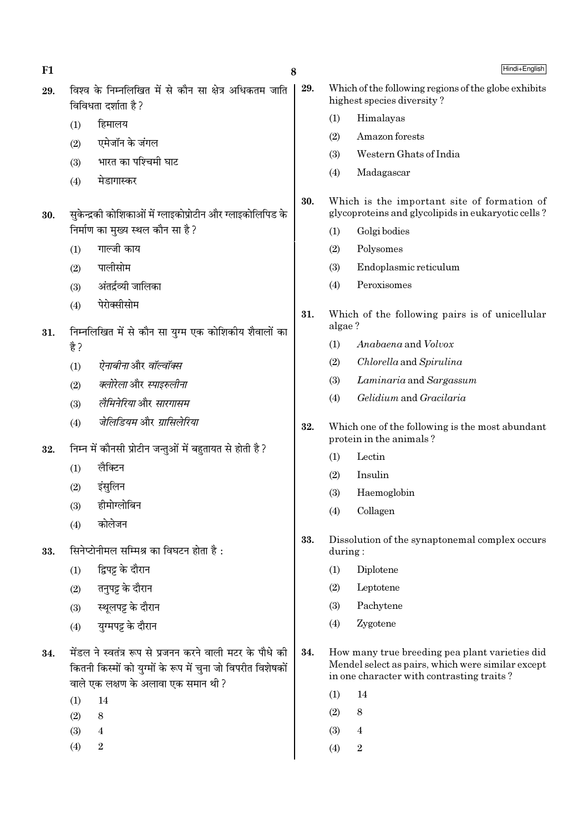| F1  |                                                                                                                                                                | 8   | Hindi+English                                                                                                                                    |
|-----|----------------------------------------------------------------------------------------------------------------------------------------------------------------|-----|--------------------------------------------------------------------------------------------------------------------------------------------------|
| 29. | विश्व के निम्नलिखित में से कौन सा क्षेत्र अधिकतम जाति<br>विविधता दर्शाता है ?                                                                                  | 29. | Which of the following regions of the globe exhibits<br>highest species diversity?                                                               |
|     | हिमालय<br>(1)                                                                                                                                                  |     | (1)<br>Himalayas                                                                                                                                 |
|     | एमेजॉन के जंगल<br>(2)                                                                                                                                          |     | Amazon forests<br>(2)                                                                                                                            |
|     | भारत का पश्चिमी घाट<br>(3)                                                                                                                                     |     | Western Ghats of India<br>(3)                                                                                                                    |
|     | मेडागास्कर<br>(4)                                                                                                                                              |     | Madagascar<br>(4)                                                                                                                                |
| 30. | सुकेन्द्रकी कोशिकाओं में ग्लाइकोप्रोटीन और ग्लाइकोलिपिड के                                                                                                     | 30. | Which is the important site of formation of<br>glycoproteins and glycolipids in eukaryotic cells?                                                |
|     | निर्माण का मुख्य स्थल कौन सा है?                                                                                                                               |     | (1)<br>Golgi bodies                                                                                                                              |
|     | गाल्जी काय<br>(1)                                                                                                                                              |     | Polysomes<br>(2)                                                                                                                                 |
|     | पालीसोम<br>(2)                                                                                                                                                 |     | Endoplasmic reticulum<br>(3)                                                                                                                     |
|     | अंतर्द्रव्यी जालिका<br>(3)                                                                                                                                     |     | Peroxisomes<br>(4)                                                                                                                               |
|     | पेरोक्सीसोम<br>(4)                                                                                                                                             | 31. | Which of the following pairs is of unicellular<br>algae?                                                                                         |
| 31. | निम्नलिखित में से कौन सा युग्म एक कोशिकीय शैवालों का<br>है ?                                                                                                   |     | (1)<br>Anabaena and Volvox                                                                                                                       |
|     | <i>ऐनाबीना</i> और <i>वॉल्वॉक्स</i>                                                                                                                             |     | (2)<br>Chlorella and Spirulina                                                                                                                   |
|     | (1)<br>क्लोरेला और स्पाइरुलीना                                                                                                                                 |     | (3)<br>Laminaria and Sargassum                                                                                                                   |
|     | (2)<br>लैमिनेरिया और सारगासम                                                                                                                                   |     | Gelidium and Gracilaria<br>(4)                                                                                                                   |
|     | (3)<br>जेलिडियम और ग्रासिलेरिया                                                                                                                                |     |                                                                                                                                                  |
|     | (4)                                                                                                                                                            | 32. | Which one of the following is the most abundant<br>protein in the animals?                                                                       |
| 32. | निम्न में कौनसी प्रोटीन जन्तुओं में बहुतायत से होती है ?                                                                                                       |     | Lectin<br>(1)                                                                                                                                    |
|     | लैक्टिन<br>(1)                                                                                                                                                 |     | Insulin<br>(2)                                                                                                                                   |
|     | इंसुलिन<br>(2)                                                                                                                                                 |     | Haemoglobin<br>(3)                                                                                                                               |
|     | हीमोग्लोबिन<br>(3)                                                                                                                                             |     | Collagen<br>(4)                                                                                                                                  |
|     | कोलेजन<br>(4)                                                                                                                                                  | 33. | Dissolution of the synaptonemal complex occurs                                                                                                   |
| 33. | सिनेप्टोनीमल सम्मिश्र का विघटन होता है :                                                                                                                       |     | during:                                                                                                                                          |
|     | द्विपट्ट के दौरान<br>(1)                                                                                                                                       |     | Diplotene<br>(1)                                                                                                                                 |
|     | तनुपट्ट के दौरान<br>(2)                                                                                                                                        |     | Leptotene<br>(2)                                                                                                                                 |
|     | स्थूलपट्ट के दौरान<br>(3)                                                                                                                                      |     | Pachytene<br>(3)                                                                                                                                 |
|     | युग्मपट्ट के दौरान<br>(4)                                                                                                                                      |     | (4)<br>Zygotene                                                                                                                                  |
| 34. | मेंडल ने स्वतंत्र रूप से प्रजनन करने वाली मटर के पौधे की<br>कितनी किस्मों को युग्मों के रूप में चुना जो विपरीत विशेषकों<br>वाले एक लक्षण के अलावा एक समान थी ? | 34. | How many true breeding pea plant varieties did<br>Mendel select as pairs, which were similar except<br>in one character with contrasting traits? |
|     | (1)<br>14                                                                                                                                                      |     | (1)<br>14                                                                                                                                        |
|     | (2)<br>8                                                                                                                                                       |     | $\,8\,$<br>(2)                                                                                                                                   |
|     | (3)<br>$\overline{4}$<br>$\,2$                                                                                                                                 |     | (3)<br>4                                                                                                                                         |
|     | (4)                                                                                                                                                            |     | $\,2$<br>(4)                                                                                                                                     |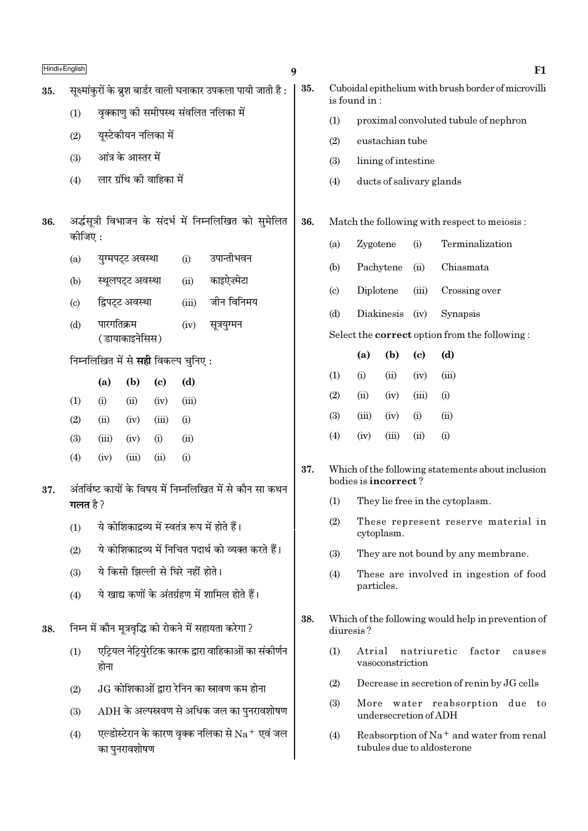|     | Hindi+English              |               |                    |                                            |             |                                                                 | 9   |                                                                |                                                                      |                          |                            |                                                                          | F1     |
|-----|----------------------------|---------------|--------------------|--------------------------------------------|-------------|-----------------------------------------------------------------|-----|----------------------------------------------------------------|----------------------------------------------------------------------|--------------------------|----------------------------|--------------------------------------------------------------------------|--------|
| 35. |                            |               |                    |                                            |             | सूक्ष्मांकुरों के ब्रुश बार्डर वाली घनाकार उपकला पायी जाती है : | 35. |                                                                | Cuboidal epithelium with brush border of microvilli<br>is found in : |                          |                            |                                                                          |        |
|     | (1)                        |               |                    |                                            |             | वृक्काणु की समीपस्थ संवलित नलिका में                            |     | (1)                                                            | proximal convoluted tubule of nephron                                |                          |                            |                                                                          |        |
|     | (2)                        |               |                    | यूस्टेकीयन नलिका में                       |             |                                                                 |     | (2)                                                            | eustachian tube                                                      |                          |                            |                                                                          |        |
|     | (3)                        |               | आंत्र के आस्तर में |                                            |             |                                                                 |     | (3)                                                            |                                                                      | lining of intestine      |                            |                                                                          |        |
|     | (4)                        |               |                    | लार ग्रंथि की वाहिका में                   |             |                                                                 |     | (4)                                                            |                                                                      | ducts of salivary glands |                            |                                                                          |        |
| 36. |                            |               |                    |                                            |             | अर्द्धसूत्री विभाजन के संदर्भ में निम्नलिखित को सुमेलित         | 36. |                                                                |                                                                      |                          |                            | Match the following with respect to meiosis:                             |        |
|     | कीजिए :                    |               |                    |                                            |             |                                                                 |     | (a)                                                            | Zygotene                                                             |                          | (i)                        | Terminalization                                                          |        |
|     | (a)                        |               | युग्मपट्ट अवस्था   |                                            | (i)         | उपान्तीभवन                                                      |     | (b)                                                            |                                                                      | Pachytene                | (ii)                       | Chiasmata                                                                |        |
|     | (b)                        |               | स्थूलपट्ट अवस्था   |                                            | (ii)        | काइऐज़्मेटा                                                     |     | $\left( \circ \right)$                                         | Diplotene                                                            |                          | (iii)                      | Crossing over                                                            |        |
|     | $\left( \mathrm{c}\right)$ |               | द्विपट्ट अवस्था    |                                            | (iii)       | जीन विनिमय                                                      |     | (d)                                                            |                                                                      | Diakinesis               | (iv)                       | Synapsis                                                                 |        |
|     | (d)                        | पारगतिक्रम    |                    |                                            | (iv)        | सूत्रयुग्मन                                                     |     |                                                                |                                                                      |                          |                            | Select the <b>correct</b> option from the following:                     |        |
|     |                            |               | (डायाकाइनेसिस)     |                                            |             |                                                                 |     |                                                                | (a)                                                                  | (b)                      | $\left( \mathrm{e}\right)$ | (d)                                                                      |        |
|     |                            |               |                    | निम्नलिखित में से <b>सही</b> विकल्प चुनिए: |             |                                                                 |     | (1)                                                            | (i)                                                                  | (ii)                     | (iv)                       | (iii)                                                                    |        |
|     |                            | (a)           | (b)                | $\left( \mathbf{c} \right)$                | (d)         |                                                                 |     | (2)                                                            | (ii)                                                                 | (iv)                     | (iii)                      | (i)                                                                      |        |
|     | (1)                        | (i)           | (ii)               | (iv)                                       | (iii)       |                                                                 |     | (3)                                                            | (iii)                                                                | (iv)                     | (i)                        | (ii)                                                                     |        |
|     | (2)<br>(3)                 | (ii)<br>(iii) | (iv)<br>(iv)       | (iii)<br>(i)                               | (i)<br>(ii) |                                                                 |     | (4)                                                            | (iv)                                                                 | (iii)                    | (ii)                       | (i)                                                                      |        |
|     | (4)                        | (iv)          | (iii)              | (ii)                                       | (i)         |                                                                 |     |                                                                |                                                                      |                          |                            |                                                                          |        |
|     |                            |               |                    |                                            |             |                                                                 | 37. |                                                                |                                                                      |                          |                            | Which of the following statements about inclusion                        |        |
| 37. |                            |               |                    |                                            |             | अंतर्विष्ट कायों के विषय में निम्नलिखित में से कौन सा कथन       |     | bodies is incorrect?<br>(1)<br>They lie free in the cytoplasm. |                                                                      |                          |                            |                                                                          |        |
|     | गलत है ?                   |               |                    |                                            |             |                                                                 |     |                                                                |                                                                      |                          |                            |                                                                          |        |
|     | (1)                        |               |                    |                                            |             | ये कोशिकाद्रव्य में स्वतंत्र रूप में होते हैं।                  |     | (2)                                                            | These represent reserve material in<br>cytoplasm.                    |                          |                            |                                                                          |        |
|     | (2)                        |               |                    |                                            |             | ये कोशिकाद्रव्य में निचित पदार्थ को व्यक्त करते हैं।            |     | (3)                                                            |                                                                      |                          |                            | They are not bound by any membrane.                                      |        |
|     | (3)                        |               |                    | ये किसी झिल्ली से घिरे नहीं होते।          |             |                                                                 |     | (4)                                                            |                                                                      |                          |                            | These are involved in ingestion of food                                  |        |
|     | (4)                        |               |                    |                                            |             | ये खाद्य कणों के अंतर्ग्रहण में शामिल होते हैं।                 |     |                                                                | particles.                                                           |                          |                            |                                                                          |        |
| 38. |                            |               |                    |                                            |             | निम्न में कौन मूत्रवृद्धि को रोकने में सहायता करेगा ?           | 38. |                                                                | diuresis?                                                            |                          |                            | Which of the following would help in prevention of                       |        |
|     | (1)                        | होना          |                    |                                            |             | एट्रियल नेट्रियुरेटिक कारक द्वारा वाहिकाओं का संकीर्णन          |     | (1)                                                            | Atrial                                                               | vasoconstriction         | natriuretic                | factor                                                                   | causes |
|     | (2)                        |               |                    |                                            |             | $\rm{JG}$ कोशिकाओं द्वारा रेनिन का स्रावण कम होना               |     | (2)                                                            |                                                                      |                          |                            | Decrease in secretion of renin by JG cells                               |        |
|     | (3)                        |               |                    |                                            |             | $ADH$ के अल्पस्रवण से अधिक जल का पुनरावशोषण                     |     | (3)                                                            |                                                                      | undersecretion of ADH    |                            | More water reabsorption due to                                           |        |
|     | (4)                        |               | का पुनरावशोषण      |                                            |             | एल्डोस्टेरान के कारण वृक्क नलिका से $\rm Na^+$ एवं जल           |     | (4)                                                            |                                                                      |                          |                            | Reabsorption of $Na+$ and water from renal<br>tubules due to aldosterone |        |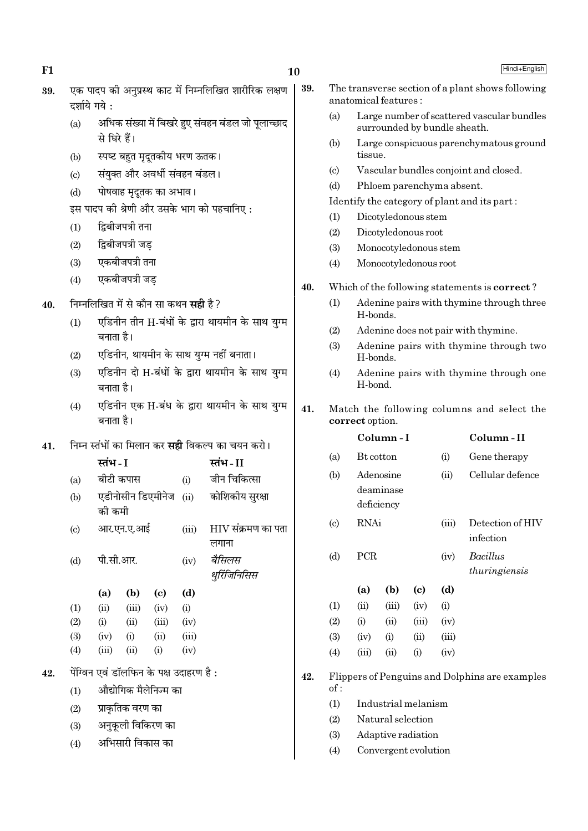39.

| 39. एक पादप की अनुप्रस्थ काट में निम्नलिखित शारीरिक लक्षण |
|-----------------------------------------------------------|
| दर्शाये गये :                                             |

- अधिक संख्या में बिखरे हुए संवहन बंडल जो पूलाच्छाद  $(a)$ से घिरे हैं।
- स्पष्ट बहुत मृदूतकीय भरण ऊतक।  $(b)$
- संयक्त और अवर्धी संवहन बंडल।  $\left( \mathrm{e}\right)$
- पोषवाह मृदुतक का अभाव।  $(d)$

इस पादप की श्रेणी और उसके भाग को पहचानिए:

- द्विबीजपत्री तना  $(1)$
- द्विबीजपत्री जड  $(2)$
- एकबीजपत्री तना  $(3)$
- एकबीजपत्री जड  $(4)$

#### निम्नलिखित में से कौन सा कथन **सही** है ? 40.

- एडिनीन तीन H-बंधों के द्रारा थायमीन के साथ यग्म  $(1)$ बनाता है।
- एडिनीन, थायमीन के साथ युग्म नहीं बनाता।  $(2)$
- एडिनीन दो H-बंधों के द्वारा थायमीन के साथ युग्म  $(3)$ बनाता है।
- एडिनीन एक H-बंध के द्वारा थायमीन के साथ यग्म  $(4)$ बनाता है।

निम्न स्तंभों का मिलान कर **सही** विकल्प का चयन करो। 41.

|                            | स्तंभ - I             |                   |                                         |       | स्तंभ - II                  |
|----------------------------|-----------------------|-------------------|-----------------------------------------|-------|-----------------------------|
| (a)                        | बीटी कपास             |                   |                                         | (i)   | जीन चिकित्सा                |
| (b)                        | को कमी                | एडीनोसीन डिएमीनेज |                                         | (ii)  | कोशिकीय सुरक्षा             |
| $\left( \mathrm{c}\right)$ | आर.एन.ए.आई            |                   |                                         | (iii) | HIV संक्रमण का पता<br>लगाना |
| (d)                        | पी.सी.आर.             |                   |                                         | (iv)  | बैसिलस<br>थुरिंजिनिसिस      |
|                            | (a)                   | (b)               | (c)                                     | (d)   |                             |
| (1)                        | (ii)                  | (iii)             | (iv)                                    | (i)   |                             |
| (2)                        | (i)                   | (ii)              | (iii)                                   | (iv)  |                             |
| (3)                        | (iv)                  | (i)               | (ii)                                    | (iii) |                             |
| (4)                        | (iii)                 | (ii)              | (i)                                     | (iv)  |                             |
|                            |                       |                   | पेंग्विन एवं डॉलफिन के पक्ष उदाहरण है : |       |                             |
| (1)                        | औद्योगिक मैलेनिज्म का |                   |                                         |       |                             |
| (2)                        |                       | प्राकृतिक वरण का  |                                         |       |                             |
| (3)                        |                       |                   |                                         |       |                             |
|                            |                       | अनुकूली विकिरण का |                                         |       |                             |

अभिसारी विकास का  $(4)$ 

42.

The transverse section of a plant shows following

Hindi+English

- anatomical features : Large number of scattered vascular bundles  $(a)$ surrounded by bundle sheath.
- Large conspicuous parenchymatous ground  $(b)$ tissue.
- $(c)$ Vascular bundles conjoint and closed.
- $(d)$ Phloem parenchyma absent.

Identify the category of plant and its part:

- Dicotyledonous stem  $(1)$
- Dicotyledonous root  $(2)$
- $(3)$ Monocotyledonous stem
- $(4)$ Monocotyledonous root

#### 40. Which of the following statements is **correct**?

- Adenine pairs with thymine through three  $(1)$ H-bonds.
- Adenine does not pair with thymine.  $(2)$
- Adenine pairs with thymine through two  $(3)$ H-bonds.
- $(4)$ Adenine pairs with thymine through one H-bond.

#### 41. Match the following columns and select the correct option.

|                             |                  | Column-I                             |          |       | Column - II                      |
|-----------------------------|------------------|--------------------------------------|----------|-------|----------------------------------|
| (a)                         | <b>Bt</b> cotton |                                      |          | (i)   | Gene therapy                     |
| (b)                         |                  | Adenosine<br>deaminase<br>deficiency |          | (ii)  | Cellular defence                 |
| $\left( \mathrm{c} \right)$ | RNAi             |                                      |          | (iii) | Detection of HIV<br>infection    |
| (d)                         | <b>PCR</b>       |                                      |          | (iv)  | <b>Bacillus</b><br>thuringiensis |
|                             | (a)              | (b)                                  | (c)      | (d)   |                                  |
| (1)                         | (ii)             | (iii)                                | (iv)     | (i)   |                                  |
| (2)                         | (i)              | (ii)                                 | (iii)    | (iv)  |                                  |
| (3)                         | (iv)             | (i)                                  | (ii)     | (iii) |                                  |
| (4)                         | (iii)            | (ii)                                 | $\rm(i)$ | (iv)  |                                  |
|                             |                  |                                      |          |       |                                  |

#### Flippers of Penguins and Dolphins are examples 42. of:

- $(1)$ Industrial melanism
- $(2)$ Natural selection
- $(3)$ Adaptive radiation
- $(4)$ Convergent evolution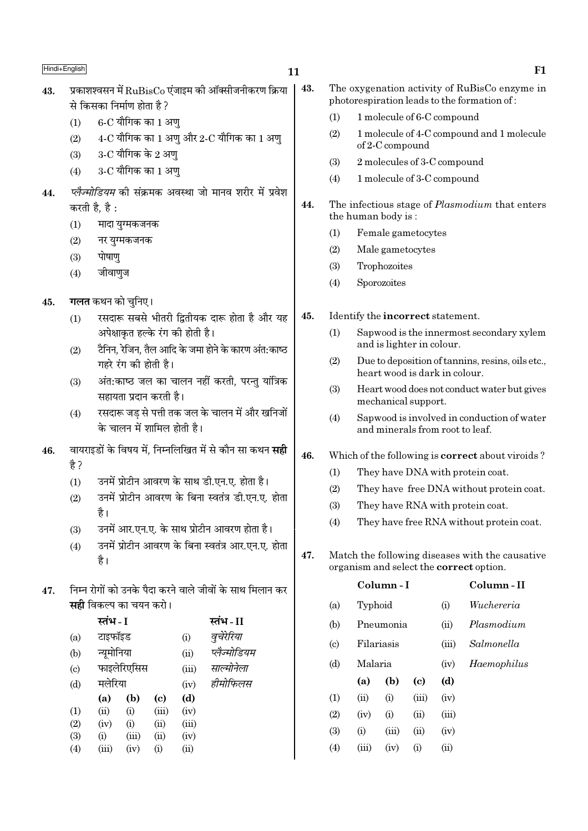### $11$

43.

- प्रकाशश्वसन में RuBisCo एंजाइम की ऑक्सीजनीकरण क्रिया 43. से किसका निर्माण होता है ?
	- $6$ -C यौगिक का 1 अण्  $(1)$
	- $4$ -C यौगिक का 1 अणु और 2-C यौगिक का 1 अणु  $(2)$
	- $3$ -C यौगिक के 2 अण्  $(3)$
	- $3$ -C यौगिक का 1 अण  $(4)$
- प्लैज्मोडियम की संक्रमक अवस्था जो मानव शरीर में प्रवेश 44. करती है. है:
	- मादा युग्मकजनक  $(1)$
	- $(2)$ नर युग्मकजनक
	- पोषाण  $(3)$
	- जीवाणुज  $(4)$
- गलत कथन को चुनिए। 45.
	- रसदारू सबसे भीतरी द्वितीयक दारू होता है और यह  $(1)$ अपेक्षाकृत हल्के रंग की होती है।
	- टैनिन, रेजिन, तैल आदि के जमा होने के कारण अंत:काष्ठ  $(2)$ गहरे रंग की होती है।
	- अंत:काष्ठ जल का चालन नहीं करती, परन्तु यांत्रिक  $(3)$ सहायता प्रदान करती है।
	- रसदारू जड से पत्ती तक जल के चालन में और खनिजों  $(4)$ के चालन में शामिल होती है।
- वायराइडों के विषय में. निम्नलिखित में से कौन सा कथन **सही** 46. है ?
	- उनमें प्रोटीन आवरण के साथ डी.एन.ए. होता है।  $(1)$
	- उनमें प्रोटीन आवरण के बिना स्वतंत्र डी.एन.ए. होता  $(2)$ है।
	- उनमें आर.एन.ए. के साथ प्रोटीन आवरण होता है।  $(3)$
	- उनमें प्रोटीन आवरण के बिना स्वतंत्र आर.एन.ए. होता  $(4)$ है।
- निम्न रोगों को उनके पैदा करने वाले जीवों के साथ मिलान कर 47. सही विकल्प का चयन करो।

|                             | स्तभ - I   |             |                             |       | स्तभ - II    |
|-----------------------------|------------|-------------|-----------------------------|-------|--------------|
| (a)                         | टाइफॉइड    |             |                             | (i)   | वूचेरेरिया   |
| (b)                         | न्यूमोनिया |             |                             | (ii)  | प्लैज्मोडियम |
| $\left( \mathrm{c} \right)$ |            | फाइलेरिएसिस |                             | (iii) | साल्मोनेला   |
| (d)                         | मलेरिया    |             |                             | (iv)  | हीमोफिलस     |
|                             | (a)        | (b)         | $\left( \mathrm{c} \right)$ | (d)   |              |
| (1)                         | (ii)       | (i)         | (iii)                       | (iv)  |              |
| (2)                         | (iv)       | (i)         | (ii)                        | (iii) |              |
| (3)                         | (i)        | (iii)       | (ii)                        | (iv)  |              |
| (4)                         | (iii)      | (iv)        | (i)                         | (ii)  |              |
|                             |            |             |                             |       |              |

|     | The oxygenation activity of RuBisCo enzyme in<br>photorespiration leads to the formation of: |
|-----|----------------------------------------------------------------------------------------------|
| (1) | 1 molecule of 6-C compound                                                                   |
| (2) | 1 molecule of 4-C compound and 1 molecule<br>of 2-C compound                                 |
| (3) | 2 molecules of 3-C compound                                                                  |

 $F1$ 

- $(4)$ 1 molecule of 3-C compound
- 44. The infectious stage of *Plasmodium* that enters the human body is:
	- $(1)$ Female gametocytes
	- $(2)$ Male gametocytes
	- $(3)$ Trophozoites
	- $(4)$ Sporozoites
- Identify the incorrect statement. 45.
	- $(1)$ Sapwood is the innermost secondary xylem and is lighter in colour.
	- $(2)$ Due to deposition of tannins, resins, oils etc., heart wood is dark in colour.
	- $(3)$ Heart wood does not conduct water but gives mechanical support.
	- Sapwood is involved in conduction of water  $(4)$ and minerals from root to leaf.
- 46. Which of the following is **correct** about viroids?
	- $(1)$ They have DNA with protein coat.
	- $(2)$ They have free DNA without protein coat.
	- They have RNA with protein coat.  $(3)$
	- They have free RNA without protein coat.  $(4)$
- 47. Match the following diseases with the causative organism and select the **correct** option.

|                             |         | Column - I | Column - II |       |             |
|-----------------------------|---------|------------|-------------|-------|-------------|
| (a)                         | Typhoid |            |             | (i)   | Wuchereria  |
| (b)                         |         | Pneumonia  |             |       | Plasmodium  |
| $\left( \mathrm{c} \right)$ |         | Filariasis |             |       | Salmonella  |
| (d)                         | Malaria |            |             | (iv)  | Haemophilus |
|                             | (a)     | (b)        | (c)         | (d)   |             |
| (1)                         | (ii)    | (i)        | (iii)       | (iv)  |             |
| (2)                         | (iv)    | (i)        | (ii)        | (iii) |             |
| (3)                         | (i)     | (iii)      | (ii)        | (iv)  |             |
| (4)                         | (iii)   | (iv)       | (i)         | (ii)  |             |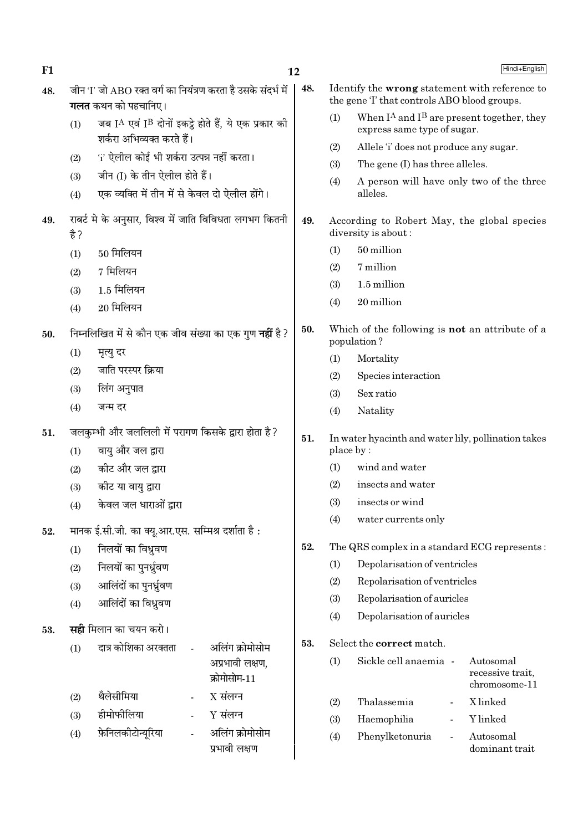| F <sub>1</sub> |            |                                                                                            |  |                                    | 12  |           |                                                                                              | Hindi+English                     |
|----------------|------------|--------------------------------------------------------------------------------------------|--|------------------------------------|-----|-----------|----------------------------------------------------------------------------------------------|-----------------------------------|
| 48.            |            | जीन 'I' जो ABO रक्त वर्ग का नियंत्रण करता है उसके संदर्भ में<br><b>गलत</b> कथन को पहचानिए। |  |                                    | 48. |           | Identify the wrong statement with reference to<br>the gene T that controls ABO blood groups. |                                   |
|                | (1)        | जब IA एवं IB दोनों इकट्ठे होते हैं, ये एक प्रकार की<br>शर्करा अभिव्यक्त करते हैं।          |  |                                    |     | (1)       | When $I^A$ and $I^B$ are present together, they<br>express same type of sugar.               |                                   |
|                |            | 'i' ऐलील कोई भी शर्करा उत्पन्न नहीं करता।                                                  |  |                                    |     | (2)       | Allele 'i' does not produce any sugar.                                                       |                                   |
|                | (2)        |                                                                                            |  |                                    |     | (3)       | The gene (I) has three alleles.                                                              |                                   |
|                | (3)<br>(4) | जीन (I) के तीन ऐलील होते हैं।<br>एक व्यक्ति में तीन में से केवल दो ऐलील होंगे।             |  |                                    |     | (4)       | A person will have only two of the three<br>alleles.                                         |                                   |
| 49.            | है ?       | राबर्ट मे के अनुसार, विश्व में जाति विविधता लगभग कितनी                                     |  |                                    | 49. |           | According to Robert May, the global species<br>diversity is about:                           |                                   |
|                | (1)        | $50$ मिलियन                                                                                |  |                                    |     | (1)       | 50 million                                                                                   |                                   |
|                | (2)        | 7 मिलियन                                                                                   |  |                                    |     | (2)       | 7 million                                                                                    |                                   |
|                | (3)        | $1.5$ मिलियन                                                                               |  |                                    |     | (3)       | 1.5 million                                                                                  |                                   |
|                | (4)        | $20$ मिलियन                                                                                |  |                                    |     | (4)       | 20 million                                                                                   |                                   |
| 50.            |            | निम्नलिखित में से कौन एक जीव संख्या का एक गुण <b>नहीं</b> है ?                             |  |                                    | 50. |           | Which of the following is <b>not</b> an attribute of a<br>population?                        |                                   |
|                | (1)        | मृत्यु दर                                                                                  |  |                                    |     | (1)       | Mortality                                                                                    |                                   |
|                | (2)        | जाति परस्पर क्रिया                                                                         |  |                                    |     | (2)       | Species interaction                                                                          |                                   |
|                | (3)        | लिंग अनुपात                                                                                |  |                                    |     | (3)       | Sex ratio                                                                                    |                                   |
|                | (4)        | जन्म दर                                                                                    |  |                                    |     | (4)       | Natality                                                                                     |                                   |
| 51.            |            | जलकुम्भी और जललिली में परागण किसके द्वारा होता है?                                         |  |                                    |     |           |                                                                                              |                                   |
|                | (1)        | वायु और जल द्वारा                                                                          |  |                                    | 51. | place by: | In water hyacinth and water lily, pollination takes                                          |                                   |
|                | (2)        | कीट और जल द्वारा                                                                           |  |                                    |     | (1)       | wind and water                                                                               |                                   |
|                | (3)        | कीट या वायु द्वारा                                                                         |  |                                    |     | (2)       | insects and water                                                                            |                                   |
|                | (4)        | केवल जल धाराओं द्वारा                                                                      |  |                                    |     | (3)       | insects or wind                                                                              |                                   |
| 52.            |            | मानक ई.सी.जी. का क्यू.आर.एस. सम्मिश्र दर्शाता है:                                          |  |                                    |     | (4)       | water currents only                                                                          |                                   |
|                | (1)        | निलयों का विध्रुवण                                                                         |  |                                    | 52. |           | The QRS complex in a standard ECG represents:                                                |                                   |
|                | (2)        | निलयों का पुनर्धूवण                                                                        |  |                                    |     | (1)       | Depolarisation of ventricles                                                                 |                                   |
|                | (3)        | आलिंदों का पुनर्ध्रुवण                                                                     |  |                                    |     | (2)       | Repolarisation of ventricles                                                                 |                                   |
|                | (4)        | आलिंदों का विध्रुवण                                                                        |  |                                    |     | (3)       | Repolarisation of auricles                                                                   |                                   |
|                |            |                                                                                            |  |                                    |     | (4)       | Depolarisation of auricles                                                                   |                                   |
| 53.            |            | <b>सही</b> मिलान का चयन करो।                                                               |  |                                    | 53. |           | Select the correct match.                                                                    |                                   |
|                | (1)        | दात्र कोशिका अरक्तता                                                                       |  | अलिंग क्रोमोसोम<br>अप्रभावी लक्षण, |     | (1)       | Sickle cell anaemia -                                                                        | Autosomal                         |
|                |            |                                                                                            |  | क्रोमोसोम-11                       |     |           |                                                                                              | recessive trait,<br>chromosome-11 |
|                | (2)        | थैलेसीमिया                                                                                 |  | $X$ संलग्न                         |     | (2)       | Thalassemia<br>$\qquad \qquad \blacksquare$                                                  | X linked                          |
|                | (3)        | हीमोफीलिया                                                                                 |  | $Y$ संलग्न                         |     | (3)       | Haemophilia                                                                                  | Y linked                          |
|                | (4)        | फ़ेनिलकोटोन्यूरिया                                                                         |  | अलिंग क्रोमोसोम<br>प्रभावी लक्षण   |     | (4)       | Phenylketonuria                                                                              | Autosomal<br>dominant trait       |
|                |            |                                                                                            |  |                                    |     |           |                                                                                              |                                   |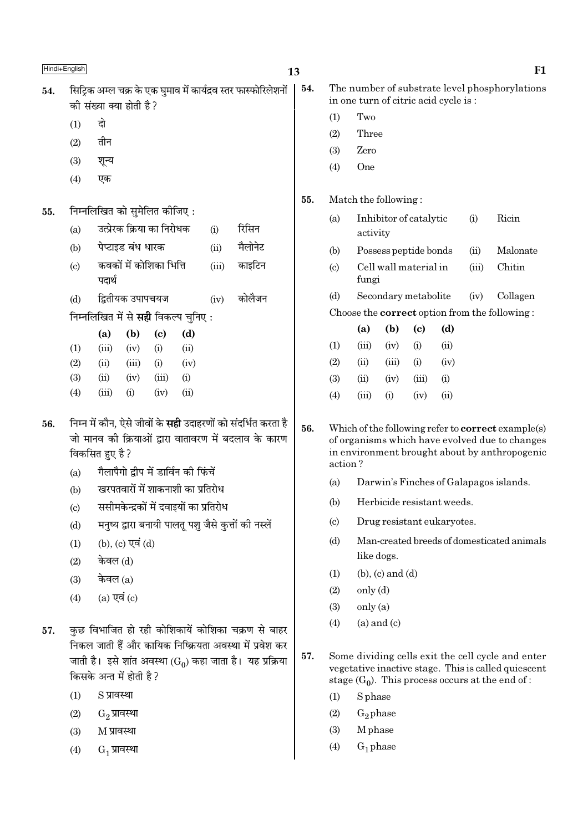| 54. सिट्रिक अम्ल चक्र के एक घुमाव में कार्यद्रव स्तर फास्फोरिलेशनों |
|---------------------------------------------------------------------|
| की संख्या क्या होती है ?                                            |
| $(1)$ दो                                                            |

- दो
- तीन  $(2)$
- $(3)$ शून्य
- एक  $(4)$
- निम्नलिखित को सुमेलित कीजिए: 55.

| (a) |  | उत्प्रेरक क्रिया का निरोधक | रिसिन |
|-----|--|----------------------------|-------|

- पेप्टाइड बंध धारक  $(b)$  $(ii)$ मैलोनेट
- कवकों में कोशिका भित्ति  $\left( \mathrm{e}\right)$  $(iii)$ काइटिन पदार्थ
- द्वितीयक उपापचयज कोलैजन  $(b)$  $(iv)$
- निम्नलिखित में से **सही** विकल्प चुनिए :

|                   | (a)   | (b)   | (c)   | (d)  |
|-------------------|-------|-------|-------|------|
| $\left( 1\right)$ | (iii) | (iv)  | (i)   | (ii) |
| $\left( 2\right)$ | (ii)  | (iii) | (i)   | (iv) |
| 3)                | (ii)  | (iv)  | (iii) | (i)  |
| $\left( 4\right)$ | (iii) | (i)   | (iv)  | (ii) |

- निम्न में कौन, ऐसे जीवों के **सही** उदाहरणों को संदर्भित करता है 56. जो मानव की क्रियाओं द्वारा वातावरण में बदलाव के कारण विकसित हुए है ?
	- गैलापैगो द्वीप में डार्विन की फिंचें  $(a)$
	- खरपतवारों में शाकनाशी का प्रतिरोध  $(b)$
	- ससीमकेन्द्रकों में दवाइयों का प्रतिरोध  $(c)$
	- मनुष्य द्वारा बनायी पालतू पशु जैसे कुत्तों की नस्लें  $(d)$
	- (b), (c) एवं (d)  $(1)$
	- केवल (d)  $(2)$
	- केवल $(a)$  $(3)$
	- $(a)$  एवं  $(c)$  $(4)$
- कुछ विभाजित हो रही कोशिकायें कोशिका चक्रण से बाहर 57. निकल जाती हैं और कायिक निष्क्रियता अवस्था में प्रवेश कर जाती है। इसे शांत अवस्था (G<sub>0</sub>) कहा जाता है। यह प्रक्रिया किसके अन्त में होती है ?
	- S प्रावस्था  $(1)$
	- $(2)$ G<sub>2</sub> प्रावस्था
	- $(3)$ M प्रावस्था
	- $G_1$  प्रावस्था  $(4)$
- 54. The number of substrate level phosphorylations in one turn of citric acid cycle is:
	- Two  $(1)$
	- $(2)$ Three
	- Zero  $(3)$
	- $(4)$ One
- 55. Match the following:
	- $(a)$ Inhibitor of catalytic  $(i)$ Ricin activity
	- $(b)$ Possess peptide bonds  $(ii)$ Malonate
	- Cell wall material in Chitin  $(c)$  $(iii)$ fungi
	- $(d)$ Secondary metabolite  $(iv)$ Collagen

Choose the **correct** option from the following:

|                   | (a)   | (b)       | (c)   | (d)  |
|-------------------|-------|-----------|-------|------|
| (1)               | (iii) | (iv)      | (i)   | (ii) |
| (2)               | (ii)  | (iii)     | (i)   | (iv) |
| (3)               | (ii)  | (iv)      | (iii) | (i)  |
| $\left( 4\right)$ | (iii) | $\rm (i)$ | (iv)  | (ii) |

- 56. Which of the following refer to **correct** example(s) of organisms which have evolved due to changes in environment brought about by anthropogenic action?
	- $(a)$ Darwin's Finches of Galapagos islands.
	- $(b)$ Herbicide resistant weeds.
	- $(c)$ Drug resistant eukaryotes.
	- $(d)$ Man-created breeds of domesticated animals like dogs.
	- $(1)$  $(b)$ ,  $(c)$  and  $(d)$
	- $(2)$  $only (d)$
	- $(3)$  $onlv(a)$
	- $(a)$  and  $(c)$  $(4)$
- 57. Some dividing cells exit the cell cycle and enter vegetative inactive stage. This is called quiescent stage  $(G_0)$ . This process occurs at the end of:
	- **S** phase  $(1)$
	- $(2)$  $G<sub>2</sub>$  phase
	- M<sub>phase</sub>  $(3)$
	- $(4)$  $G_1$  phase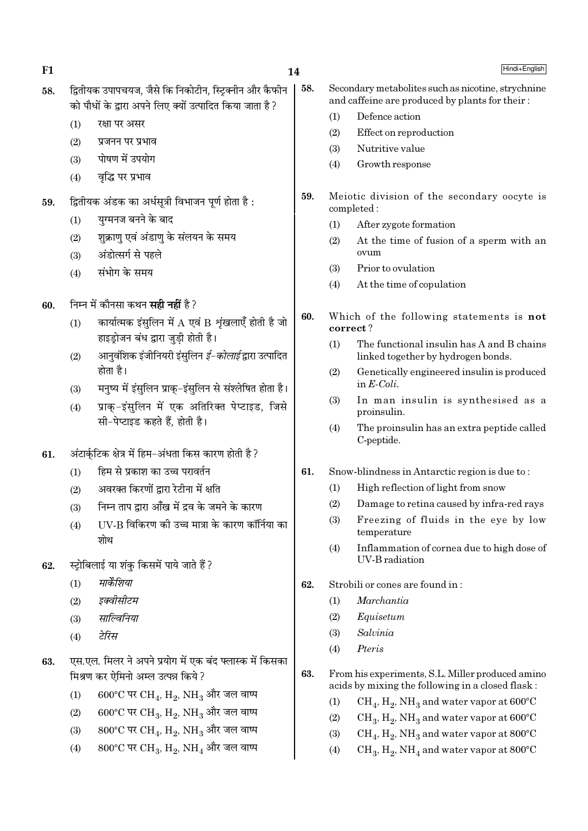58.

- द्वितीयक उपापचयज, जैसे कि निकोटीन, स्टिक्नीन और कैफीन 58. को पौधों के द्वारा अपने लिए क्यों उत्पादित किया जाता है ?
	- $(1)$ रक्षा पर असर
	- $(2)$ प्रजनन पर प्रभाव
	- पोषण में उपयोग  $(3)$
	- वद्धि पर प्रभाव  $(4)$
- द्वितीयक अंडक का अर्धसूत्री विभाजन पूर्ण होता है: 59.
	- युग्मनज बनने के बाद  $(1)$
	- शुक्राण एवं अंडाण के संलयन के समय  $(2)$
	- अंडोत्सर्ग से पहले  $(3)$
	- संभोग के समय  $(4)$
- निम्न में कौनसा कथन **सही नहीं** है ? 60.
	- कार्यात्मक इंसुलिन में  ${\rm A}$  एवं  ${\rm B}$  शृंखलाएँ होती है जो  $(1)$ हाइड़ोजन बंध द्वारा जुडी होती है।
	- आनवशिक इंजीनियरी इंसुलिन *ई-कोलाई* द्वारा उत्पादित  $(2)$ होता है।
	- मनुष्य में इंसुलिन प्राक्-इंसुलिन से संश्लेषित होता है।  $(3)$
	- प्राक-इंसुलिन में एक अतिरिक्त पेप्टाइड, जिसे  $(4)$ सी-पेप्टाइड कहते हैं. होती है।
- अंटार्कटिक क्षेत्र में हिम-अंधता किस कारण होती है ? 61.
	- हिम से प्रकाश का उच्च परावर्तन  $(1)$
	- अवरक्त किरणों द्वारा रेटीना में क्षति  $(2)$
	- निम्न ताप द्वारा आँख में द्रव के जमने के कारण  $(3)$
	- UV-B विकिरण की उच्च मात्रा के कारण कॉर्निया का  $(4)$ शोथ
- स्ट्रोबिलाई या शंक किसमें पाये जाते हैं ? 62.
	- मार्केशिया  $(1)$
	- इक्वीसीटम  $(2)$
	- साल्विनिया  $(3)$
	- टेरिस  $(4)$
- एस.एल. मिलर ने अपने प्रयोग में एक बंद फ्लास्क में किसका 63. मिश्रण कर ऐमिनो अम्ल उत्पन्न किये ?
	- $600^{\circ}$ C पर CH<sub>4</sub>, H<sub>2</sub>, NH<sub>3</sub> और जल वाष्प  $(1)$
	- $600^{\circ}$ C पर CH<sub>3</sub>, H<sub>2</sub>, NH<sub>3</sub> और जल वाष्प  $(2)$
	- 800°C पर CH<sub>4</sub>, H<sub>2</sub>, NH<sub>3</sub> और जल वाष्प  $(3)$
	- 800°C पर CH<sub>3</sub>, H<sub>2</sub>, NH<sub>4</sub> और जल वाष्प  $(4)$
- Secondary metabolites such as nicotine, strychnine and caffeine are produced by plants for their:
	- $(1)$ Defence action
	- $(2)$ Effect on reproduction
	- $(3)$ Nutritive value
	- Growth response  $(4)$
- 59. Meiotic division of the secondary oocyte is completed:
	- After zygote formation  $(1)$
	- At the time of fusion of a sperm with an  $(2)$ ovum
	- Prior to ovulation  $(3)$
	- $(4)$ At the time of copulation
- 60. Which of the following statements is not correct?
	- $(1)$ The functional insulin has A and B chains linked together by hydrogen bonds.
	- Genetically engineered insulin is produced  $(2)$ in  $E\text{-}Coli$ .
	- In man insulin is synthesised as a  $(3)$ proinsulin.
	- $(4)$ The proinsulin has an extra peptide called C-peptide.
- 61. Snow-blindness in Antarctic region is due to:
	- $(1)$ High reflection of light from snow
	- $(2)$ Damage to retina caused by infra-red rays
	- Freezing of fluids in the eye by low  $(3)$ temperature
	- Inflammation of cornea due to high dose of  $(4)$ **IIV-B** radiation
- 62. Strobili or cones are found in:
	- Marchantia  $(1)$
	- $(2)$ Equisetum
	- $(3)$ Salvinia
	- Pteris  $(4)$
- 63. From his experiments, S.L. Miller produced amino acids by mixing the following in a closed flask:
	- $CH_4$ ,  $H_2$ , NH<sub>3</sub> and water vapor at 600°C  $(1)$
	- $(2)$  $CH_3$ ,  $H_2$ , NH<sub>3</sub> and water vapor at 600°C
	- $CH_4$ ,  $H_2$ , NH<sub>3</sub> and water vapor at 800°C  $(3)$
	- $CH_3, H_2, NH_4$  and water vapor at 800°C  $(4)$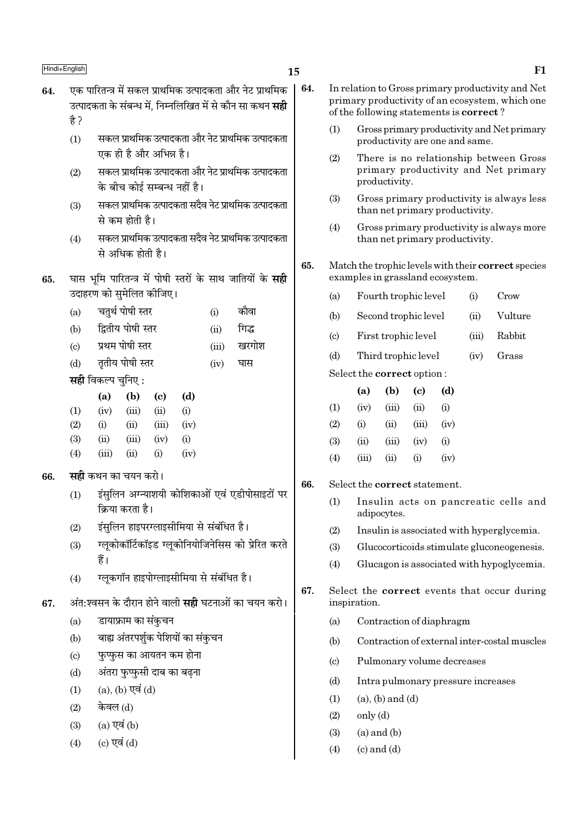# 15

- एक पारितन्त्र में सकल प्राथमिक उत्पादकता और नेट प्राथमिक 64. उत्पादकता के संबन्ध में. निम्नलिखित में से कौन सा कथन **सद्दी** है ?
	- सकल प्राथमिक उत्पादकता और नेट प्राथमिक उत्पादकता  $(1)$ एक ही है और अभिन्न है।
	- सकल प्राथमिक उत्पादकता और नेट प्राथमिक उत्पादकता  $(2)$ के बीच कोई सम्बन्ध नहीं है।
	- सकल प्राथमिक उत्पादकता सदैव नेट प्राथमिक उत्पादकता  $(3)$ से कम होती है।
	- सकल प्राथमिक उत्पादकता सदैव नेट प्राथमिक उत्पादकता  $(4)$ से अधिक होती है।
- घास भूमि पारितन्त्र में पोषी स्तरों के साथ जातियों के सही 65. उदाहरण को सुमेलित कीजिए।
	- चतुर्थ पोषी स्तर कौवा  $(a)$  $(i)$
	- द्वितीय पोषी स्तर  $(b)$ गिद्ध  $(ii)$
	- प्रथम पोषी स्तर खरगोश  $\left( \text{c} \right)$  $(iii)$
	- ततीय पोषी स्तर घास  $(d)$  $(iv)$
	- सही विकल्प चुनिए:

|     | (a)      | (b)   | (c)       | (d)      |
|-----|----------|-------|-----------|----------|
| (1) | (iv)     | (iii) | (ii)      | $\rm(i)$ |
| (2) | $\rm(i)$ | (i)   | (iii)     | (iv)     |
| (3) | (ii)     | (iii) | (iv)      | $\rm(i)$ |
| (4) | (iii)    | (ii)  | $\rm (i)$ | (iv)     |

- सद्दी कथन का चयन करो। 66.
	- इंसुलिन अग्न्याशयी कोशिकाओं एवं एडीपोसाइटों पर  $(1)$ क्रिया करता है।
	- इंसुलिन हाइपरग्लाइसीमिया से संबंधित है।  $(2)$
	- ग्लुकोकॉर्टिकॉइड ग्लुकोनियोजिनेसिस को प्रेरित करते  $(3)$ हैं।
	- ग्लकगॉन हाइपोग्लाइसीमिया से संबंधित है।  $(4)$
- अंत:श्वसन के दौरान होने वाली **सद्दी** घटनाओं का चयन करो। 67.
	- डायाफ्राम का संकुचन  $(a)$
	- बाह्य अंतरपर्शक पेशियों का संकुचन  $(b)$
	- फप्फस का आयतन कम होना  $\left( \mathrm{c}\right)$
	- अंतरा फप्फसी दाब का बढना  $(d)$
	- $(a)$ ,  $(b)$  एवं  $(d)$  $(1)$
	- केवल (d)  $(2)$
	- $(a)$  एवं  $(b)$  $(3)$
	- (c) एवं (d)  $(4)$
- 64. In relation to Gross primary productivity and Net primary productivity of an ecosystem, which one of the following statements is **correct**?
	- $(1)$ Gross primary productivity and Net primary productivity are one and same.
	- $(2)$ There is no relationship between Gross primary productivity and Net primary productivity.
	- $(3)$ Gross primary productivity is always less than net primary productivity.
	- $(4)$ Gross primary productivity is always more than net primary productivity.
- 65. Match the trophic levels with their correct species examples in grassland ecosystem.
	- $(a)$ Fourth trophic level  $(i)$ Crow
	- Second trophic level Vulture  $(b)$  $(ii)$
	- Rabbit  $\left( \mathrm{c}\right)$ First trophic level  $(iii)$
	- $(d)$ Third trophic level  $(iv)$ Grass

Select the **correct** option:

|            | (a)   | (b)    | (c)                | (d)  |
|------------|-------|--------|--------------------|------|
| (1)        | (iv)  | (iii)  | (ii)               | (i)  |
| (2)        | (i)   | $\sin$ | (iii)              | (iv) |
| <b>(3)</b> | (ii)  | (iii)  | (iv)               | (i)  |
| (4)        | (iii) | (11)   | $\left( 1 \right)$ | (iv) |

- 66. Select the correct statement.
	- $(1)$ Insulin acts on pancreatic cells and adipocytes.
	- $(2)$ Insulin is associated with hyperglycemia.
	- $(3)$ Glucocorticoids stimulate gluconeogenesis.
	- $(4)$ Glucagon is associated with hypoglycemia.
- 67. Select the **correct** events that occur during inspiration.
	- Contraction of diaphragm  $(a)$
	- $(b)$ Contraction of external inter-costal muscles
	- Pulmonary volume decreases  $(c)$
	- Intra pulmonary pressure increases  $(d)$
	- $(a)$ ,  $(b)$  and  $(d)$  $(1)$
	- $(2)$  $only (d)$
	- $(3)$  $(a)$  and  $(b)$
	- $(4)$  $(c)$  and  $(d)$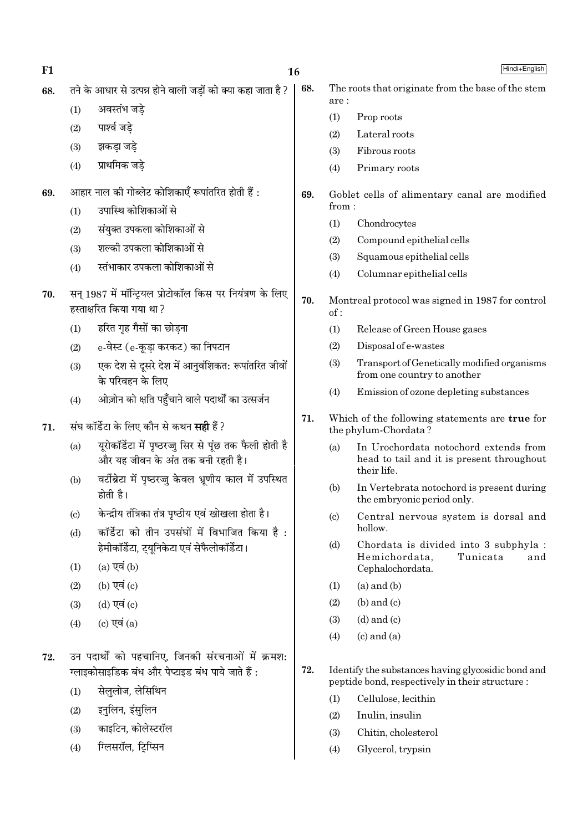| F1  |                            |                                                                                                        | 16  |                             | Hindi+English                                                                                         |
|-----|----------------------------|--------------------------------------------------------------------------------------------------------|-----|-----------------------------|-------------------------------------------------------------------------------------------------------|
| 68. |                            | तने के आधार से उत्पन्न होने वाली जड़ों को क्या कहा जाता है ?                                           | 68. |                             | The roots that originate from the base of the stem                                                    |
|     | (1)                        | अवस्तंभ जडे                                                                                            |     | are :<br>(1)                | Prop roots                                                                                            |
|     | (2)                        | पार्श्व जडे                                                                                            |     | (2)                         | Lateral roots                                                                                         |
|     | (3)                        | झकड़ा जड़े                                                                                             |     | (3)                         | Fibrous roots                                                                                         |
|     | (4)                        | प्राथमिक जडे                                                                                           |     | (4)                         | Primary roots                                                                                         |
| 69. |                            | आहार नाल की गोब्लेट कोशिकाएँ रूपांतरित होती हैं :                                                      | 69. |                             | Goblet cells of alimentary canal are modified                                                         |
|     | (1)                        | उपास्थि कोशिकाओं से                                                                                    |     | from:                       |                                                                                                       |
|     | (2)                        | संयुक्त उपकला कोशिकाओं से                                                                              |     | (1)                         | Chondrocytes                                                                                          |
|     | (3)                        | शल्की उपकला कोशिकाओं से                                                                                |     | (2)                         | Compound epithelial cells                                                                             |
|     | (4)                        | स्तंभाकार उपकला कोशिकाओं से                                                                            |     | (3)<br>(4)                  | Squamous epithelial cells<br>Columnar epithelial cells                                                |
| 70. |                            | सन् 1987 में मॉन्ट्रियल प्रोटोकॉल किस पर नियंत्रण के लिए<br>हस्ताक्षरित किया गया था?                   | 70. | of:                         | Montreal protocol was signed in 1987 for control                                                      |
|     | (1)                        | हरित गृह गैसों का छोड़ना                                                                               |     | (1)                         | Release of Green House gases                                                                          |
|     | (2)                        | e-वेस्ट (e-कूड़ा करकट) का निपटान                                                                       |     | (2)                         | Disposal of e-wastes                                                                                  |
|     | (3)                        | एक देश से दूसरे देश में आनुवंशिकत: रूपांतरित जीवों<br>के परिवहन के लिए                                 |     | (3)                         | Transport of Genetically modified organisms<br>from one country to another                            |
|     | (4)                        | ओज़ोन को क्षति पहुँचाने वाले पदार्थों का उत्सर्जन                                                      |     | (4)                         | Emission of ozone depleting substances                                                                |
| 71. |                            | संघ कॉर्डेटा के लिए कौन से कथन <b>सही</b> हैं ?                                                        | 71. |                             | Which of the following statements are true for<br>the phylum-Chordata?                                |
|     | (a)                        | यूरोकॉर्डेटा में पृष्ठरज्जु सिर से पूंछ तक फैली होती है<br>और यह जीवन के अंत तक बनी रहती है।           |     | (a)                         | In Urochordata notochord extends from<br>head to tail and it is present throughout<br>their life.     |
|     | (b)                        | वर्टीब्रेटा में पृष्ठरज्जु केवल भ्रूणीय काल में उपस्थित<br>होती है।                                    |     | (b)                         | In Vertebrata notochord is present during<br>the embryonic period only.                               |
|     | $\left( \mathrm{c}\right)$ | केन्द्रीय तंत्रिका तंत्र पृष्ठीय एवं खोखला होता है।                                                    |     | $\left( \mathrm{c} \right)$ | Central nervous system is dorsal and                                                                  |
|     | (d)                        | कॉर्डेटा को तीन उपसंघों में विभाजित किया है:<br>हेमीकॉर्डेटा, ट्यूनिकेटा एवं सेफैलोकॉर्डेटा।           |     | (d)                         | hollow.<br>Chordata is divided into 3 subphyla :                                                      |
|     | (1)                        | $(a)$ एवं $(b)$                                                                                        |     |                             | Tunicata<br>Hemichordata,<br>and<br>Cephalochordata.                                                  |
|     | (2)                        | (b) एवं $(c)$                                                                                          |     | (1)                         | $(a)$ and $(b)$                                                                                       |
|     | (3)                        | $(d)$ एवं $(c)$                                                                                        |     | (2)                         | $(b)$ and $(c)$                                                                                       |
|     | (4)                        | (c) एवं $(a)$                                                                                          |     | (3)                         | $(d)$ and $(c)$                                                                                       |
|     |                            |                                                                                                        |     | (4)                         | $(c)$ and $(a)$                                                                                       |
| 72. |                            | उन पदार्थों को पहचानिए, जिनकी संरचनाओं में क्रमश:<br>ग्लाइकोसाइडिक बंध और पेप्टाइड बंध पाये जाते हैं : | 72. |                             | Identify the substances having glycosidic bond and<br>peptide bond, respectively in their structure : |
|     | (1)                        | सेलुलोज, लेसिथिन                                                                                       |     | (1)                         | Cellulose, lecithin                                                                                   |
|     | (2)                        | इनुलिन, इंसुलिन                                                                                        |     | (2)                         | Inulin, insulin                                                                                       |
|     | (3)                        | काइटिन, कोलेस्टरॉल                                                                                     |     | (3)                         | Chitin, cholesterol                                                                                   |
|     | (4)                        | ग्लिसरॉल, ट्रिप्सिन                                                                                    |     | (4)                         | Glycerol, trypsin                                                                                     |
|     |                            |                                                                                                        |     |                             |                                                                                                       |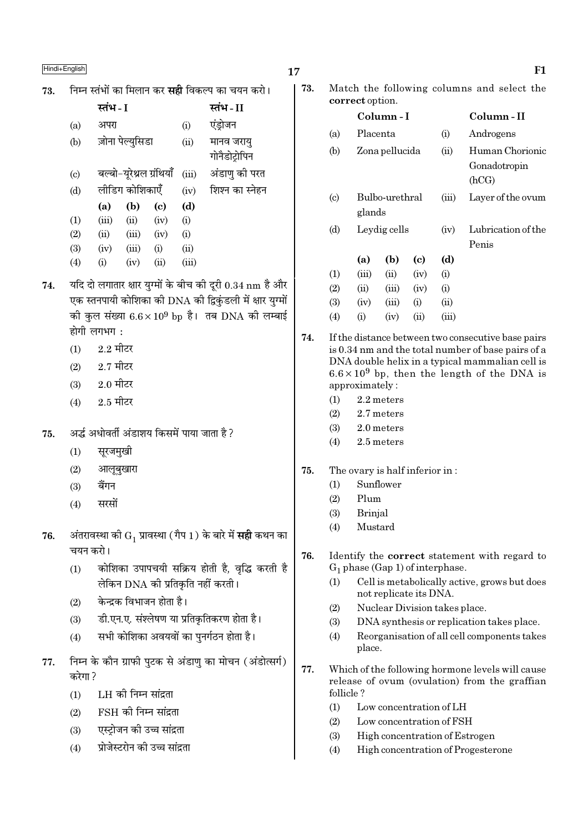निम्न स्तंभों का मिलान कर **सद्दी** विकल्प का चयन करो। 73.

|                            | स्तंभ - I |                          |      |       | स्तंभ - II      |
|----------------------------|-----------|--------------------------|------|-------|-----------------|
| (a)                        | अपरा      |                          |      | (i)   | एंड्रोजन        |
| (b)                        |           | ज़ोना पेल्युसिडा         |      | (ii)  | मानव जरायु      |
|                            |           |                          |      |       | गोनैडोट्रोपिन   |
| $\left( \mathrm{c}\right)$ |           | बल्बो-यूरेथ्रल ग्रंथियाँ |      | (iii) | अंडाणु की परत   |
| (d)                        |           | लीडिग कोशिकाएँ           |      | (iv)  | शिश्न का स्नेहन |
|                            | (a)       | (b)                      | (c)  | (d)   |                 |
| (1)                        | (iii)     | (ii)                     | (iv) | (i)   |                 |
| (2)                        | (ii)      | (iii)                    | (iv) | (i)   |                 |
| (3)                        | (iv)      | (iii)                    | (i)  | (ii)  |                 |
| (4)                        | (i)       | (iv)                     | (ii) | (iii) |                 |
|                            |           |                          |      |       |                 |

- 74. यदि दो लगातार क्षार युग्मों के बीच की दूरी 0.34 nm है और एक स्तनपायी कोशिका की DNA की द्विकुंडली में क्षार युग्मों की कुल संख्या  $6.6 \times 10^9$  bp है। तब DNA की लम्बाई होगी लगभग $\cdot$ 
	- $2.2$  मीटर  $(1)$
	- $2.7$  मीटर  $(2)$
	- $2.0$  मीटर  $(3)$
	- $2.5$  मीटर  $(4)$
- अर्द्ध अधोवर्ती अंडाशय किसमें पाया जाता है ? 75.
	- $(1)$ सुरजमुखी
	- $(2)$ आलूबुखारा
	- बैंगन  $(3)$
	- सरसों  $(4)$
- अंतरावस्था की  $\mathrm{G}_1$  प्रावस्था (गैप 1) के बारे में <mark>सही</mark> कथन का 76. चयन करो।
	- कोशिका उपापचयी सक्रिय होती है, वृद्धि करती है  $(1)$ लेकिन DNA की प्रतिकृति नहीं करती।
	- केन्दक विभाजन होता है।  $(2)$
	- डी.एन.ए. संश्लेषण या प्रतिकृतिकरण होता है।  $(3)$
	- सभी कोशिका अवयवों का पुनर्गठन होता है।  $(4)$
- निम्न के कौन ग्राफी पुटक से अंडाणु का मोचन (अंडोत्सर्ग) 77. करेगा ?
	- LH की निम्न सांद्रता  $(1)$
	- $\overline{\text{FSH}}$  की निम्न सांद्रता  $(2)$
	- एस्टोजन की उच्च सांद्रता  $(3)$
	- प्रोजेस्टरोन की उच्च सांद्रता  $(4)$
- 17
	- 73. Match the following columns and select the correct option.

|                             |          | Column - I     |      |       | Column - II                              |
|-----------------------------|----------|----------------|------|-------|------------------------------------------|
| (a)                         | Placenta |                |      | (i)   | Androgens                                |
| (b)                         |          | Zona pellucida |      | (ii)  | Human Chorionic<br>Gonadotropin<br>(hCG) |
| $\left( \mathrm{c} \right)$ | glands   | Bulbo-urethral |      | (iii) | Layer of the ovum                        |
| (d)                         |          | Leydig cells   |      | (iv)  | Lubrication of the<br>Penis              |
|                             | (a)      | (b)            | (c)  | (d)   |                                          |
| (1)                         | (iii)    | (ii)           | (iv) | (i)   |                                          |
| (2)                         | (ii)     | (iii)          | (iv) | (i)   |                                          |
| (3)                         | (iv)     | (iii)          | (i)  | (ii)  |                                          |
| $\left( 4\right)$           | (i)      | (iv)           | (ii) | (iii) |                                          |

- 74. If the distance between two consecutive base pairs is 0.34 nm and the total number of base pairs of a DNA double helix in a typical mammalian cell is  $6.6 \times 10^9$  bp, then the length of the DNA is approximately:
	- $(1)$  $2.2$  meters
	- $(2)$ 2.7 meters
	- $(3)$ 2.0 meters
	- $(4)$ 2.5 meters
- 75. The ovary is half inferior in:
	- Sunflower  $(1)$
	- $(2)$ Plum
	- **Brinial**  $(3)$
	- Mustard  $(4)$
- 76. Identify the correct statement with regard to  $G_1$  phase (Gap 1) of interphase.
	- Cell is metabolically active, grows but does  $(1)$ not replicate its DNA.
	- $(2)$ Nuclear Division takes place.
	- $(3)$ DNA synthesis or replication takes place.
	- $(4)$ Reorganisation of all cell components takes place.
- 77. Which of the following hormone levels will cause release of ovum (ovulation) from the graffian follicle?
	- $(1)$ Low concentration of LH
	- $(2)$ Low concentration of FSH
	- $(3)$ High concentration of Estrogen
	- $(4)$ High concentration of Progesterone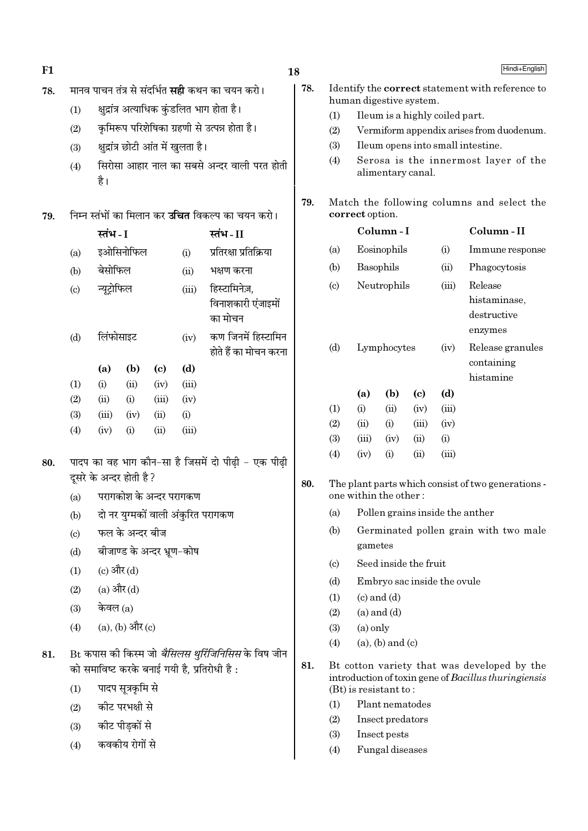| F1  |                                                     |                          |                                     |                            |               |                                                                                                          | Hindi+English<br>18 |                                                               |                                                           |                                                                            |                            |                                        |                                                                                                     |
|-----|-----------------------------------------------------|--------------------------|-------------------------------------|----------------------------|---------------|----------------------------------------------------------------------------------------------------------|---------------------|---------------------------------------------------------------|-----------------------------------------------------------|----------------------------------------------------------------------------|----------------------------|----------------------------------------|-----------------------------------------------------------------------------------------------------|
| 78. |                                                     |                          |                                     |                            |               | मानव पाचन तंत्र से संदर्भित <b>सही</b> कथन का चयन करो।                                                   | 78.                 |                                                               |                                                           |                                                                            |                            |                                        | Identify the correct statement with reference to                                                    |
|     | (1)                                                 |                          |                                     |                            |               | क्षुद्रांत्र अत्याधिक कुंडलित भाग होता है।                                                               |                     | (1)                                                           | human digestive system.                                   |                                                                            |                            |                                        |                                                                                                     |
|     | (2)                                                 |                          |                                     |                            |               | कृमिरूप परिशेषिका ग्रहणी से उत्पन्न होता है।                                                             |                     | (2)                                                           |                                                           | Ileum is a highly coiled part.<br>Vermiform appendix arises from duodenum. |                            |                                        |                                                                                                     |
|     | (3)                                                 |                          | क्षुद्रांत्र छोटी आंत में खुलता है। |                            |               |                                                                                                          |                     | (3)                                                           | Ileum opens into small intestine.                         |                                                                            |                            |                                        |                                                                                                     |
|     | (4)                                                 | है।                      |                                     |                            |               | सिरोसा आहार नाल का सबसे अन्दर वाली परत होती                                                              |                     | (4)                                                           |                                                           | alimentary canal.                                                          |                            |                                        | Serosa is the innermost layer of the                                                                |
| 79. |                                                     |                          |                                     |                            |               | निम्न स्तंभों का मिलान कर <b>उचित</b> विकल्प का चयन करो।                                                 | 79.                 | Match the following columns and select the<br>correct option. |                                                           |                                                                            |                            |                                        |                                                                                                     |
|     |                                                     | स्तंभ - I                |                                     |                            |               | स्तंभ-II                                                                                                 |                     |                                                               |                                                           | Column-I                                                                   |                            |                                        | Column-II                                                                                           |
|     | (a)                                                 |                          | इओसिनोफिल                           |                            | (i)           | प्रतिरक्षा प्रतिक्रिया                                                                                   |                     | (a)                                                           |                                                           | Eosinophils                                                                |                            | (i)                                    | Immune response                                                                                     |
|     | (b)                                                 | बेसोफिल                  |                                     |                            | (ii)          | भक्षण करना                                                                                               |                     | (b)                                                           |                                                           | Basophils                                                                  |                            | (ii)                                   | Phagocytosis                                                                                        |
|     | $\left( \mathrm{c}\right)$                          | न्यूट्रोफिल              |                                     |                            | (iii)         | हिस्टामिनेज़,<br>विनाशकारी एंजाइमों<br>का मोचन                                                           |                     | $\left( \circ \right)$                                        |                                                           | Neutrophils                                                                |                            | Release<br>histaminase,<br>destructive |                                                                                                     |
|     | (d)                                                 | लिंफोसाइट<br>(iv)        |                                     |                            |               | कण जिनमें हिस्टामिन<br>होते हैं का मोचन करना                                                             |                     | (d)                                                           | Lymphocytes                                               |                                                                            |                            | (iv)                                   | enzymes<br>Release granules<br>containing                                                           |
|     |                                                     | (a)                      | (b)                                 | $\left( \mathrm{c}\right)$ | (d)           |                                                                                                          |                     |                                                               |                                                           |                                                                            |                            |                                        | histamine                                                                                           |
|     | (1)<br>(2)                                          | (i)<br>(ii)              | (ii)<br>(i)                         | (iv)<br>(iii)              | (iii)<br>(iv) |                                                                                                          |                     |                                                               | (a)                                                       | (b)                                                                        | $\left( \mathrm{c}\right)$ | (d)                                    |                                                                                                     |
|     | (3)                                                 | (iii)                    | (iv)                                | (ii)                       | (i)           |                                                                                                          |                     | (1)                                                           | (i)                                                       | (ii)                                                                       | (iv)                       | (iii)                                  |                                                                                                     |
|     | (4)                                                 | (iv)                     | (i)                                 | (ii)                       | (iii)         |                                                                                                          |                     | (2)                                                           | (ii)                                                      | (i)                                                                        | (iii)                      | (iv)                                   |                                                                                                     |
|     |                                                     |                          |                                     |                            |               |                                                                                                          |                     | (3)                                                           | (iii)                                                     | (iv)                                                                       | (ii)                       | (i)                                    |                                                                                                     |
| 80. | पादप का वह भाग कौन-सा है जिसमें दो पीढ़ी - एक पीढ़ी |                          |                                     |                            |               |                                                                                                          |                     | (4)                                                           | (iv)                                                      | (i)                                                                        | (ii)                       | (iii)                                  |                                                                                                     |
|     |                                                     | दूसरे के अन्दर होती है ? |                                     |                            |               |                                                                                                          |                     |                                                               | 80.<br>The plant parts which consist of two generations - |                                                                            |                            |                                        |                                                                                                     |
|     | (a)                                                 |                          | परागकोश के अन्दर परागकण             |                            |               |                                                                                                          |                     |                                                               | one within the other:                                     |                                                                            |                            |                                        |                                                                                                     |
|     | (b)                                                 |                          |                                     |                            |               | दो नर युग्मकों वाली अंकुरित परागकण                                                                       |                     | (a)                                                           |                                                           |                                                                            |                            |                                        | Pollen grains inside the anther                                                                     |
|     | (c)                                                 |                          | फल के अन्दर बीज                     |                            |               |                                                                                                          |                     | (b)                                                           |                                                           |                                                                            |                            |                                        | Germinated pollen grain with two male                                                               |
|     | (d)                                                 |                          | बीजाण्ड के अन्दर भ्रूण-कोष          |                            |               |                                                                                                          |                     |                                                               | gametes                                                   |                                                                            |                            |                                        |                                                                                                     |
|     | (1)                                                 |                          | (c) और (d)                          |                            |               |                                                                                                          |                     | $\left( \circ \right)$                                        |                                                           | Seed inside the fruit                                                      |                            |                                        |                                                                                                     |
|     | (2)                                                 |                          | (a) और (d)                          |                            |               |                                                                                                          |                     | (d)                                                           |                                                           |                                                                            |                            | Embryo sac inside the ovule            |                                                                                                     |
|     | (3)                                                 | केवल (a)                 |                                     |                            |               |                                                                                                          |                     | (1)                                                           |                                                           | $(c)$ and $(d)$                                                            |                            |                                        |                                                                                                     |
|     | (4)                                                 |                          | $(a)$ , $(b)$ और $(c)$              |                            |               |                                                                                                          |                     | (2)<br>(3)                                                    | $(a)$ only                                                | $(a)$ and $(d)$                                                            |                            |                                        |                                                                                                     |
|     |                                                     |                          |                                     |                            |               |                                                                                                          |                     | (4)                                                           |                                                           | $(a)$ , $(b)$ and $(c)$                                                    |                            |                                        |                                                                                                     |
| 81. |                                                     |                          |                                     |                            |               | Bt कपास की किस्म जो <i>बैसिलस थुरिंजिनिसिस</i> के विष जीन<br>को समाविष्ट करके बनाई गयी है, प्रतिरोधी है: | 81.                 |                                                               |                                                           |                                                                            |                            |                                        | Bt cotton variety that was developed by the<br>introduction of toxin gene of Bacillus thuringiensis |
|     | (1)                                                 |                          | पादप सूत्रकृमि से                   |                            |               |                                                                                                          |                     |                                                               | $(Bt)$ is resistant to:                                   |                                                                            |                            |                                        |                                                                                                     |
|     | (2)                                                 |                          | कीट परभक्षी से                      |                            |               |                                                                                                          |                     | (1)                                                           |                                                           | Plant nematodes                                                            |                            |                                        |                                                                                                     |
|     | (3)                                                 |                          | कीट पीड़कों से                      |                            |               |                                                                                                          |                     | (2)                                                           |                                                           | Insect predators                                                           |                            |                                        |                                                                                                     |
|     | (4)                                                 |                          | कवकीय रोगों से                      |                            |               |                                                                                                          |                     | (3)                                                           |                                                           | Insect pests                                                               |                            |                                        |                                                                                                     |
|     |                                                     |                          |                                     |                            |               |                                                                                                          |                     | (4)                                                           |                                                           | Fungal diseases                                                            |                            |                                        |                                                                                                     |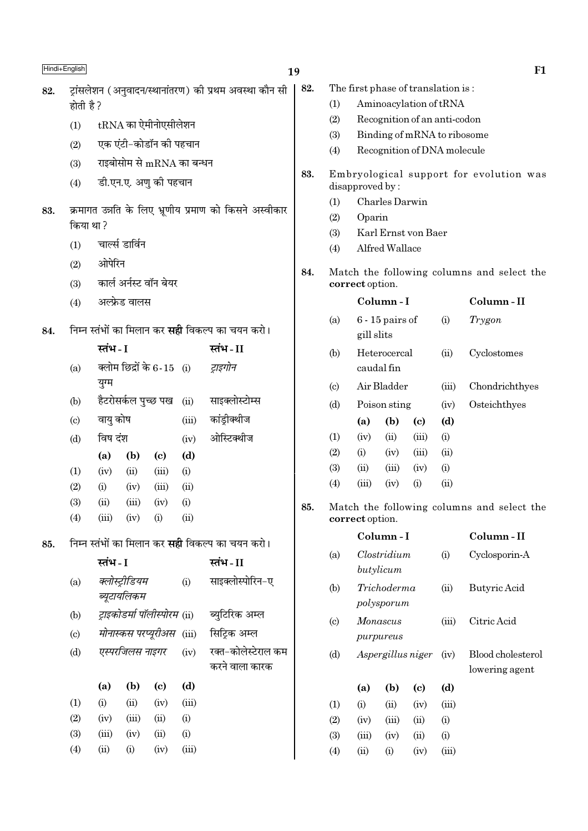| Hindi+English |                                                        |                         |                               |                                       |       | 19                                                                           |                           |                        |                                    |                                     |                            |       | F1                                         |
|---------------|--------------------------------------------------------|-------------------------|-------------------------------|---------------------------------------|-------|------------------------------------------------------------------------------|---------------------------|------------------------|------------------------------------|-------------------------------------|----------------------------|-------|--------------------------------------------|
| 82.           | ट्रांसलेशन (अनुवादन/स्थानांतरण) की प्रथम अवस्था कौन सी |                         |                               |                                       |       | 82.                                                                          |                           |                        | The first phase of translation is: |                                     |                            |       |                                            |
|               | होती है ?                                              |                         |                               |                                       |       |                                                                              |                           | (1)                    |                                    | Aminoacylation of tRNA              |                            |       |                                            |
|               | (1)                                                    |                         |                               | $tRNA$ का ऐमीनोएसीलेशन                |       |                                                                              |                           | (2)                    |                                    | Recognition of an anti-codon        |                            |       |                                            |
|               | (2)                                                    |                         |                               | एक एंटी-कोडॉन की पहचान                |       |                                                                              |                           |                        | (3)<br>Binding of mRNA to ribosome |                                     |                            |       |                                            |
|               | (3)                                                    |                         |                               | राइबोसोम से $mRNA$ का बन्धन           |       |                                                                              |                           | (4)                    |                                    | Recognition of DNA molecule         |                            |       |                                            |
|               | डी.एन.ए. अणु की पहचान<br>(4)                           |                         |                               |                                       | 83.   | Embryological support for evolution was<br>disapproved by:<br>Charles Darwin |                           |                        |                                    |                                     |                            |       |                                            |
|               |                                                        |                         |                               |                                       |       |                                                                              |                           |                        |                                    |                                     |                            |       |                                            |
| 83.           |                                                        |                         |                               |                                       |       | क्रमागत उन्नति के लिए भ्रूणीय प्रमाण को किसने अस्वीकार                       |                           | (1)<br>(2)             | Oparin                             |                                     |                            |       |                                            |
|               | किया था ?                                              |                         |                               |                                       |       |                                                                              |                           | (3)                    |                                    | Karl Ernst von Baer                 |                            |       |                                            |
|               | (1)                                                    |                         | चार्ल्स डार्विन               |                                       |       |                                                                              |                           | (4)                    |                                    | Alfred Wallace                      |                            |       |                                            |
|               | (2)                                                    | ओपेरिन                  |                               |                                       |       |                                                                              |                           |                        |                                    |                                     |                            |       |                                            |
|               | (3)                                                    | कार्ल अर्नस्ट वॉन बेयर  |                               |                                       |       |                                                                              | 84.                       |                        | correct option.                    |                                     |                            |       | Match the following columns and select the |
|               | (4)                                                    |                         | अल्फ्रेड वालस                 |                                       |       |                                                                              |                           |                        |                                    | Column-I                            |                            |       | Column-II                                  |
| 84.           |                                                        |                         |                               |                                       |       | निम्न स्तंभों का मिलान कर <b>सही</b> विकल्प का चयन करो।                      |                           | (a)                    | gill slits                         | $6 - 15$ pairs of                   |                            | (i)   | Trygon                                     |
|               |                                                        | स्तंभ - I               |                               |                                       |       | स्तंभ-II                                                                     |                           | (b)                    |                                    | Heterocercal                        |                            | (ii)  | Cyclostomes                                |
|               | (a)                                                    |                         |                               | क्लोम छिद्रों के 6-15 (i)             |       | ट्राइगोन                                                                     |                           |                        | caudal fin                         |                                     |                            |       |                                            |
|               |                                                        | युग्म                   |                               |                                       |       |                                                                              |                           | $\left( \circ \right)$ |                                    | Air Bladder                         |                            | (iii) | Chondrichthyes                             |
|               | (b)                                                    |                         | हैटरोसर्कल पुच्छ पख           |                                       | (ii)  | साइक्लोस्टोम्स                                                               |                           | (d)                    |                                    | Poison sting                        |                            | (iv)  | Osteichthyes                               |
|               | (c)                                                    | वायु कोष                |                               |                                       | (iii) | कांड्रीक्थीज                                                                 |                           |                        | (a)                                | (b)                                 | $\left( \mathrm{c}\right)$ | (d)   |                                            |
|               | (d)                                                    | विष दंश                 |                               |                                       | (iv)  | ओस्टिक्थीज                                                                   |                           | (1)                    | (iv)                               | (ii)                                | (iii)                      | (i)   |                                            |
|               |                                                        | (a)                     | (b)                           | $\left( \mathbf{c} \right)$           | (d)   |                                                                              |                           | (2)                    | (i)                                | (iv)                                | (iii)                      | (ii)  |                                            |
|               | (1)                                                    | (iv)                    | (ii)                          | (iii)                                 | (i)   |                                                                              |                           | (3)                    | (ii)                               | (iii)                               | (iv)                       | (i)   |                                            |
|               | (2)                                                    | (i)                     | (iv)                          | (iii)                                 | (ii)  |                                                                              |                           | (4)                    | (iii)                              | (iv)                                | (i)                        | (ii)  |                                            |
|               | (3)                                                    | (ii)                    | (iii)                         | (iv)                                  | (i)   |                                                                              | 85.                       |                        |                                    |                                     |                            |       | Match the following columns and select the |
|               | (4)                                                    | (iii)                   | (iv)                          | (i)                                   | (ii)  |                                                                              |                           |                        | correct option.                    |                                     |                            |       |                                            |
| 85.           |                                                        |                         |                               |                                       |       | निम्न स्तंभों का मिलान कर <b>सही</b> विकल्प का चयन करो।                      |                           |                        |                                    | Column-I                            |                            |       | Column-II                                  |
|               |                                                        | स्तंभ - I               |                               |                                       |       | स्तंभ - II                                                                   |                           | (a)                    |                                    | Clostridium<br>butylicum            |                            | (i)   | Cyclosporin-A                              |
|               | (a)                                                    |                         | क्लोस्ट्रीडियम<br>ब्यूटायलिकम |                                       | (i)   | साइक्लोस्पोरिन-ए                                                             |                           | (b)                    |                                    | Trichoderma<br>polysporum           |                            | (ii)  | Butyric Acid                               |
|               | (b)                                                    |                         |                               | ट्राइकोडर्मा पॉलीस्पोरम (ii)          |       | ब्युटिरिक अम्ल                                                               |                           | (c)                    | Monascus                           |                                     |                            | (iii) | Citric Acid                                |
|               | (c)                                                    |                         |                               | मोनास्कस परप्यूरीअस                   | (iii) | सिट्रिक अम्ल                                                                 |                           |                        |                                    | purpureus                           |                            |       |                                            |
|               | (d)                                                    | एस्परजिलस नाइगर<br>(iv) |                               | रक्त-कोलेस्टेराल कम<br>करने वाला कारक |       | (d)                                                                          | Aspergillus niger<br>(iv) |                        |                                    | Blood cholesterol<br>lowering agent |                            |       |                                            |
|               |                                                        | (a)                     | (b)                           | $\left( \mathbf{c} \right)$           | (d)   |                                                                              |                           |                        | (a)                                | (b)                                 | (c)                        | (d)   |                                            |
|               | (1)                                                    | (i)                     | (ii)                          | (iv)                                  | (iii) |                                                                              |                           | (1)                    | (i)                                | (ii)                                | (iv)                       | (iii) |                                            |
|               | (2)                                                    | (iv)                    | (iii)                         | (ii)                                  | (i)   |                                                                              |                           | (2)                    | (iv)                               | (iii)                               | (ii)                       | (i)   |                                            |
|               | (3)                                                    | (iii)                   | (iv)                          | (ii)                                  | (i)   |                                                                              |                           | (3)                    | (iii)                              | (iv)                                | (ii)                       | (i)   |                                            |
|               | (4)                                                    | (ii)                    | (i)                           | (iv)                                  | (iii) |                                                                              |                           | (4)                    | (ii)                               | (i)                                 | (iv)                       | (iii) |                                            |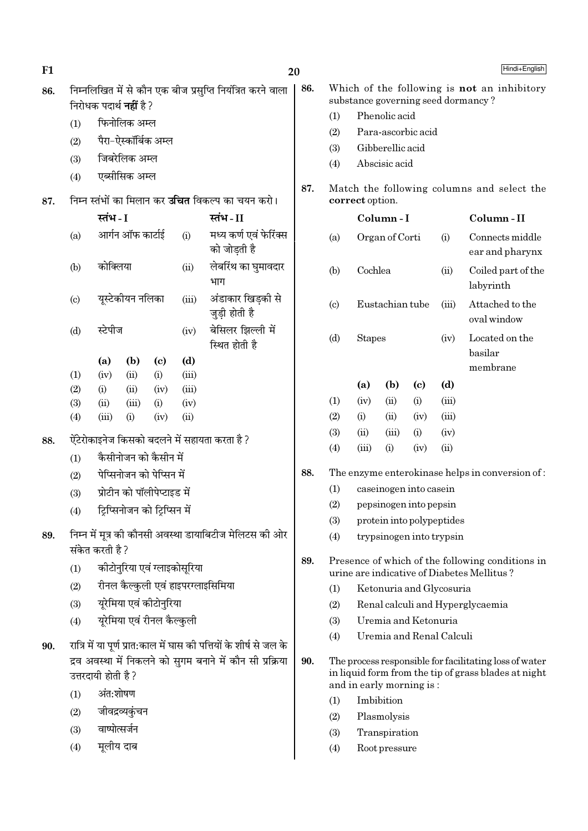| F1  |                                                                      |                                |                               |                             |                                    |                                                                     | Hindi+English<br>20 |                               |                               |                      |                            |                           |                                                                                                                |
|-----|----------------------------------------------------------------------|--------------------------------|-------------------------------|-----------------------------|------------------------------------|---------------------------------------------------------------------|---------------------|-------------------------------|-------------------------------|----------------------|----------------------------|---------------------------|----------------------------------------------------------------------------------------------------------------|
| 86. |                                                                      | निरोधक पदार्थ <b>नहीं</b> है ? |                               |                             |                                    | निम्नलिखित में से कौन एक बीज प्रसुप्ति नियंत्रित करने वाला          | 86.                 |                               |                               |                      |                            |                           | Which of the following is not an inhibitory<br>substance governing seed dormancy?                              |
|     |                                                                      |                                | फिनोलिक अम्ल                  |                             |                                    |                                                                     |                     | (1)                           |                               | Phenolic acid        |                            |                           |                                                                                                                |
|     | (1)                                                                  |                                |                               |                             |                                    |                                                                     |                     | (2)                           |                               | Para-ascorbic acid   |                            |                           |                                                                                                                |
|     | पैरा–ऐस्कॉर्बिक अम्ल<br>(2)<br>जिबरेलिक अम्ल<br>(3)<br>एब्सीसिक अम्ल |                                |                               |                             |                                    |                                                                     |                     | (3)                           | Gibberellic acid              |                      |                            |                           |                                                                                                                |
|     |                                                                      |                                |                               |                             |                                    |                                                                     |                     | (4)                           |                               | Abscisic acid        |                            |                           |                                                                                                                |
|     | (4)                                                                  |                                |                               |                             |                                    |                                                                     | 87.                 |                               |                               |                      |                            |                           | Match the following columns and select the                                                                     |
| 87. |                                                                      |                                |                               |                             |                                    | निम्न स्तंभों का मिलान कर <b>उचित</b> विकल्प का चयन करो।            |                     |                               | correct option.               |                      |                            |                           |                                                                                                                |
|     |                                                                      | स्तंभ - I                      |                               |                             |                                    | स्तंभ-II                                                            |                     |                               |                               | Column-I             |                            |                           | Column-II                                                                                                      |
|     | (a)                                                                  |                                | आर्गन ऑफ कार्टाई              |                             | (i)                                | मध्य कर्ण एवं फेरिंक्स<br>को जोड़ती है                              |                     | (a)                           |                               | Organ of Corti       |                            | (i)                       | Connects middle<br>ear and pharynx                                                                             |
|     | (b)                                                                  | कोक्लिया                       |                               |                             | (ii)                               | लेबरिंथ का घुमावदार<br>भाग                                          |                     | (b)                           | Cochlea<br>(ii)               |                      |                            |                           | Coiled part of the<br>labyrinth                                                                                |
|     | $\left( \text{c} \right)$                                            |                                | यूस्टेकीयन नलिका              |                             | (iii)                              | अंडाकार खिडकी से<br>जुड़ी होती है                                   |                     | $\left( \mathrm{c}\right)$    | Eustachian tube               |                      |                            | (iii)                     | Attached to the<br>oval window                                                                                 |
|     | (d)                                                                  | स्टेपीज                        |                               | (iv)                        | बेसिलर झिल्ली में<br>स्थित होती है |                                                                     | (d)                 | <b>Stapes</b>                 |                               | (iv)                 | Located on the<br>basilar  |                           |                                                                                                                |
|     |                                                                      | (a)                            | (b)                           | $\left( \mathbf{c} \right)$ | (d)                                |                                                                     |                     |                               |                               |                      |                            |                           | membrane                                                                                                       |
|     | (1)                                                                  | (iv)                           | (ii)                          | (i)                         | (iii)                              |                                                                     |                     |                               | (a)                           | (b)                  | $\left( \mathrm{c}\right)$ | (d)                       |                                                                                                                |
|     | (2)<br>(3)                                                           | (i)<br>(ii)                    | (ii)<br>(iii)                 | (iv)<br>(i)                 | (iii)<br>(iv)                      |                                                                     |                     | (1)                           | (iv)                          | (ii)                 | (i)                        | (iii)                     |                                                                                                                |
|     | (4)                                                                  | (iii)                          | (i)                           | (iv)                        | (ii)                               |                                                                     |                     | (2)                           | (i)                           | (ii)                 | (iv)                       | (iii)                     |                                                                                                                |
|     |                                                                      |                                |                               |                             |                                    |                                                                     |                     | (3)                           | (ii)                          | (iii)                | (i)                        | (iv)                      |                                                                                                                |
| 88. |                                                                      |                                |                               |                             |                                    | ऐंटेरोकाइनेज किसको बदलने में सहायता करता है ?                       |                     | (4)                           | (iii)                         | (i)                  | (iv)                       | (ii)                      |                                                                                                                |
|     | (1)                                                                  |                                | कैसीनोजन को कैसीन में         |                             |                                    |                                                                     |                     |                               |                               |                      |                            |                           |                                                                                                                |
|     | (2)                                                                  |                                | पेप्सिनोजन को पेप्सिन में     |                             |                                    |                                                                     | 88.                 |                               |                               |                      |                            |                           | The enzyme enterokinase helps in conversion of:                                                                |
|     | (3)                                                                  |                                | प्रोटीन को पॉलीपेप्टाइड में   |                             |                                    |                                                                     |                     | (1)<br>caseinogen into casein |                               |                      |                            |                           |                                                                                                                |
|     | (4)                                                                  |                                | ट्रिप्सिनोजन को ट्रिप्सिन में |                             |                                    |                                                                     |                     |                               | (2)<br>pepsinogen into pepsin |                      |                            |                           |                                                                                                                |
|     |                                                                      |                                |                               |                             |                                    |                                                                     |                     | (3)                           |                               |                      |                            | protein into polypeptides |                                                                                                                |
| 89. |                                                                      | संकेत करती है ?                |                               |                             |                                    | निम्न में मूत्र की कौनसी अवस्था डायाबिटीज मेलिटस की ओर              | 89.                 | (4)                           |                               |                      |                            | trypsinogen into trypsin  | Presence of which of the following conditions in                                                               |
|     | (1)                                                                  |                                |                               |                             | कीटोनुरिया एवं ग्लाइकोसूरिया       |                                                                     |                     |                               |                               |                      |                            |                           | urine are indicative of Diabetes Mellitus?                                                                     |
|     | (2)                                                                  |                                |                               |                             |                                    | रीनल कैल्कुली एवं हाइपरग्लाइसिमिया                                  |                     | (1)                           |                               |                      |                            | Ketonuria and Glycosuria  |                                                                                                                |
|     | (3)                                                                  |                                | यूरेमिया एवं कीटोनुरिया       |                             |                                    |                                                                     |                     | (2)                           |                               |                      |                            |                           | Renal calculi and Hyperglycaemia                                                                               |
|     | (4)                                                                  |                                | यूरेमिया एवं रीनल कैल्कुली    |                             |                                    |                                                                     |                     | (3)                           |                               | Uremia and Ketonuria |                            |                           |                                                                                                                |
| 90. |                                                                      |                                |                               |                             |                                    | रात्रि में या पूर्ण प्रात:काल में घास की पत्तियों के शीर्ष से जल के |                     | (4)                           |                               |                      |                            | Uremia and Renal Calculi  |                                                                                                                |
|     |                                                                      | उत्तरदायी होती है ?            |                               |                             |                                    | द्रव अवस्था में निकलने को सुगम बनाने में कौन सी प्रक्रिया           | 90.                 |                               | and in early morning is:      |                      |                            |                           | The process responsible for facilitating loss of water<br>in liquid form from the tip of grass blades at night |
|     | (1)                                                                  | अंत:शोषण                       |                               |                             |                                    |                                                                     |                     | (1)                           |                               | Imbibition           |                            |                           |                                                                                                                |
|     | (2)                                                                  |                                | जीवद्रव्यकुंचन                |                             |                                    |                                                                     |                     | (2)                           |                               | Plasmolysis          |                            |                           |                                                                                                                |
|     | (3)                                                                  |                                | वाष्पोत्सर्जन                 |                             |                                    |                                                                     |                     | (3)                           |                               | Transpiration        |                            |                           |                                                                                                                |
|     | (4)                                                                  |                                | मूलीय दाब                     |                             |                                    |                                                                     |                     | (4)                           |                               | Root pressure        |                            |                           |                                                                                                                |
|     |                                                                      |                                |                               |                             |                                    |                                                                     |                     |                               |                               |                      |                            |                           |                                                                                                                |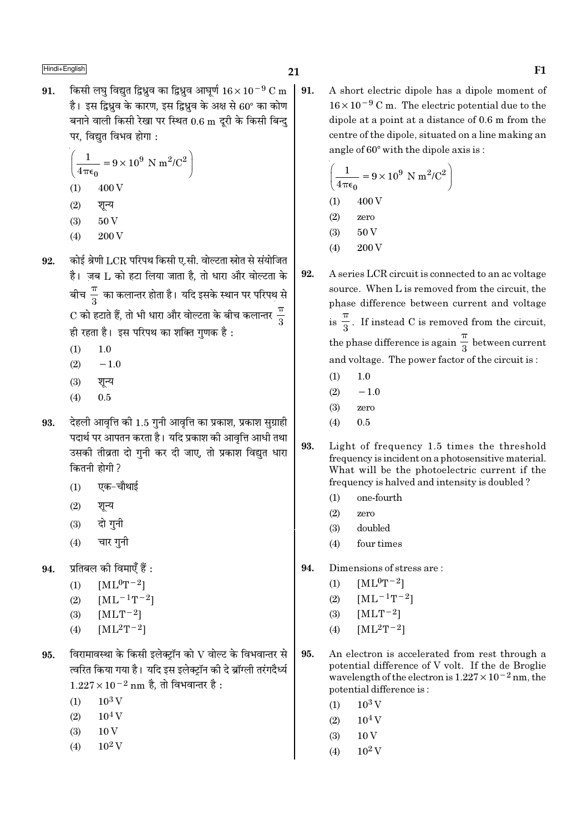किसी लघ विद्यत द्विध्रव का द्विध्रव आघर्ण  $16 \times 10^{-9}$  C m  $\,$  | 91. 91. है। इस द्विधव के कारण, इस द्विधव के अक्ष से 60° का कोण बनाने वाली किसी रेखा पर स्थित 0.6 m दूरी के किसी बिन्दु पर, विद्युत विभव होगा :

$$
\left(\frac{1}{4\pi\epsilon_0} = 9 \times 10^9 \text{ N m}^2/\text{C}^2\right)
$$
  
(1) 400 V

- $(2)$ शून्य
- 50V  $(3)$
- 200 V  $(4)$
- कोई श्रेणी LCR परिपथ किसी ए.सी. वोल्टता स्रोत से संयोजित 92. है। जब L को हटा लिया जाता है, तो धारा और वोल्टता के बीच $\frac{\pi}{3}$  का कलान्तर होता है। यदि इसके स्थान पर परिपथ से  $\mathrm{C}$  को हटाते हैं, तो भी धारा और वोल्टता के बीच कलान्तर $\,\frac{\pi}{2}$ ही रहता है। इस परिपथ का शक्ति गणक है:
	- $(1)$  $1.0$
	- $-1.0$  $(2)$
	- $(3)$ शून्य
	- $0.5$  $(4)$
- देहली आवृत्ति की 1.5 गुनी आवृत्ति का प्रकाश, प्रकाश सुग्राही 93. पदार्थ पर आपतन करता है। यदि प्रकाश की आवृत्ति आधी तथा उसकी तीव्रता दो गुनी कर दी जाए, तो प्रकाश विद्युत धारा कितनी होगी ?
	- एक-चौथाई  $(1)$
	- शन्य  $(2)$
	- दो गनी  $(3)$
	- चार गनी  $(4)$
- प्रतिबल की विमाएँ हैं : 94.
	- $(1)$  $[ML^0T^{-2}]$
	- $[ML^{-1}T^{-2}]$  $(2)$
	- $(3)$  $[MLT-2]$
	- $[ML^2T^{-2}]$  $(4)$
- विरामावस्था के किसी इलेक्ट्रॉन को  ${\rm V}$  वोल्ट के विभवान्तर से 95. त्वरित किया गया है। यदि इस इलेक्टॉन की दे ब्रॉग्ली तरंगदैर्ध्य  $1.227 \times 10^{-2}$  nm है, तो विभवान्तर है :
	- $10^3$  V  $(1)$
	- $10<sup>4</sup>$  V  $(2)$
	- $(3)$  $10V$
	- $10^2$  V  $(4)$

A short electric dipole has a dipole moment of  $16 \times 10^{-9}$  C m. The electric potential due to the dipole at a point at a distance of 0.6 m from the centre of the dipole, situated on a line making an angle of 60° with the dipole axis is:

$$
\left(\frac{1}{4\pi\epsilon_0} = 9 \times 10^9 \text{ N m}^2/\text{C}^2\right)
$$
  
(1) 400 V  
(2) zero  
(3) 50 V

- $(4)$  $200\,\mathrm{V}$
- 92. A series LCR circuit is connected to an ac voltage source. When L is removed from the circuit, the phase difference between current and voltage is  $\frac{\pi}{2}$ . If instead C is removed from the circuit, the phase difference is again  $\frac{\pi}{2}$  between current and voltage. The power factor of the circuit is:
	- $1.0$  $(1)$
	- $(2)$  $-1.0$
	- $(3)$ zero
	- $0.5$  $(4)$
- 93. Light of frequency 1.5 times the threshold frequency is incident on a photosensitive material. What will be the photoelectric current if the frequency is halved and intensity is doubled?
	- one-fourth  $(1)$
	- $(2)$ zero
	- $(3)$ doubled
	- $(4)$ four times
- Dimensions of stress are: 94.
	- $[ML^0T^{-2}]$  $(1)$
	- $[ML^{-1}T^{-2}]$  $(2)$
	- $(3)$  $[MLT^{-2}]$
	- $[ML^{2}T^{-2}]$  $(4)$
- 95. An electron is accelerated from rest through a potential difference of V volt. If the de Broglie wavelength of the electron is  $1.227 \times 10^{-2}$  nm, the potential difference is:
	- $10^3$  V  $(1)$
	- $10^4$  V  $(2)$
	- $(3)$  $10V$
	- $(4)$  $10^2$  V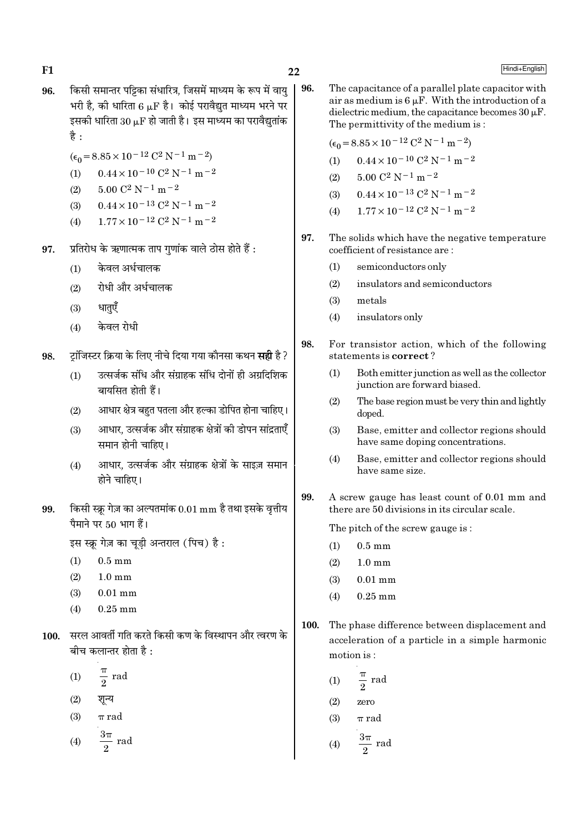$22$ 

- किसी समान्तर पट्टिका संधारित्र, जिसमें माध्यम के रूप में वाय 96. भरी है. की धारिता 6 uF है। कोई परावैद्युत माध्यम भरने पर इसकी धारिता 30  $\mu$ F हो जाती है। इस माध्यम का परावैद्युतांक है $\cdot$ 
	- $(\epsilon_0 = 8.85 \times 10^{-12} \text{ C}^2 \text{ N}^{-1} \text{ m}^{-2})$
	- $0.44 \times 10^{-10}$  C<sup>2</sup> N<sup>-1</sup> m<sup>-2</sup>  $(1)$
	- $5.00 C^2 N^{-1} m^{-2}$  $(2)$
	- $0.44 \times 10^{-13}$  C<sup>2</sup> N<sup>-1</sup> m<sup>-2</sup>  $(3)$
	- $1.77 \times 10^{-12}$  C<sup>2</sup> N<sup>-1</sup> m<sup>-2</sup>  $(4)$
- प्रतिरोध के ऋणात्मक ताप गुणांक वाले ठोस होते हैं : 97.
	- केवल अर्धचालक  $(1)$
	- रोधी और अर्धचालक  $(2)$
	- $(3)$ धातएँ
	- केवल रोधी  $(4)$
- टांजिस्टर क्रिया के लिए नीचे दिया गया कौनसा कथन **सही** है ? 98.
	- उत्सर्जक संधि और संग्राहक संधि दोनों ही अग्रदिशिक  $(1)$ बायसित होती हैं।
	- आधार क्षेत्र बहुत पतला और हल्का डोपित होना चाहिए।  $(2)$
	- आधार. उत्सर्जक और संग्राहक क्षेत्रों की डोपन सांद्रताएँ  $(3)$ समान होनी चाहिए।
	- आधार, उत्सर्जक और संग्राहक क्षेत्रों के साइज़ समान  $(4)$ होने चाहिए।
- किसी स्क्रू गेज़ का अल्पतमांक 0.01 mm है तथा इसके वृत्तीय 99. पैमाने पर 50 भाग हैं।

इस स्क्रु गेज़ का चूडी अन्तराल (पिच) है:

- $(1)$  $0.5 \text{ mm}$
- $1.0 \text{ mm}$  $(2)$
- $(3)$  $0.01$  mm
- $(4)$  $0.25$  mm
- 100. सरल आवर्ती गति करते किसी कण के विस्थापन और त्वरण के बीच कलान्तर होता है :
	- $rac{\pi}{2}$  rad  $(1)$
	- $(2)$ शून्य
	- $(3)$  $\pi$  rad

 $rac{3\pi}{2}$  rad  $(4)$ 

96. The capacitance of a parallel plate capacitor with air as medium is  $6 \mu$ F. With the introduction of a dielectric medium, the capacitance becomes  $30 \mu$ F. The permittivity of the medium is:

 $(\epsilon_0 = 8.85 \times 10^{-12} \text{ C}^2 \text{ N}^{-1} \text{ m}^{-2})$ 

- $0.44 \times 10^{-10}$  C<sup>2</sup> N<sup>-1</sup> m<sup>-2</sup>  $(1)$
- $5.00$   $\mathrm{C}^2$  N  $^{-1}$  m  $^{-2}$  $(2)$
- $0.44 \times 10^{-13}$  C<sup>2</sup> N<sup>-1</sup> m<sup>-2</sup>  $(3)$
- $1.77 \times 10^{-12}$  C<sup>2</sup> N<sup>-1</sup> m<sup>-2</sup>  $(4)$
- 97. The solids which have the negative temperature coefficient of resistance are:
	- semiconductors only  $(1)$
	- $(2)$ insulators and semiconductors
	- $(3)$ metals
	- $(4)$ insulators only
- 98 For transistor action, which of the following statements is correct?
	- Both emitter junction as well as the collector  $(1)$ junction are forward biased.
	- The base region must be very thin and lightly  $(2)$ doped.
	- $(3)$ Base, emitter and collector regions should have same doping concentrations.
	- Base, emitter and collector regions should  $(4)$ have same size.
- 99. A screw gauge has least count of 0.01 mm and there are 50 divisions in its circular scale.

The pitch of the screw gauge is:

- $0.5 \text{ mm}$  $(1)$
- $1.0 \text{ mm}$  $(2)$
- $(3)$  $0.01$  mm
- $0.25$  mm  $(4)$
- 100. The phase difference between displacement and acceleration of a particle in a simple harmonic motion is:
	- $\frac{\pi}{2}$  rad  $(1)$
	- $(2)$ zero
	- $(3)$  $\pi$  rad

$$
(4) \qquad \frac{3\pi}{2} \text{ rad}
$$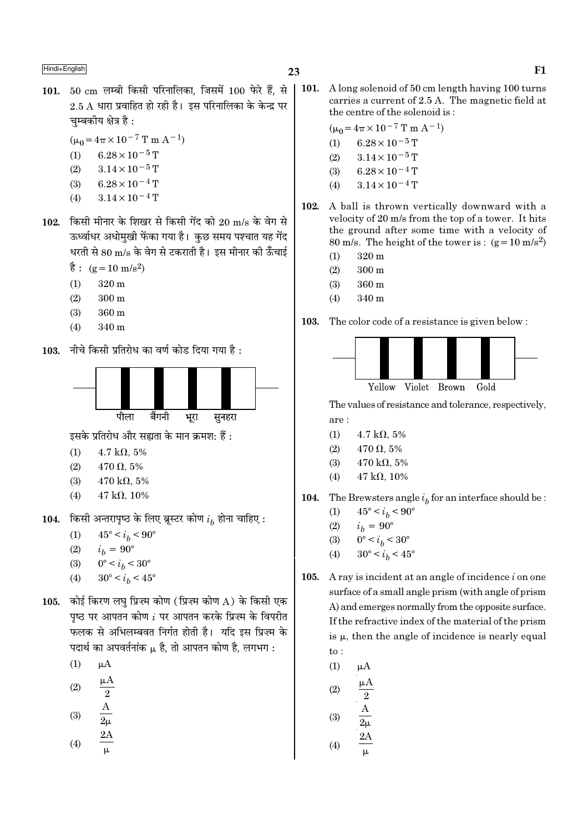- 101. 50 cm लम्बी किसी परिनालिका, जिसमें 100 फेरे हैं, से
- $2.5$   $\AA$  धारा प्रवाहित हो रही है। इस परिनालिका के केन्द्र पर चम्बकीय क्षेत्र है :
	- $(\mu_0 = 4\pi \times 10^{-7} \text{ T m A}^{-1})$
	- $6.28 \times 10^{-5}$  T  $(1)$
	- $(2)$  $3.14 \times 10^{-5}$  T
	- $6.28 \times 10^{-4}$  T  $(3)$
	- $3.14 \times 10^{-4}$  T  $(4)$
- 102. किसी मीनार के शिखर से किसी गेंद को 20 m/s के वेग से ऊर्ध्वाधर अधोमुखी फेंका गया है। कुछ समय पश्चात यह गेंद धरती से 80 m/s के वेग से टकराती है। इस मीनार की ऊँचाई
	- $\dot{\vec{g}}$ : (g = 10 m/s<sup>2</sup>)
	- $320 \text{ m}$  $(1)$
	- $(2)$  $300 \text{ m}$
	- 360 m  $(3)$
	- $(4)$ 340 m
- 103. नीचे किसी प्रतिरोध का वर्ण कोड दिया गया है:



इसके प्रतिरोध और सह्यता के मान क्रमश: हैं:

- $4.7 \text{ k}\Omega$ , 5%  $(1)$
- $(2)$  $470 \Omega, 5\%$
- $(3)$  $470 \text{ k}\Omega, 5\%$
- $(4)$  $47 k\Omega, 10\%$
- 104. किसी अन्तरापृष्ठ के लिए ब्रूस्टर कोण  $i_h$  होना चाहिए :
	- $45^{\circ} < i_h < 90^{\circ}$  $(1)$
	- $(2)$  $i_h = 90^{\circ}$
	- $0^{\circ} < i_b < 30^{\circ}$  $(3)$
	- $30^{\circ} < i_h < 45^{\circ}$  $(4)$
- 105. कोई किरण लघ प्रिज़्म कोण (प्रिज़्म कोण A) के किसी एक पृष्ठ पर आपतन कोण  $i$  पर आपतन करके प्रिज़्म के विपरीत फलक से अभिलम्बवत निर्गत होती है। यदि इस प्रिज्म के पदार्थ का अपवर्तनांक µ है. तो आपतन कोण है. लगभग:
	- $(1)$  $\mu A$
	- $(2)$  $\overline{2}$
	- $\frac{A}{2\mu}$   $\frac{2A}{\mu}$  $(3)$
	-
	- $(4)$

 $\vert$  101. A long solenoid of 50 cm length having 100 turns carries a current of 2.5 A. The magnetic field at the centre of the solenoid is:

$$
(\mu_0 = 4\pi \times 10^{-7} \text{ T m A}^{-1})
$$

- $6.28 \times 10^{-5}$  T  $(1)$
- $3.14\times10^{-5}\,\mathrm{T}$  $(2)$
- $6.28 \times 10^{-4}$  T  $(3)$
- $3.14 \times 10^{-4}$  T  $(4)$
- 102. A ball is thrown vertically downward with a velocity of 20 m/s from the top of a tower. It hits the ground after some time with a velocity of 80 m/s. The height of the tower is:  $(g=10 \text{ m/s}^2)$ 
	- 320 m  $(1)$
	- $(2)$  $300<sub>m</sub>$
	- $(3)$ 360 m
	- $(4)$ 340 m

103. The color code of a resistance is given below :



The values of resistance and tolerance, respectively, are:

- $(1)$  $4.7 \text{ k}\Omega, 5\%$
- $(2)$  $470 \Omega, 5\%$
- $(3)$ 470 k $\Omega$ , 5%
- $(4)$  $47 k\Omega, 10\%$
- 104. The Brewsters angle  $i<sub>b</sub>$  for an interface should be :
	- $45^{\circ} < i_h < 90^{\circ}$  $(1)$
	- $(2)$  $i_h = 90^{\circ}$
	- $0^{\circ} < i_b < 30^{\circ}$  $(3)$
	- $30^{\circ} < i_h < 45^{\circ}$  $(4)$
- A ray is incident at an angle of incidence  $i$  on one 105. surface of a small angle prism (with angle of prism A) and emerges normally from the opposite surface. If the refractive index of the material of the prism is  $\mu$ , then the angle of incidence is nearly equal  $\mathrm{to}$ :
	- $(1)$  $\mu A$
	- $(2)$  $(2)$

$$
\begin{array}{cc}\n\text{(3)} & 2\mu \\
 & 2\mu\n\end{array}
$$

$$
(4) \qquad \frac{}{\mu}
$$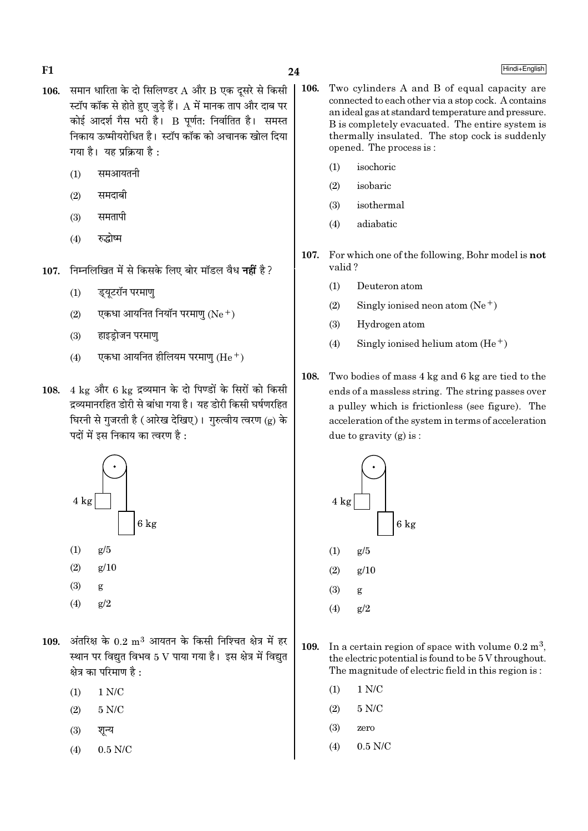- 106. समान धारिता के दो सिलिण्डर  $A$  और  $B$  एक दूसरे से किसी स्टॉप कॉक से होते हुए जुडे हैं। A में मानक ताप और दाब पर कोई आदर्श गैस भरी है। B पूर्णत: निर्वातित है। समस्त निकाय ऊष्मीयरोधित है। स्टॉप कॉक को अचानक खोल दिया गया है। यह प्रक्रिया है:
	- समआयतनी  $(1)$
	- समदाबी  $(2)$
	- समतापी  $(3)$
	- रुद्धोष्म  $(4)$
- 107. निम्नलिखित में से किसके लिए बोर मॉडल वैध नहीं है?
	- $(1)$ ड्यूटरॉन परमाणु
	- एकधा आयनित नियॉन परमाणु (Ne+)  $(2)$
	- हाइडोजन परमाण  $(3)$
	- एकधा आयनित हीलियम परमाणु (He  $^+$ )  $(4)$
- 108. 4 kg और 6 kg द्रव्यमान के दो पिण्डों के सिरों को किसी द्रव्यमानरहित डोरी से बांधा गया है। यह डोरी किसी घर्षणरहित घिरनी से गुजरती है (आरेख देखिए)। गुरुत्वीय त्वरण (g) के पदों में इस निकाय का त्वरण है :



- $(2)$
- $(3)$ g
- $(4)$  $\epsilon/2$
- 109. अंतरिक्ष के  $0.2 \text{ m}^3$  आयतन के किसी निश्चित क्षेत्र में हर स्थान पर विद्युत विभव 5 V पाया गया है। इस क्षेत्र में विद्युत क्षेत्र का परिमाण है :
	- $1$  N/C  $\,$  $(1)$
	- $5 N/C$  $(2)$
	- $(3)$ शून्य
	- $0.5$  N/C  $(4)$
- 106. Two cylinders A and B of equal capacity are connected to each other via a stop cock. A contains an ideal gas at standard temperature and pressure. B is completely evacuated. The entire system is thermally insulated. The stop cock is suddenly opened. The process is:
	- isochoric  $(1)$

24

- $(2)$ isobaric
- $(3)$ isothermal
- $(4)$ adiabatic
- 107. For which one of the following. Bohr model is not valid?
	- $(1)$ Deuteron atom
	- $(2)$ Singly ionised neon atom  $(Ne^+)$
	- $(3)$ Hydrogen atom
	- $(4)$ Singly ionised helium atom  $(He<sup>+</sup>)$
- 108. Two bodies of mass 4 kg and 6 kg are tied to the ends of a massless string. The string passes over a pulley which is frictionless (see figure). The acceleration of the system in terms of acceleration due to gravity  $(g)$  is:



- 109. In a certain region of space with volume  $0.2 \text{ m}^3$ , the electric potential is found to be 5 V throughout. The magnitude of electric field in this region is:
	- $1 N/C$  $(1)$
	- $(2)$  $5 N/C$
	- $(3)$ zero
	- $(4)$  $0.5$  N/C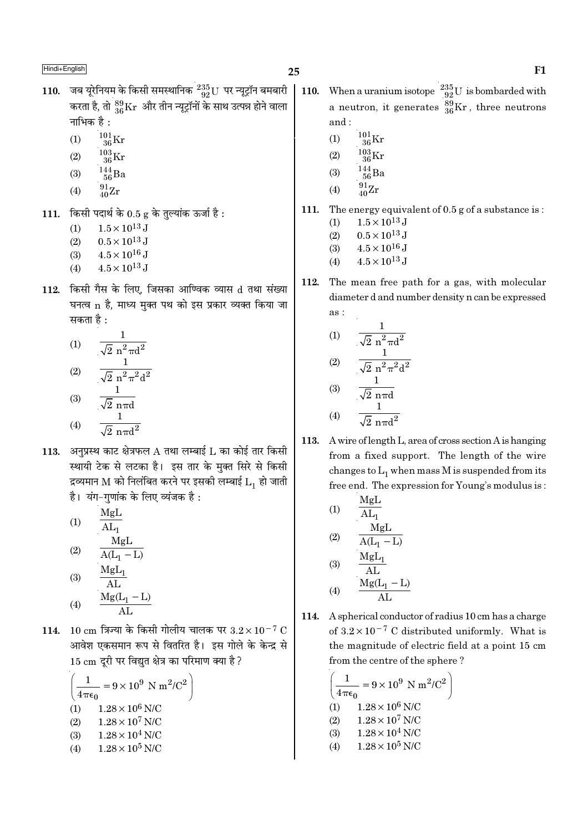- 110. जब यूरेनियम के किसी समस्थानिक  $^{235}_{92}$ U पर न्यूट्रॉन बमबारी करता है, तो  $^{89}_{36}\rm{Kr}$  और तीन न्यूट्रॉनों के साथ उत्पन्न होने वाला नाभिक है :
	- $^{101}_{36}\mathrm{Kr}$  $(1)$
	- $\frac{103}{36}\mathrm{Kr}$  $(2)$
	- $144 \over 56$ Ba  $(3)$
	- $^{91}_{40}Zr$  $(4)$
	-
- 111. किसी पदार्थ के  $0.5$  g के तुल्यांक ऊर्जा है:
	- $1.5 \times 10^{13}$  J  $(1)$
	- $0.5 \times 10^{13}$  J  $(2)$
	- $4.5 \times 10^{16}$  J  $(3)$  $4.5 \times 10^{13}$  J  $(4)$
	-
- 112. किसी गैस के लिए, जिसका आण्विक व्यास d तथा संख्या घनत्व n है, माध्य मुक्त पथ को इस प्रकार व्यक्त किया जा सकता है :

(1) 
$$
\frac{1}{\sqrt{2} n^2 \pi d^2}
$$
  
\n(2) 
$$
\frac{1}{\sqrt{2} n^2 \pi^2 d^2}
$$
  
\n(3) 
$$
\frac{1}{\sqrt{2} n \pi d}
$$
  
\n(4) 
$$
\frac{1}{\sqrt{2} n \pi d^2}
$$

113. अनुप्रस्थ काट क्षेत्रफल  $A$  तथा लम्बाई  $L$  का कोई तार किसी स्थायी टेक से लटका है। इस तार के मुक्त सिरे से किसी द्रव्यमान M को निलंबित करने पर इसकी लम्बाई  $L_1$  हो जाती है। यंग-गुणांक के लिए व्यंजक है:

(1)  
\n
$$
\frac{MgL}{AL_{1}}
$$
\n(2)  
\n
$$
\frac{MgL}{A(L_{1} - L)}
$$
\n(3)  
\n
$$
\frac{MgL_{1}}{AL}
$$
\n(4)  
\n
$$
\frac{Mg(L_{1} - L)}{AL}
$$

114. 10 cm त्रिज्या के किसी गोलीय चालक पर  $3.2 \times 10^{-7}$  C आवेश एकसमान रूप से वितरित है। इस गोले के केन्द्र से 15 cm दूरी पर विद्युत क्षेत्र का परिमाण क्या है ?

$$
\left(\frac{1}{4\pi\epsilon_0} = 9 \times 10^9 \text{ N m}^2/\text{C}^2\right)
$$
  
(1) 1.28 × 10<sup>6</sup> N/C  
(2) 1.28 × 10<sup>7</sup> N/C  
(3) 1.28 × 10<sup>4</sup> N/C  
(4) 1.28 × 10<sup>5</sup> N/C

- When a uranium isotope  $\frac{235}{92}U$  is bombarded with 110. a neutron, it generates  $^{39}_{36}\text{Kr}$ , three neutrons and:
	- $^{101}_{36}\mathrm{Kr}$  $(1)$
	- $^{103}_{36}$ Kr  $(2)$
	- $\frac{144}{56}Ba$  $(3)$
	- $^{91}_{40}Zr$  $(4)$
- The energy equivalent of 0.5 g of a substance is: 111.
	- $1.5 \times 10^{13}$  J  $(1)$
	- $0.5 \times 10^{13}$  J  $(2)$
	- $4.5\times10^{16}\,\mathrm{J}$  $(3)$  $4.5 \times 10^{13}$  J
	- $(4)$
- 112. The mean free path for a gas, with molecular diameter d and number density n can be expressed as:

(1) 
$$
\frac{1}{\sqrt{2} n^2 \pi d^2}
$$
  
\n(2) 
$$
\frac{1}{\sqrt{2} n^2 \pi^2 d^2}
$$
  
\n(3) 
$$
\frac{1}{\sqrt{2} n \pi d}
$$
  
\n(4) 
$$
\frac{1}{\sqrt{2} n \pi d}
$$

- $(4)$  $\sqrt{2}$  nπd<sup>2</sup> A wire of length L, area of cross section A is hanging 113.
- from a fixed support. The length of the wire changes to  $L_1$  when mass M is suspended from its free end. The expression for Young's modulus is:

(1)  
\n
$$
\frac{MgL}{AL_{1}}
$$
\n(2)  
\n
$$
\frac{MgL}{A(L_{1} - L)}
$$
\n(3)  
\n
$$
\frac{MgL_{1}}{AL}
$$
\n(4)  
\n
$$
\frac{Mg(L_{1} - L)}{AL}
$$

114. A spherical conductor of radius 10 cm has a charge of  $3.2 \times 10^{-7}$  C distributed uniformly. What is the magnitude of electric field at a point 15 cm from the centre of the sphere?

$$
\left(\frac{1}{4\pi\epsilon_0} = 9 \times 10^9 \text{ N m}^2/\text{C}^2\right)
$$
  
(1) 1.28×10<sup>6</sup> N/C  
(2) 1.28×10<sup>7</sup> N/C  
(3) 1.28×10<sup>4</sup> N/C  
(4) 1.28×10<sup>5</sup> N/C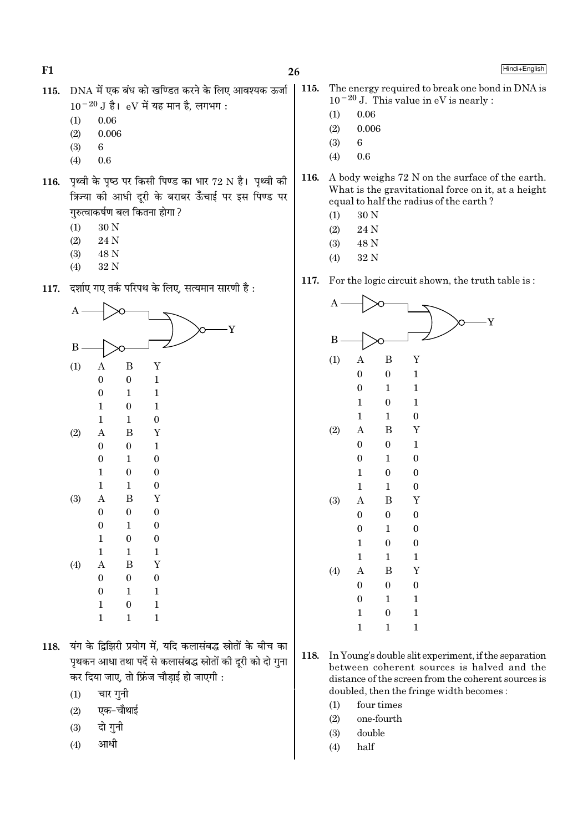115. DNA में एक बंध को खण्डित करने के लिए आवश्यक ऊर्जा  $10^{-20}$  J है। eV में यह मान है. लगभग:

- 0.06  $(1)$
- $(2)$ 0.006
- $(3)$ 6
- $0.6$  $(4)$
- 116. पृथ्वी के पृष्ठ पर किसी पिण्ड का भार 72 N है। पृथ्वी की क्रिज्या की आधी दूरी के बराबर ऊँचाई पर इस पिण्ड पर गरुत्वाकर्षण बल कितना होगा ?
	- 30 N  $(1)$
	- $(2)$ 24 N
	- $(3)$ 48 N
	- $(4)$ 32 N
- 117. दर्शाए गए तर्क परिपथ के लिए, सत्यमान सारणी है:



- 118. यंग के द्विझिरी प्रयोग में, यदि कलासंबद्ध स्रोतों के बीच का पृथकन आधा तथा पर्दे से कलासंबद्ध स्रोतों की दूरी को दो गुना कर दिया जाए, तो फ्रिंज चौडाई हो जाएगी :
	- चार गुनी  $(1)$
	- एक-चौथाई  $(2)$
	- दो गुनी  $(3)$
	- आधी  $(4)$
- 115. The energy required to break one bond in DNA is  $10^{-20}$  J. This value in eV is nearly :
	- $0.06$  $(1)$
	- $0.006$  $(2)$
	- $(3)$  $6\overline{6}$
	- $(4)$  $0.6$
- 116. A body weighs 72 N on the surface of the earth. What is the gravitational force on it, at a height equal to half the radius of the earth?
	- 30 N  $(1)$
	- 24 N  $(2)$
	- 48 N  $(3)$
	- 32 N  $(4)$
- 117. For the logic circuit shown, the truth table is:



- 118. In Young's double slit experiment, if the separation between coherent sources is halved and the distance of the screen from the coherent sources is doubled, then the fringe width becomes:
	- $(1)$ four times
	- $(2)$ one-fourth
	- $(3)$ double
	- $(4)$ half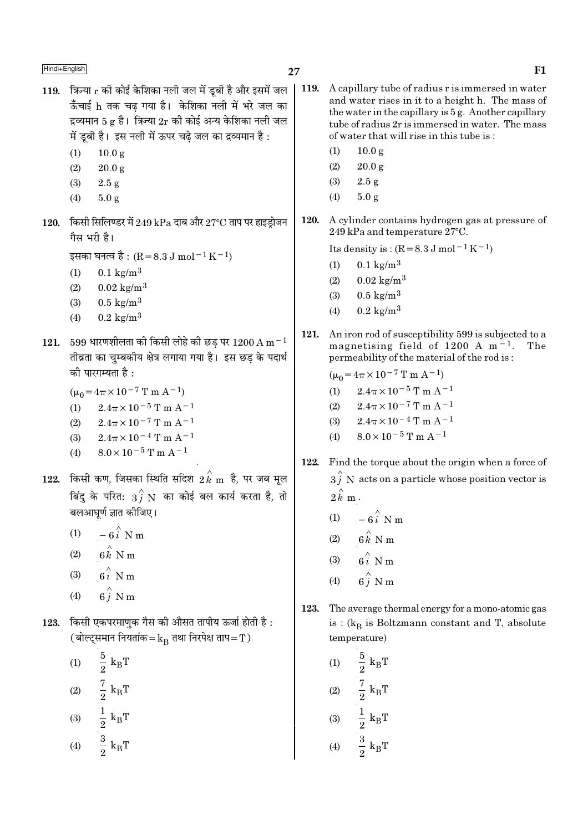में ड़बी है। इस नली में ऊपर चढे जल का द्रव्यमान है :  $(1)$  $10.0 g$  $(1)$  $10.0 \text{ g}$  $(2)$  $20.0 g$  $(2)$  $20.0 g$  $(3)$  $2.5 g$  $(3)$  $2.5g$  $5.0 g$  $(4)$  $(4)$  $5.0 g$ 120. 120. किसी सिलिण्डर में 249 kPa दाब और 27°C ताप पर हाइड़ोजन गैस भरी है। इसका घनत्व है : (R = 8.3 J mol<sup>-1</sup> K<sup>-1</sup>)  $0.1 \text{ kg/m}^3$  $(1)$  $0.1 \text{ kg/m}^3$  $(1)$  $0.02 \text{ kg/m}^3$  $(2)$  $0.02 \text{ kg/m}^3$  $(2)$ 

- $0.5 \text{ kg/m}^3$
- $(3)$
- $0.2 \text{ kg/m}^3$  $(4)$
- 121. 599 धारणशीलता की किसी लोहे की छड पर 1200 A m $^{-1}$ तीव्रता का चम्बकीय क्षेत्र लगाया गया है। इस छड के पदार्थ को पारगम्यता है:

119. क्रिन्या  $r$  की कोई केशिका नली जल में डबी है और इसमें जल

ऊँचाई h तक चढ गया है। केशिका नली में भरे जल का

द्रव्यमान 5 g है। त्रिज्या  $2r$  की कोई अन्य केशिका नली जल

- $(\mu_0 = 4\pi \times 10^{-7} \text{ T m A}^{-1})$
- (1)  $2.4\pi \times 10^{-5}$  T m A<sup>-1</sup>
- $(2)$  $2.4\pi \times 10^{-7}$  T m A<sup>-1</sup>
- $(3)$  $2.4\pi \times 10^{-4}$  T m A<sup>-1</sup>
- (4)  $8.0 \times 10^{-5}$  T m A<sup>-1</sup>
- $122$ . किसी कण, जिसका स्थिति सदिश  $2\,{\rm \vec{k}}$   ${\rm m}$  है, पर जब मूल बिंदु के परित:  $3\overset{\wedge}{f}$  N का कोई बल कार्य करता है, तो बलआघूर्ण ज्ञात कीजिए।
	- $-6\hat{i}$  N m  $(1)$
	- $6\hat{k}$  N m  $(2)$
	- $6i$  N m  $(3)$
	- $6\hat{i}$  N m  $(4)$
- 123. किसी एकपरमाणुक गैस की औसत तापीय ऊर्जा होती है: (बोल्ट्समान नियतांक= $k_B$  तथा निरपेक्ष ताप=T)
	- (1)  $\frac{5}{2} k_B T$ <br>
	(2)  $\frac{7}{2} k_B T$ <br>
	(3)  $\frac{1}{2} k_B T$ <br>
	(4)  $\frac{3}{2} k_B T$ 
		-
- $\vert$  119. A capillary tube of radius r is immersed in water and water rises in it to a height h. The mass of the water in the capillary is 5 g. Another capillary tube of radius 2r is immersed in water. The mass of water that will rise in this tube is: A cylinder contains hydrogen gas at pressure of 249 kPa and temperature 27°C. Its density is:  $(R = 8.3 \text{ J mol}^{-1} \text{ K}^{-1})$  $0.5 \text{ kg/m}^3$  $(3)$  $0.2 \text{ kg/m}^3$  $(4)$ 121. An iron rod of susceptibility 599 is subjected to a magnetising field of 1200 A  $m^{-1}$ . The permeability of the material of the rod is:  $(\mu_0 = 4\pi \times 10^{-7} \text{ T m A}^{-1})$  $2.4\pi \times 10^{-5}$  T m A<sup>-1</sup>  $(1)$  $2.4\pi \times 10^{-7}$  T m A<sup>-1</sup>  $(2)$  $2.4\pi \times 10^{-4}$  T m A<sup>-1</sup>  $(3)$  $8.0\times10^{-5}\,\mathrm{T}$  m A  $^{-1}$  $(4)$ 
	- 122. Find the torque about the origin when a force of  $3\hat{i}$  N acts on a particle whose position vector is  $2\hat{k}$  m.
		- $-6\hat{i}$  N m  $(1)$
		- $6\hat{k}$  N m  $(2)$
		- $6\hat{i}$  N m  $(3)$
		- $6\hat{i}$  N m  $(4)$
	- 123. The average thermal energy for a mono-atomic gas is :  $(k_B$  is Boltzmann constant and T, absolute temperature)
		- $\begin{aligned} \frac{5}{2} \text{ k}_{\text{B}}\text{T} \\ \frac{7}{2} \text{ k}_{\text{B}}\text{T} \\ \frac{1}{2} \text{ k}_{\text{B}}\text{T} \\ \frac{3}{2} \text{ k}_{\text{B}}\text{T} \end{aligned}$  $(1)$  $(2)$  $(3)$  $(4)$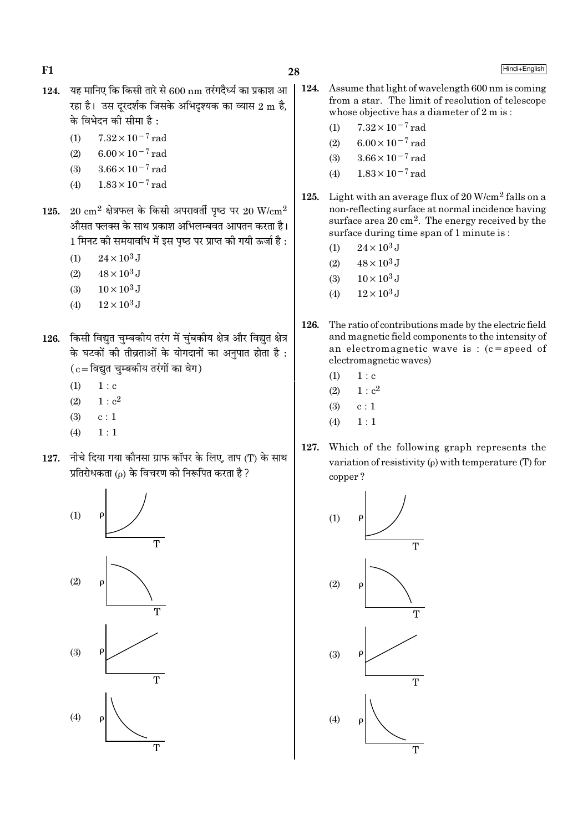- 124. यह मानिए कि किसी तारे से  $600 \text{ nm}$  तरंगदैर्ध्य का प्रकाश आ रहा है। उस दरदर्शक जिसके अभिदश्यक का व्यास 2 m है. के विभेदन की सीमा है :
	- $7.32 \times 10^{-7}$  rad  $(1)$
	- $6.00 \times 10^{-7}$  rad  $(2)$
	- $3.66 \times 10^{-7}$  rad  $(3)$
	- $1.83 \times 10^{-7}$  rad  $(4)$
- 125. 20  $\rm cm^2$  क्षेत्रफल के किसी अपरावर्ती पृष्ठ पर 20 W/ $\rm cm^2$ औसत फ्लक्स के साथ प्रकाश अभिलम्बवत आपतन करता है। 1 मिनट की समयावधि में इस पृष्ठ पर प्राप्त की गयी ऊर्जा है :
	- $24 \times 10^3$  J  $(1)$
	- $48 \times 10^3$  J  $(2)$
	- $(3)$  $10 \times 10^3$  J
	- $12 \times 10^3$  J  $(4)$
- 126. किसी विद्युत चुम्बकीय तरंग में चुंबकीय क्षेत्र और विद्युत क्षेत्र के घटकों की तीव्रताओं के योगदानों का अनुपात होता है :  $(c = \fbox{\frown} \gtrsim \fbox{\frown} \gtrsim \fbox{\frown} \gtrsim \fbox{\frown} \gtrsim \fbox{\frown} \gtrsim \fbox{\frown} \gtrsim \fbox{\frown} \gtrsim \fbox{\frown} \gtrsim \fbox{\frown} \gtrsim \fbox{\frown} \gtrsim \fbox{\frown} \gtrsim \fbox{\frown} \gtrsim \fbox{\frown} \gtrsim \fbox{\frown} \gtrsim \fbox{\frown} \gtrsim \fbox{\frown} \gtrsim \fbox{\frown} \gtrsim \fbox{\frown} \gtrsim \fbox{\frown} \gtrsim \fbox{\frown} \$ 
	- $(1)$  $1 : c$
	- $1 : c<sup>2</sup>$  $(2)$
	- $(3)$  $c:1$
	- $(4)$  $1:1$
- 127. नीचे दिया गया कौनसा ग्राफ कॉपर के लिए, ताप (T) के साथ प्रतिरोधकता (o) के विचरण को निरूपित करता है ?



124. Assume that light of wavelength 600 nm is coming from a star. The limit of resolution of telescope whose objective has a diameter of 2 m is:

- $7.32 \times 10^{-7}$  rad  $(1)$
- $6.00 \times 10^{-7}$  rad  $(2)$
- $3.66 \times 10^{-7}$  rad  $(3)$
- $1.83 \times 10^{-7}$  rad  $(4)$
- 125. Light with an average flux of  $20$  W/cm<sup>2</sup> falls on a non-reflecting surface at normal incidence having surface area  $20 \text{ cm}^2$ . The energy received by the surface during time span of 1 minute is:
	- $24 \times 10^3$  J  $(1)$
	- $(2)$  $48 \times 10^3$  J
	- $10 \times 10^3$  J  $(3)$
	- $12 \times 10^3$  J  $(4)$
- 126. The ratio of contributions made by the electric field and magnetic field components to the intensity of an electromagnetic wave is :  $(c = speed of$ electromagnetic waves)
	- $(1)$  $1: c$
	- $1 : c<sup>2</sup>$  $(2)$
	- $(3)$  $c:1$
	- $1:1$  $(4)$
- Which of the following graph represents the 127. variation of resistivity  $(\rho)$  with temperature (T) for copper?

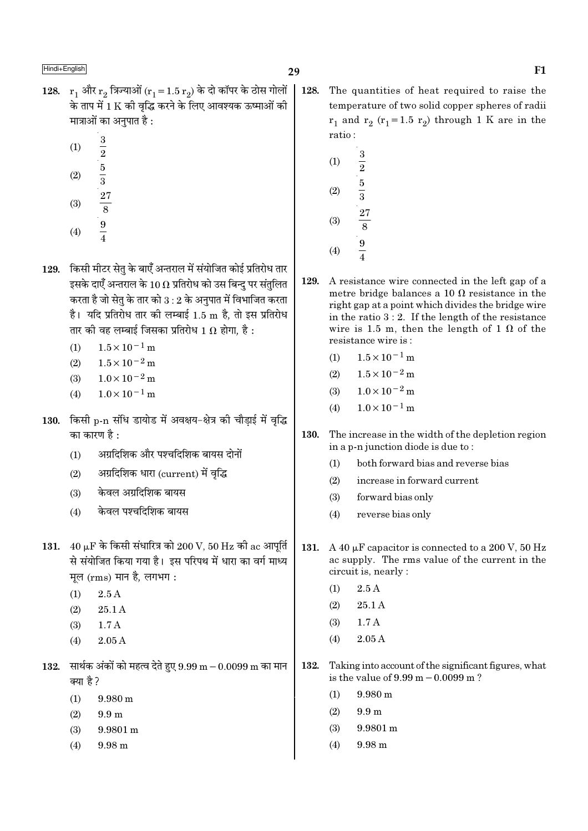- 128.  $r_1$  और  $r_2$  त्रिज्याओं  $(r_1 = 1.5 r_2)$  के दो कॉपर के ठोस गोलों के ताप में 1 K की वद्धि करने के लिए आवश्यक ऊष्माओं की मात्राओं का अनुपात है :
	- $\mathbf{3}$  $(1)$  $\frac{1}{2}$  5  $\frac{5}{3}$   $\frac{27}{8}$  9  $\frac{1}{4}$  $(2)$
	- $(3)$
	- $(4)$
	- 129. किसी मीटर सेतु के बाएँ अन्तराल में संयोजित कोई प्रतिरोध तार इसके दाएँ अन्तराल के 10  $\Omega$  प्रतिरोध को उस बिन्दु पर संतुलित करता है जो सेतृ के तार को  $3:2$  के अनुपात में विभाजित करता है। यदि प्रतिरोध तार की लम्बाई 1.5 m है, तो इस प्रतिरोध तार की वह लम्बाई जिसका प्रतिरोध 1  $\Omega$  होगा. है :
		- $1.5 \times 10^{-1}$  m  $(1)$
		- $(2)$  $1.5 \times 10^{-2}$  m
		- $1.0 \times 10^{-2}$  m  $(3)$
		- $1.0 \times 10^{-1}$  m  $(4)$
	- 130. किसी p-n संधि डायोड में अवक्षय-क्षेत्र की चौड़ाई में वृद्धि का कारण है :
		- अग्रदिशिक और पश्चदिशिक बायस दोनों  $(1)$
		- अग्रदिशिक धारा (current) में वृद्धि  $(2)$
		- केवल अग्रदिशिक बायस  $(3)$
		- केवल पश्चदिशिक बायस  $(4)$
	- 131.  $40 \mu F$  के किसी संधारित्र को 200 V, 50 Hz की ac आपर्ति से संयोजित किया गया है। इस परिपथ में धारा का वर्ग माध्य मूल (rms) मान है, लगभग:
		- $2.5A$  $(1)$
		- $(2)$  $25.1A$
		- $1.7A$  $(3)$
		- $2.05A$  $(4)$
	- $132.$  सार्थक अंकों को महत्व देते हुए  $9.99 \text{ m} 0.0099 \text{ m}$  का मान क्या है?
		- $(1)$  $9.980 \text{ m}$
		- $(2)$  $9.9<sub>m</sub>$
		- $(3)$ 9.9801 m
		- 9.98 m  $(4)$
- $\vert$  128. The quantities of heat required to raise the temperature of two solid copper spheres of radii  $r_1$  and  $r_2$  ( $r_1$ =1.5  $r_2$ ) through 1 K are in the ratio:
	- $\frac{3}{2}$  $\frac{5}{3}$  $(1)$  $(2)$  $(3)$  $\overline{9}$  $(4)$
	- 129. A resistance wire connected in the left gap of a metre bridge balances a 10  $\Omega$  resistance in the right gap at a point which divides the bridge wire in the ratio  $3:2$ . If the length of the resistance wire is 1.5 m, then the length of 1  $\Omega$  of the resistance wire is:
		- $1.5 \times 10^{-1}$  m  $(1)$
		- $1.5 \times 10^{-2}$  m  $(2)$
		- $1.0 \times 10^{-2}$  m  $(3)$
		- $1.0 \times 10^{-1}$  m  $(4)$
- 130. The increase in the width of the depletion region in a p-n junction diode is due to:
	- $(1)$ both forward bias and reverse bias
	- $(2)$ increase in forward current
	- $(3)$ forward bias only
	- $(4)$ reverse bias only
- 131. A 40  $\mu$ F capacitor is connected to a 200 V, 50 Hz ac supply. The rms value of the current in the circuit is, nearly :
	- $2.5A$  $(1)$
	- $(2)$ 25.1A
	- $(3)$  $1.7A$
	- $2.05A$  $(4)$
- 132. Taking into account of the significant figures, what is the value of  $9.99 \text{ m} - 0.0099 \text{ m}$ ?
	- $(1)$  $9.980 \text{ m}$
	- $(2)$  $9.9<sub>m</sub>$
	- $(3)$  $9.9801 \text{ m}$
	- $(4)$  $9.98<sub>m</sub>$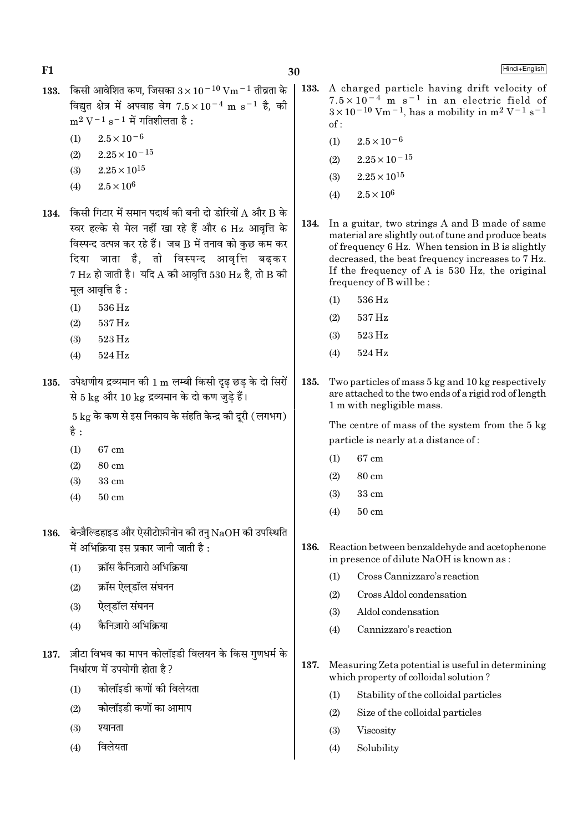Hindi+English

- 133. किसी आवेशित कण, जिसका  $3 \times 10^{-10}$  Vm  $^{-1}$  तीव्रता के विद्यत क्षेत्र में अपवाह वेग  $7.5 \times 10^{-4}$  m s<sup>-1</sup> है. की  $m^2 V^{-1} s^{-1}$  में गतिशीलता है:
	- $2.5 \times 10^{-6}$  $(1)$
	- $2.25 \times 10^{-15}$  $(2)$
	- $2.25 \times 10^{15}$  $(3)$
	- $2.5 \times 10^6$  $(4)$
- 134. किसी गिटार में समान पदार्थ की बनी दो डोरियों A और B के स्वर हल्के से मेल नहीं खा रहे हैं और 6 Hz आवृत्ति के विस्पन्द उत्पन्न कर रहे हैं। जब B में तनाव को कुछ कम कर दिया जाता है, तो विस्पन्द आवृत्ति बढकर  $7 \text{ Hz}$  हो जाती है। यदि A की आवत्ति 530 Hz है, तो B की मुल आवृत्ति है :
	- $(1)$ 536 Hz
	- 537 Hz  $(2)$
	- $(3)$ 523 Hz
	- $(4)$ 524 Hz
- 135. उपेक्षणीय द्रव्यमान की 1 m लम्बी किसी दृढ छड के दो सिरों से 5 kg और 10 kg द्रव्यमान के दो कण जुडे हैं।

 $5 \text{ kg}$  के कण से इस निकाय के संहति केन्द्र की दुरी (लगभग) है :

- $(1)$ 67 cm
- $(2)$ 80 cm
- $(3)$  $33 \text{ cm}$
- $50 \text{ cm}$  $(4)$
- 136. बेन्ज़ैल्डिहाइड और ऐसीटोफ़ीनोन की तनु  $NaOH$  की उपस्थिति में अभिक्रिया इस प्रकार जानी जाती है :
	- क्रॉस कैनिज़ारो अभिक्रिया  $(1)$
	- क्रॉस ऐलडॉल संघनन  $(2)$
	- ऐलडॉल संघनन  $(3)$
	- कैनिज़ारो अभिक्रिया  $(4)$
- 137. ज़ीटा विभव का मापन कोलॉइडी विलयन के किस गुणधर्म के निर्धारण में उपयोगी होता है ?
	- कोलॉइडी कणों की विलेयता  $(1)$
	- कोलॉइडी कणों का आमाप  $(2)$
	- श्यानता  $(3)$
	- विलेयता  $(4)$
- $\vert$  133. A charged particle having drift velocity of  $7.5 \times 10^{-4}$  m s<sup>-1</sup> in an electric field of  $3 \times 10^{-10}$  Vm<sup>-1</sup>, has a mobility in m<sup>2</sup> V<sup>-1</sup> s<sup>-1</sup>  $\alpha$ f ·
	- $2.5 \times 10^{-6}$  $(1)$
	- $2.25 \times 10^{-15}$  $(2)$
	- $2.25 \times 10^{15}$  $(3)$
	- $2.5 \times 10^6$  $(4)$
	- In a guitar, two strings A and B made of same 134. material are slightly out of tune and produce beats of frequency 6 Hz. When tension in B is slightly decreased, the beat frequency increases to 7 Hz. If the frequency of A is  $530$  Hz, the original frequency of B will be:
		- 536 Hz  $(1)$
		- 537 Hz  $(2)$
		- 523 Hz  $(3)$
		- 524 Hz  $(4)$
- 135. Two particles of mass 5 kg and 10 kg respectively are attached to the two ends of a rigid rod of length 1 m with negligible mass.

The centre of mass of the system from the 5 kg particle is nearly at a distance of:

- 67 cm  $(1)$
- $(2)$ 80 cm
- $(3)$  $33 \text{ cm}$
- $50 \text{ cm}$  $(4)$
- 136. Reaction between benzaldehyde and acetophenone in presence of dilute NaOH is known as:
	- Cross Cannizzaro's reaction  $(1)$
	- $(2)$ Cross Aldol condensation
	- $(3)$ Aldol condensation
	- $(4)$ Cannizzaro's reaction
- 137. Measuring Zeta potential is useful in determining which property of colloidal solution?
	- $(1)$ Stability of the colloidal particles
	- $(2)$ Size of the colloidal particles
	- $(3)$ Viscosity
	- Solubility  $(4)$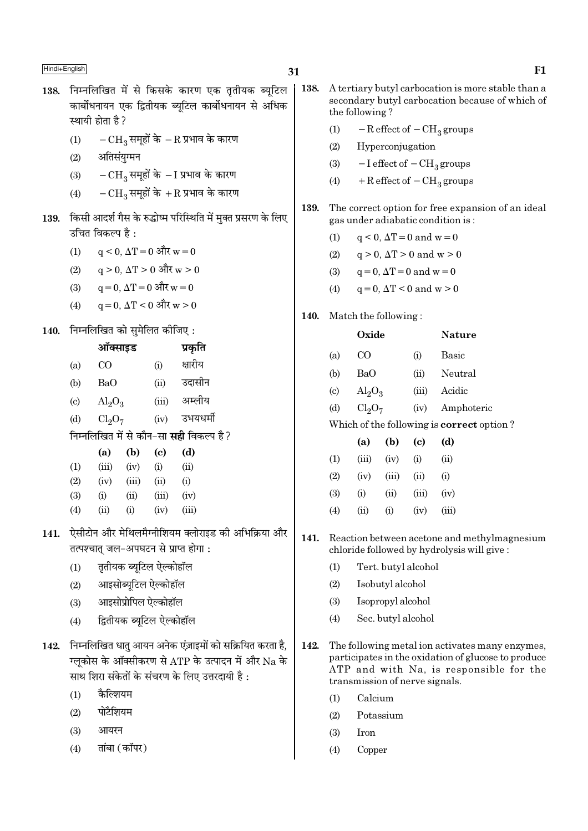138. निम्नलिखित में से किसके कारण एक ततीयक ब्यटिल कार्बोधनायन एक द्वितीयक ब्यटिल कार्बोधनायन से अधिक स्थायी होता है ?  $-CH_3$  समूहों के  $-R$  प्रभाव के कारण  $(1)$ अतिसंयुग्मन  $(2)$  $-CH_3$  समूहों के  $-I$  प्रभाव के कारण  $(3)$  $-CH_3$  समूहों के  $+R$  प्रभाव के कारण  $(4)$ किसी आदर्श गैस के रुद्धोष्म परिस्थिति में मुक्त प्रसरण के लिए 139. उचित विकल्प है :  $q \le 0$ ,  $\Delta T = 0$  और  $w = 0$  $(1)$  $q > 0$ ,  $\Delta T > 0$  और w > 0  $(2)$  $q = 0$ ,  $\Delta T = 0$  और  $w = 0$  $(3)$  $a = 0$ .  $\Delta T < 0$  और w > 0  $(4)$ 140. निम्नलिखित को सुमेलित कीजिए: ऑक्साइड प्रकृति क्षारीय  $CO$  $(a)$  $(i)$  $(b)$ B<sub>a</sub>O  $(ii)$ उदासीन अम्लीय  $(iii)$  $\left( \mathrm{c}\right)$  $\text{Al}_2\text{O}_3$  $(iv)$ उभयधर्मी  $(d)$  $Cl<sub>2</sub>O<sub>7</sub>$ निम्नलिखित में से कौन-सा **सही** विकल्प है ?  $(a)$  $(b)$  $\left( \text{c} \right)$  $(d)$  $(1)$  $(iii)$  $(iv)$  $(i)$  $(ii)$  $(2)$  $(iv)$  $(iii)$  $(ii)$  $(i)$  $(3)$  $(i)$  $(ii)$  $(iii)$  $(iv)$  $(4)$  $(ii)$  $(i)$  $(iv)$  $(iii)$ 141. ऐसीटोन और मेथिलमैग्नीशियम क्लोराइड की अभिक्रिया और तत्पश्चात् जल-अपघटन से प्राप्त होगा: तृतीयक ब्यूटिल ऐल्कोहॉल  $(1)$ आइसोब्यटिल ऐल्कोहॉल  $(2)$ आइसोप्रोपिल ऐल्कोहॉल  $(3)$ द्वितीयक ब्यूटिल ऐल्कोहॉल  $(4)$ 

- 142. निम्नलिखित धातु आयन अनेक एंज़ाइमों को सक्रियित करता है, ग्लूकोस के ऑक्सीकरण से ATP के उत्पादन में और Na के साथ शिरा संकेतों के संचरण के लिए उत्तरदायी है :
	- कैल्शियम  $(1)$
	- पोटैशियम  $(2)$
	- $(3)$ आयरन
	- तांबा (कॉपर)  $(4)$
- 138. A tertiary butyl carbocation is more stable than a secondary butyl carbocation because of which of the following?
	- $(1)$  $-R$  effect of  $-CH<sub>3</sub>$  groups
	- $(2)$ Hyperconjugation
	- $(3)$  $-I$  effect of  $-CH<sub>3</sub>$  groups
	- $+$  R effect of  $-$  CH<sub>3</sub> groups  $(4)$
- The correct option for free expansion of an ideal 139. gas under adiabatic condition is:
	- $q \leq 0$ ,  $\Delta T = 0$  and  $w = 0$  $(1)$
	- $q > 0$ ,  $\Delta T > 0$  and  $w > 0$  $(2)$
	- $(3)$  $q=0$ ,  $\Delta T=0$  and  $w=0$
	- $(4)$  $q = 0$ ,  $\Delta T < 0$  and  $w > 0$
- 140. Match the following:

|     | Oxide                   |                                                                                                           | Nature                                           |
|-----|-------------------------|-----------------------------------------------------------------------------------------------------------|--------------------------------------------------|
| (a) | CO                      | (i)                                                                                                       | Basic                                            |
| (b) | BaO                     | (ii)                                                                                                      | Neutral                                          |
| (c) | $\text{Al}_2\text{O}_3$ | (iii)                                                                                                     | Acidic                                           |
| (d) | $Cl_2O_7$               | (iv)                                                                                                      | Amphoteric                                       |
|     |                         |                                                                                                           | Which of the following is <b>correct</b> option? |
|     |                         | $\lambda$ , $\lambda$ , $\lambda$ , $\lambda$ , $\lambda$ , $\lambda$ , $\lambda$ , $\lambda$ , $\lambda$ |                                                  |

|     | (a)      | (b)    | (C)   | (d)   |
|-----|----------|--------|-------|-------|
| (1) | (iii)    | (iv)   | (i)   | (ii)  |
| (2) | (iv)     | (iii)  | (ii)  | (i)   |
| (3) | $\rm(i)$ | $\sin$ | (iii) | (iv)  |
| (4) | (ii)     | (i)    | (iv)  | (iii) |

- 141. Reaction between acetone and methylmagnesium chloride followed by hydrolysis will give:
	- Tert. butyl alcohol  $(1)$
	- $(2)$ Isobutyl alcohol
	- $(3)$ Isopropyl alcohol
	- Sec. butvl alcohol  $(4)$
- 142. The following metal ion activates many enzymes, participates in the oxidation of glucose to produce ATP and with Na, is responsible for the transmission of nerve signals.
	- $(1)$ Calcium
	- $(2)$ Potassium
	- $(3)$ Iron
	- $(4)$ Copper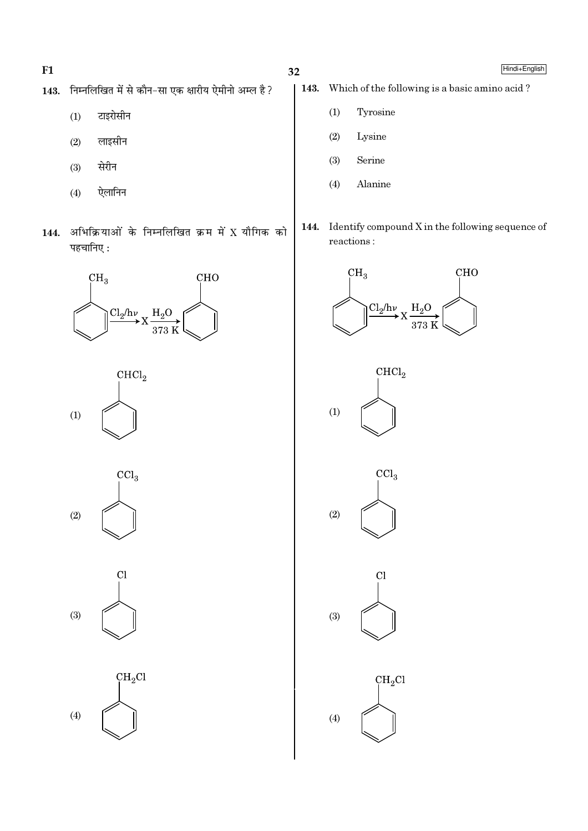- $F1$
- 143. निम्नलिखित में से कौन-सा एक क्षारीय ऐमीनो अम्ल है?
	- टाइरोसीन  $(1)$
	- लाइसीन  $(2)$
	- $(3)$ सेरीन
	- ऐलानिन  $(4)$
- 144. अभिक्रियाओं के निम्नलिखित क्रम में X यौगिक को पहचानिए:





 $\overline{\text{CCl}}_3$  $(2)$ 



 $CH<sub>2</sub>Cl$  $(4)$ 

- Which of the following is a basic amino acid? 143.
	- Tyrosine  $(1)$
	- $(2)$ Lysine
	- $(3)$ Serine
	- $(4)$ Alanine
- 144. Identify compound X in the following sequence of reactions:









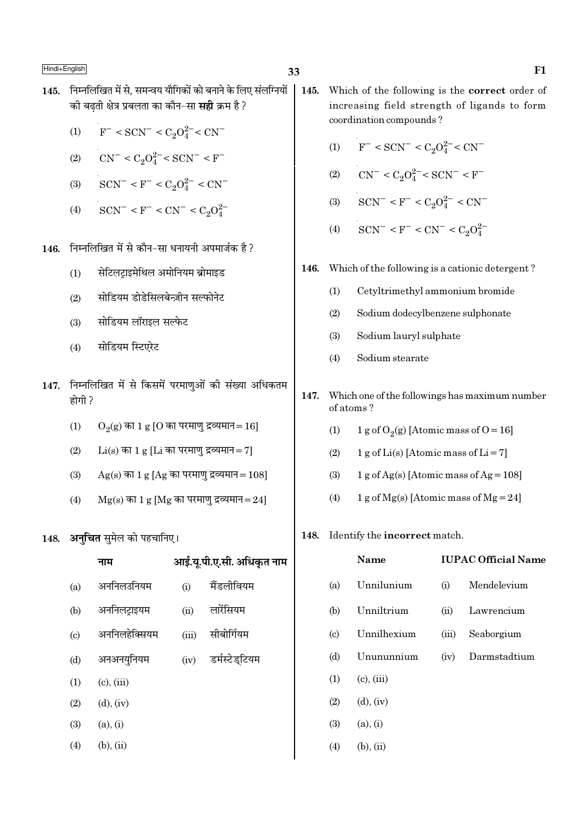- 145. निम्नलिखित में से. समन्वय यौगिकों को बनाने के लिए संलग्नियों की बढती क्षेत्र प्रबलता का कौन–सा **सही** क्रम है ?
	- $F^-$  < SCN<sup>-</sup> < C<sub>2</sub>O<sub>4</sub><sup>2</sup><sup>-</sup> < CN<sup>-</sup>  $(1)$
	- $CN^{-} < C_2O_4^{2-} < SCN^{-} < F^{-}$  $(2)$
	- $SCN^{-} < F^{-} < C_2O_4^{2-} < CN^{-}$  $(3)$
	- $SCN^- < F^- < CN^- < C_2O_4^{2-}$  $(4)$
- 146. निम्नलिखित में से कौन-सा धनायनी अपमार्जक है ?
	- सेटिलटाइमेथिल अमोनियम ब्रोमाइड  $(1)$
	- सोडियम डोडेसिलबेन्ज़ीन सल्फोनेट  $(2)$
	- सोडियम लॉराइल सल्फेट  $(3)$
	- सोडियम स्टिएरेट  $(4)$
- 147. निम्नलिखित में से किसमें परमाणुओं की संख्या अधिकतम होगी ?
	- $(1)$  $O_2(g)$  का 1 g [O का परमाणु द्रव्यमान = 16]
	- $Li(s)$  का 1 g [Li का परमाणु द्रव्यमान = 7]  $(2)$
	- $Ag(s)$  का 1 g [Ag का परमाणु द्रव्यमान=108]  $(3)$
	- $Mg(s)$  का 1 g [Mg का परमाणु द्रव्यमान=24]  $(4)$

### 148. अनचित समेल को पहचानिए।

|                           | नाम             |       | आई.यू.पी.ए.सी. अधिकृत नाम |
|---------------------------|-----------------|-------|---------------------------|
| (a)                       | अननिलउनियम      | (i)   | मैंडलीवियम                |
| (b)                       | अननिलट्राइयम    | (ii)  | लारेंसियम                 |
| $\left( \text{c} \right)$ | अननिलहेक्सियम   | (iii) | सीबोर्गियम                |
| (d)                       | अनअनयुनियम      | (iv)  | डर्मस्टेड्टियम            |
| (1)                       | $(c)$ , $(iii)$ |       |                           |
| (2)                       | $(d)$ , $(iv)$  |       |                           |
| (3)                       | (a), (i)        |       |                           |
| (4)                       | $(b)$ , $(ii)$  |       |                           |
|                           |                 |       |                           |

- 145. Which of the following is the correct order of increasing field strength of ligands to form coordination compounds?
	- $F^{-}$  < SCN<sup>-</sup> < C<sub>2</sub>O<sub>4</sub><sup>2</sup><sup>-</sup> < CN<sup>-</sup>  $(1)$
	- $CN^{-} < C_2O_4^{2-} < SCN^{-} < F^{-}$  $(2)$
	- $SCN^- < F^- < C_2O_4^{2-} < CN^ (3)$
	- $SCN^- < F^- < CN^- < C_2O_4^{2-}$  $(4)$

#### Which of the following is a cationic detergent? 146.

- $(1)$ Cetyltrimethyl ammonium bromide
- $(2)$ Sodium dodecylbenzene sulphonate
- $(3)$ Sodium lauryl sulphate
- $(4)$ Sodium stearate
- 147. Which one of the followings has maximum number of atoms?
	- $(1)$ 1 g of  $O_2(g)$  [Atomic mass of O = 16]
	- $(2)$ 1 g of Li(s) [Atomic mass of Li = 7]
	- $(3)$ 1 g of Ag(s) [Atomic mass of Ag =  $108$ ]
	- 1 g of Mg(s) [Atomic mass of Mg = 24]  $(4)$

# 148. Identify the incorrect match.

|     | <b>Name</b>       |       | <b>IUPAC Official Name</b> |
|-----|-------------------|-------|----------------------------|
| (a) | Unnilunium        | (i)   | Mendelevium                |
|     | (b) Unniltrium    |       | (ii) Lawrencium            |
|     | (c) Unnilhexium   | (iii) | Seaborgium                 |
|     | (d) Unununnium    |       | (iv) Darmstadtium          |
|     | $(1)$ (c), (iii)  |       |                            |
|     | $(2)$ $(d), (iv)$ |       |                            |
|     | $(3)$ $(a), (i)$  |       |                            |
|     |                   |       |                            |

 $(4)$  $(b)$ ,  $(ii)$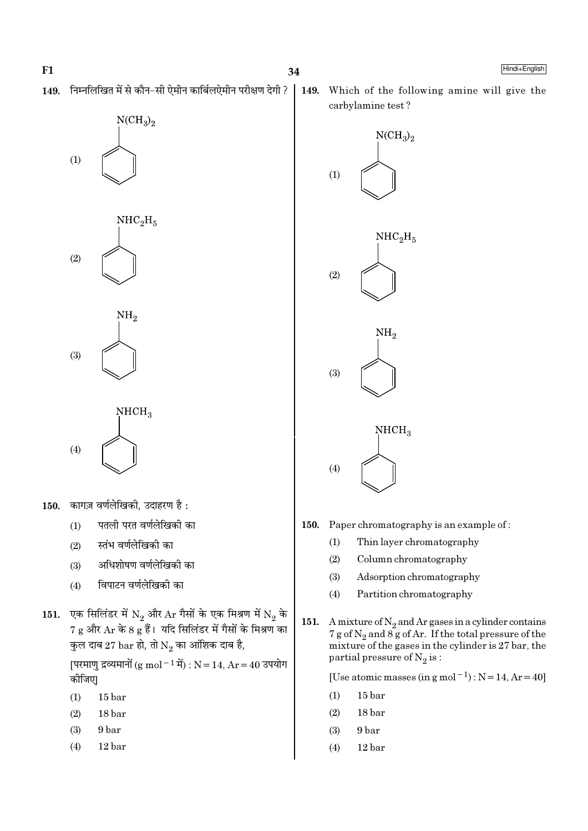$(1)$ 

निम्नलिखित में से कौन-सी ऐमीन कार्बिलऐमीन परीक्षण देगी ? 149.

 $NCH<sub>3</sub>$ <sub>2</sub>

 $NHC<sub>2</sub>H<sub>5</sub>$ 





- 150. Paper chromatography is an example of:
	- $(1)$ Thin layer chromatography
	- $(2)$ Column chromatography
	- Adsorption chromatography  $(3)$
	- $(4)$ Partition chromatography
- 151. A mixture of  $N_2$  and Ar gases in a cylinder contains 7 g of  $N_2$  and  $8g$  of Ar. If the total pressure of the mixture of the gases in the cylinder is 27 bar, the partial pressure of  $N_2$  is:

[Use atomic masses (in g mol<sup>-1</sup>) :  $N = 14$ ,  $Ar = 40$ ]

- $(1)$  $15<sub>bar</sub>$
- 18 bar  $(2)$
- $(3)$ 9 bar
- $(4)$ 12 bar



- कागज़ वर्णलेखिकी, उदाहरण है : 150.
	- पतली परत वर्णलेखिकी का  $(1)$
	- स्तंभ वर्णलेखिकी का  $(2)$
	- अधिशोषण वर्णलेखिको का  $(3)$
	- विपाटन वर्णलेखिकी का  $(4)$
- एक सिलिंडर में  $\mathrm{N}_2$  और  $\mathrm{Ar}$  गैसों के एक मिश्रण में  $\mathrm{N}_2$  के<br>7 g और  $\mathrm{Ar}$  के 8 g हैं। यदि सिलिंडर में गैसों के मिश्रण का 151. कुल दाब 27 bar हो, तो  $\mathrm{N}_2$  का आंशिक दाब है,

[परमाणु द्रव्यमानों (g mol<sup>-1</sup> में) : N = 14, Ar = 40 उपयोग कीजिए|

- $(1)$  $15<sub>bar</sub>$
- $(2)$ 18 bar
- $(3)$ 9<sub>bar</sub>
- $(4)$  $12<sub>bar</sub>$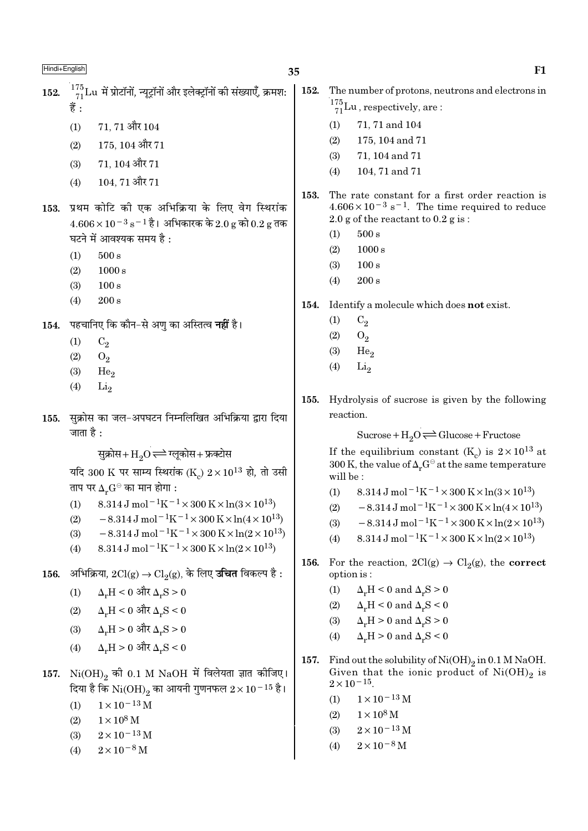$^{175}_{71}$ Lu में प्रोटॉनों, न्यूट्रॉनों और इलेक्ट्रॉनों की संख्याएँ, क्रमश: 152. 훔 .

> $(1)$ 71.71 और 104

- $(2)$  $175, 104$  और  $71$
- $71.104$  और  $71$  $(3)$
- 104, 71 और 71  $(4)$
- 153. प्रथम कोटि की एक अभिक्रिया के लिए वेग स्थिरांक  $4.606 \times 10^{-3}$  s<sup>-1</sup> है। अभिकारक के 2.0 g को 0.2 g तक घटने में आवश्यक समय है:
	- $(1)$  $500 s$
	- $(2)$  $1000 s$
	- $(3)$  $100 s$
	- $(4)$  $200 s$
- पहचानिए कि कौन–से अणु का अस्तित्व **नहीं** है। 154.
	- $(1)$  $C<sub>2</sub>$
	- $(2)$  $O<sub>2</sub>$
	- $(3)$ He<sub>o</sub>
	- $(4)$ Li<sub>2</sub>
- सुक्रोस का जल-अपघटन निम्नलिखित अभिक्रिया द्वारा दिया 155. जाता है :

सुक्रोस+ $\mathrm{H}_2\mathrm{O}$   $\rightleftharpoons$  ग्लूकोस+ फ्रक्टोस

यदि 300 K पर साम्य स्थिरांक (K)  $2 \times 10^{13}$  हो, तो उसी ताप पर  $\Delta_r G^\ominus$  का मान होगा :

- 8.314 J mol<sup>-1</sup>K<sup>-1</sup> × 300 K × ln(3 × 10<sup>13</sup>)  $(1)$
- $-8.314 \,\mathrm{J}$  mol<sup>-1</sup>K<sup>-1</sup>×300 K×ln(4×10<sup>13</sup>)  $(2)$
- $-8.314 \,\mathrm{J}$  mol<sup>-1</sup>K<sup>-1</sup>×300 K×ln(2×10<sup>13</sup>)  $(3)$
- $8.314 \,\mathrm{J}$  mol<sup>-1</sup>K<sup>-1</sup> × 300 K × ln(2 × 10<sup>13</sup>)  $(4)$
- अभिक्रिया,  $2\mathrm{Cl(g)} \rightarrow \mathrm{Cl}_2(g)$ , के लिए **उचित** विकल्प है : 156.
	- $\Delta_{\rm H}$  < 0 और  $\Delta_{\rm s}$ S > 0  $(1)$
	- $\Delta_{\rm u} H < 0$  और  $\Delta_{\rm u} S < 0$  $(2)$
	- $\Delta_r H > 0$  और  $\Delta_r S > 0$  $(3)$
	- $\Delta_v H > 0$  और  $\Delta_v S < 0$  $(4)$
- 157.  $Ni(OH)_{2}$  की 0.1 M NaOH में विलेयता ज्ञात कीजिए। दिया है कि  $\rm Ni(OH)_2$  का आयनी गुणनफल  $2 \times 10^{-15}$  है।
	- $1 \times 10^{-13}$  M  $(1)$
	- $1 \times 10^8$  M  $(2)$
	- $2 \times 10^{-13}$  M  $(3)$
	- $2 \times 10^{-8}$  M  $(4)$
- 152. The number of protons, neutrons and electrons in  $\frac{175}{71}$ Lu, respectively, are:
	- $(1)$ 71, 71 and 104
	- $(2)$ 175, 104 and 71
	- $(3)$ 71, 104 and 71
	- $(4)$ 104, 71 and 71
- 153. The rate constant for a first order reaction is  $4.606 \times 10^{-3}$  s<sup>-1</sup>. The time required to reduce 2.0 g of the reactant to  $0.2$  g is:
	- $500 s$  $(1)$
	- $1000 s$  $(2)$
	- $(3)$  $100 s$
	- $(4)$  $200 s$
- 154. Identify a molecule which does not exist.
	- $(1)$  $C<sub>2</sub>$
	- $O<sub>2</sub>$  $(2)$
	- $(3)$ He<sub>o</sub>
	- $(4)$ Li<sub>2</sub>
- Hydrolysis of sucrose is given by the following 155. reaction.

Sucrose +  $H_2O \rightleftharpoons Glucose + Fructose$ 

If the equilibrium constant  $(K_c)$  is  $2 \times 10^{13}$  at 300 K, the value of  $\Delta_r G^\ominus$  at the same temperature will be:

- $8.314 \,\mathrm{J} \,\mathrm{mol}^{-1} \mathrm{K}^{-1} \times 300 \,\mathrm{K} \times \ln(3 \times 10^{13})$  $(1)$
- $-8.314\,\mathrm{J\,mol^{-1}K^{-1}} \times 300\,\mathrm{K} \times \ln(4\times10^{13})$  $(2)$
- $-8.314 \,\mathrm{J}$  mol<sup>-1</sup>K<sup>-1</sup>×300 K×ln(2×10<sup>13</sup>)  $(3)$
- 8.314 J mol<sup>-1</sup>K<sup>-1</sup> × 300 K × ln(2 × 10<sup>13</sup>)  $(4)$
- For the reaction,  $2Cl(g) \rightarrow Cl_2(g)$ , the correct 156. option is:
	- $(1)$  $\Delta_r H < 0$  and  $\Delta_r S > 0$
	- $\Delta_r H < 0$  and  $\Delta_r S < 0$  $(2)$
	- $\Delta_r H > 0$  and  $\Delta_r S > 0$  $(3)$
	- $(4)$  $\Delta F = 0$  and  $\Delta F \le 0$
- 157. Find out the solubility of  $Ni(OH)_2$  in 0.1 M NaOH. Given that the ionic product of  $Ni(OH)_2$  is  $2 \times 10^{-15}$ .
	- $1 \times 10^{-13}$  M  $(1)$
	- $1 \times 10^8$  M  $(2)$
	- $2\times10^{-13}\,\mathrm{M}$  $(3)$
	- $2 \times 10^{-8}$  M  $(4)$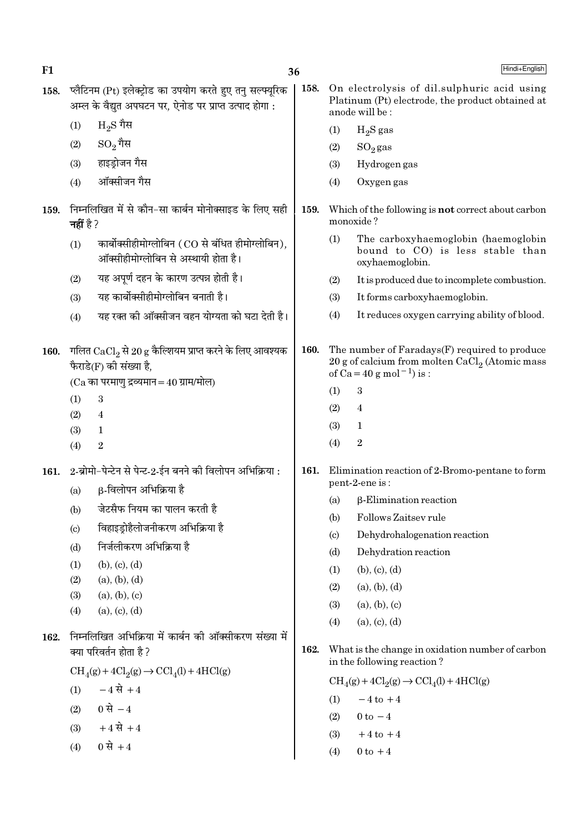158. प्लैटिनम (Pt) इलेक्ट्रोड का उपयोग करते हुए तनु सल्फ्यूरिक 158. On electrolysis of dil.sulphuric acid using Platinum (Pt) electrode, the product obtained at अम्ल के वैद्यत अपघटन पर. ऐनोड पर प्राप्त उत्पाद होगा : anode will be:  $_{\rm H_2S}$  गैस  $(1)$  $H<sub>2</sub>S$  gas  $(1)$  $\mathrm{SO}_2$ गैस  $(2)$  $(2)$  $SO<sub>2</sub>$ gas हाइडोजन गैस  $(3)$ Hydrogen gas  $(3)$ ऑक्सीजन गैस Oxvgen gas  $(4)$  $(4)$ 159. निम्नलिखित में से कौन-सा कार्बन मोनोक्साइड के लिए सही 159. Which of the following is not correct about carbon monoxide? नहीं है ?  $(1)$ The carboxyhaemoglobin (haemoglobin कार्बोक्सीहीमोग्लोबिन (CO से बंधित हीमोग्लोबिन),  $(1)$ bound to CO) is less stable than ऑक्सीहीमोग्लोबिन से अस्थायी होता है। oxyhaemoglobin. यह अपर्ण दहन के कारण उत्पन्न होती है।  $(2)$  $(2)$ It is produced due to incomplete combustion. यह कार्बोक्सीहीमोग्लोबिन बनाती है। It forms carboxyhaemoglobin.  $(3)$  $(3)$ It reduces oxygen carrying ability of blood. यह रक्त की ऑक्सीजन वहन योग्यता को घटा देती है।  $(4)$  $(4)$ 160. The number of Faradays(F) required to produce 160. गलित CaCl<sub>2</sub> से 20 g कैल्शियम प्राप्त करने के लिए आवश्यक 20 g of calcium from molten CaCl<sub>2</sub> (Atomic mass फैराडे(F) की संख्या है. of  $Ca = 40 g$  mol<sup>-1</sup>) is :  $(Ca$  का परमाणु द्रव्यमान = 40 ग्राम/मोल) 3  $(1)$  $(1)$ 3  $\overline{4}$  $(2)$  $(2)$  $\overline{4}$  $(3)$  $\mathbf 1$  $(3)$  $\mathbf{1}$  $\overline{2}$  $(4)$  $(4)$  $\overline{2}$ 2-ब्रोमो-पेन्टेन से पेन्ट-2-ईन बनने की विलोपन अभिक्रिया : 161. Elimination reaction of 2-Bromo-pentane to form  $161.$ pent-2-ene is: β-विलोपन अभिक्रिया है  $(a)$ **B-Elimination reaction**  $(a)$ जेटसैफ नियम का पालन करती है  $(b)$  $(h)$ Follows Zaitsev rule विहाइडोहैलोजनीकरण अभिक्रिया है  $(c)$  $\left( \text{c} \right)$ Dehydrohalogenation reaction निर्जलीकरण अभिक्रिया है  $(d)$ Dehydration reaction  $(d)$  $(b)$ ,  $(c)$ ,  $(d)$  $(1)$  $(1)$  $(b)$ ,  $(c)$ ,  $(d)$  $(2)$  $(a)$ ,  $(b)$ ,  $(d)$  $(2)$  $(a), (b), (d)$  $(3)$  $(a)$ ,  $(b)$ ,  $(c)$  $(a), (b), (c)$  $(3)$  $(a), (c), (d)$  $(4)$  $(a), (c), (d)$  $(4)$ 162. निम्नलिखित अभिक्रिया में कार्बन की ऑक्सीकरण संख्या में 162. क्या परिवर्तन होता है ? What is the change in oxidation number of carbon in the following reaction?  $CH<sub>4</sub>(g) + 4Cl<sub>2</sub>(g) \rightarrow CCl<sub>4</sub>(l) + 4HCl(g)$  $\text{CH}_4(g) + 4\text{Cl}_2(g) \rightarrow \text{CCl}_4(l) + 4\text{HCl}(g)$  $(1)$   $-4 \vec{R} + 4$  $-4$  to  $+4$  $(1)$ 0 से  $-4$  $(2)$  $(2)$  $0 \text{ to } -4$  $+4 \vec{R} + 4$  $(3)$  $+4$  to  $+4$  $(3)$ 0 से +4  $(4)$  $(4)$  $0 \text{ to } +4$ 

36

Hindi+English

 $F1$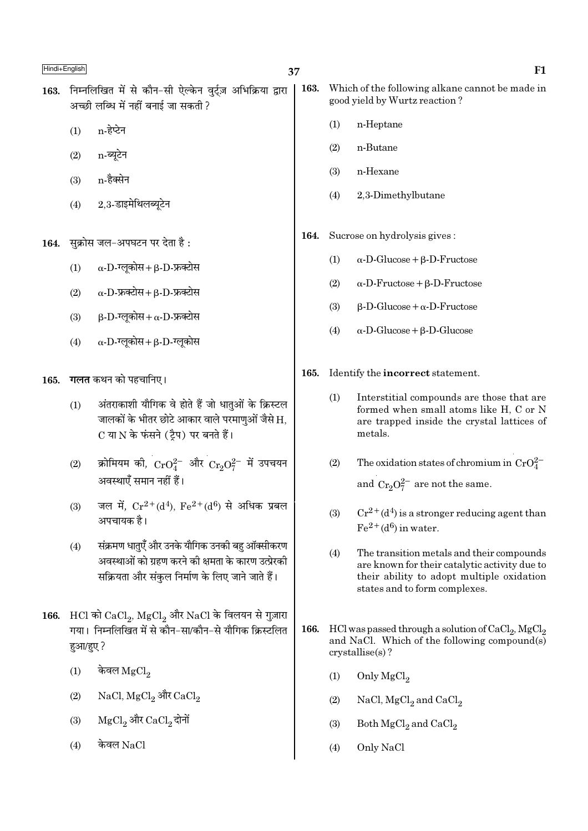- 163. निम्नलिखित में से कौन-सी ऐल्केन वर्टज़ अभिक्रिया द्वारा अच्छी लब्धि में नहीं बनाई जा सकती ?
	- $(1)$ n-हेप्टेन
	- $(2)$ n-ब्यूटेन
	- n-हैक्सेन  $(3)$
	- 2.3-डाइमेथिलब्यूटेन  $(4)$
- सुक्रोस जल-अपघटन पर देता है : 164.
	- $\alpha$ -D-ग्लूकोस+ $\beta$ -D-फ्रक्टोस  $(1)$
	- $\alpha$ -D-फ्रक्टोस +  $\beta$ -D-फ्रक्टोस  $(2)$
	- $\beta$ -D-ग्लूकोस+  $\alpha$ -D-फ्रक्टोस  $(3)$
	- $\alpha$ -D-ग्लूकोस+ $\beta$ -D-ग्लूकोस  $(4)$
- 165. गलत कथन को पहचानिए।
	- अंतराकाशी यौगिक वे होते हैं जो धातुओं के क्रिस्टल  $(1)$ जालकों के भीतर छोटे आकार वाले परमाणुओं जैसे H, C या N के फंसने (टैप) पर बनते हैं।
	- क्रोमियम की,  $\rm CrO_4^{2-}$  और  $\rm Cr_2O_7^{2-}$  में उपचयन  $(2)$ अवस्थाएँ समान नहीं हैं।
	- जल में,  $Cr^{2+}(d^4)$ ,  $Fe^{2+}(d^6)$  से अधिक प्रबल  $(3)$ अपचायक है।
	- संक्रमण धातएँ और उनके यौगिक उनकी बह ऑक्सीकरण  $(4)$ अवस्थाओं को ग्रहण करने की क्षमता के कारण उत्प्रेरकी सक्रियता और संकुल निर्माण के लिए जाने जाते हैं।
- 166. HCl को  $CaCl<sub>2</sub>$ , MgCl<sub>2</sub> और NaCl के विलयन से गुज़ारा गया। निम्नलिखित में से कौन-सा/कौन-से यौगिक क्रिस्टलित हआ/हए?
	- केवल  $MgCl<sub>2</sub>$  $(1)$
	- $(2)$ NaCl, MgCl<sub>2</sub> और CaCl<sub>2</sub>
	- MgCl, और CaCl, दोनों  $(3)$
	- केवल  $NaCl$  $(4)$
- 163. Which of the following alkane cannot be made in good yield by Wurtz reaction?
	- n-Heptane  $(1)$
	- $(2)$ n-Butane
	- $(3)$ n-Hexane
	- $(4)$ 2.3-Dimethylbutane
- Sucrose on hydrolysis gives: 164.
	- $(1)$  $\alpha$ -D-Glucose +  $\beta$ -D-Fructose
	- $(2)$  $\alpha$ -D-Fructose +  $\beta$ -D-Fructose
	- $(3)$  $\beta$ -D-Glucose +  $\alpha$ -D-Fructose
	- $(4)$  $\alpha$ -D-Glucose + B-D-Glucose
- 165. Identify the incorrect statement.
	- $(1)$ Interstitial compounds are those that are formed when small atoms like H, C or N are trapped inside the crystal lattices of metals.
	- $(2)$ The oxidation states of chromium in  $CrO_4^{2-}$ and  $Cr_2O_7^{2-}$  are not the same.
	- $(3)$  $Cr^{2+}(d^4)$  is a stronger reducing agent than  $Fe<sup>2+</sup>(d<sup>6</sup>)$  in water.
	- $(4)$ The transition metals and their compounds are known for their catalytic activity due to their ability to adopt multiple oxidation states and to form complexes.
- 166. HCl was passed through a solution of  $CaCl<sub>2</sub>$ , MgCl<sub>2</sub> and NaCl. Which of the following compound(s)  $crystalise(s)$ ?
	- Only MgCl<sub>2</sub>  $(1)$
	- $(2)$ NaCl,  $MgCl<sub>2</sub>$  and  $CaCl<sub>2</sub>$
	- $(3)$ Both  $MgCl<sub>2</sub>$  and  $CaCl<sub>2</sub>$
	- $(4)$ Only NaCl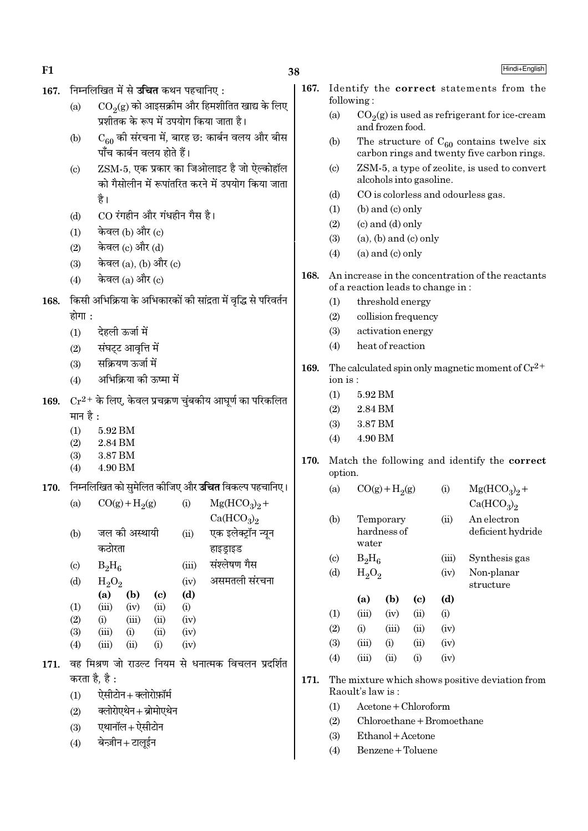Hindi+English

- निम्नलिखित में से **उचित** कथन पहचानिए: 167.
	- $CO<sub>9</sub>(g)$  को आइसक्रीम और हिमशीतित खाद्य के लिए  $(a)$ प्रशीतक के रूप में उपयोग किया जाता है।
	- $C_{60}$  की संरचना में, बारह छ: कार्बन वलय और बीस  $(h)$ पाँच कार्बन वलय होते हैं।
	- ZSM-5. एक प्रकार का जिओलाइट है जो ऐल्कोहॉल  $(c)$ को गैसोलीन में रूपांतरित करने में उपयोग किया जाता है।
	- CO रंगहीन और गंधहीन गैस है।  $(d)$
	- केवल (b) और (c)  $(1)$
	- केवल (c) और (d)  $(2)$
	- केवल (a), (b) और (c)  $(3)$
	- केवल  $(a)$  और  $(c)$  $(4)$
- 168. किसी अभिक्रिया के अभिकारकों की सांद्रता में वृद्धि से परिवर्तन होगा :
	- देहली ऊर्जा में  $(1)$
	- संघट्ट आवृत्ति में  $(2)$
	- सक्रियण ऊर्जा में  $(3)$
	- अभिक्रिया को ऊष्मा में  $(4)$
- 169.  $Cr^{2+}$  के लिए, केवल प्रचक्रण चुंबकीय आघूर्ण का परिकलित मान है :
	- 5.92 BM  $(1)$
	- $(2)$ 2.84 BM
	- 3.87 BM  $(3)$
	- $(4)$ 4.90 BM
- निम्नलिखित को सुमेलित कीजिए और **उचित** विकल्प पहचानिए। 170.

| (a)                       | $CO(g) + H2(g)$ |               | (i)  | $Mg(HCO3)2 +$ |                                    |
|---------------------------|-----------------|---------------|------|---------------|------------------------------------|
|                           |                 |               |      |               | Ca(HCO <sub>3</sub> ) <sub>2</sub> |
| (b)                       |                 | जल की अस्थायी |      | (ii)          | एक इलेक्ट्रॉन न्यून                |
|                           | कठोरता          |               |      |               | हाइड्राइड                          |
| $\left( \text{c} \right)$ | $B_2H_6$        |               |      | (iii)         | संश्लेषण गैस                       |
| (d)                       | $H_2O_2$        |               |      | (iv)          | असमतली संरचना                      |
|                           | (a)             | (b)           | (c)  | (d)           |                                    |
| (1)                       | (iii)           | (iv)          | (ii) | (i)           |                                    |
| (2)                       | (i)             | (iii)         | (ii) | (iv)          |                                    |
| (3)                       | (iii)           | (i)           | (ii) | (iv)          |                                    |
| (4)                       | (iii)           | (ii)          | (i)  | (iv)          |                                    |
|                           |                 |               |      |               |                                    |

- 171. वह मिश्रण जो राउल्ट नियम से धनात्मक विचलन प्रदर्शित करता है. है :
	- ऐसीटोन+क्लोरोफ़ॉर्म  $(1)$
	- क्लोरोएथेन+ब्रोमोएथेन  $(2)$
	- एथानॉल+ ऐसीटोन  $(3)$
	- बेन्ज़ीन+टालुईन  $(4)$
- 167. Identify the correct statements from the following:
	- $(a)$  $CO<sub>2</sub>(g)$  is used as refrigerant for ice-cream and frozen food.
	- The structure of  $C_{60}$  contains twelve six  $(b)$ carbon rings and twenty five carbon rings.
	- ZSM-5, a type of zeolite, is used to convert  $(c)$ alcohols into gasoline.
	- CO is colorless and odourless gas.  $(d)$
	- (b) and (c) only  $(1)$
	- $(2)$  $(c)$  and  $(d)$  only
	- $(a)$ ,  $(b)$  and  $(c)$  only  $(3)$
	- $(a)$  and  $(c)$  only  $(4)$
- 168. An increase in the concentration of the reactants of a reaction leads to change in:
	- threshold energy  $(1)$
	- collision frequency  $(2)$
	- $(3)$ activation energy
	- heat of reaction  $(4)$
- 169. The calculated spin only magnetic moment of  $Cr^{2+}$ ion is:
	- $(1)$ 5.92 BM
	- $(2)$ 2.84 BM
	- 3.87 BM  $(3)$
	- 4.90 BM  $(4)$
- 170. Match the following and identify the correct option.

| (a) | $CO(g) + H2(g)$ | (i)   | $Mg(HCO3)2 +$                      |
|-----|-----------------|-------|------------------------------------|
|     |                 |       | Ca(HCO <sub>3</sub> ) <sub>2</sub> |
| (b) | Temporary       | (ii)  | An electron                        |
|     | hardness of     |       | deficient hydride                  |
|     | water           |       |                                    |
| (c) | $B_2H_6$        | (iii) | Synthesis gas                      |
| (d) | $H_2O_2$        | (iv)  | Non-planar                         |

structure

|                   | (a)      | (b)    | (c)       | (d)  |
|-------------------|----------|--------|-----------|------|
| (1)               | (iii)    | (iv)   | (ii)      | (i)  |
| (2)               | $\rm(i)$ | (iii)  | (ii)      | (iv) |
| <b>(3)</b>        | (iii)    | (i)    | (ii)      | (iv) |
| $\left( 4\right)$ | (iii)    | $\sin$ | $\rm (i)$ | (iv) |

- 171. The mixture which shows positive deviation from Raoult's law is:
	- $A$ cetone + Chloroform  $(1)$
	- Chloroethane + Bromoethane  $(2)$
	- $(3)$ Ethanol + Acetone
	- $(4)$ Benzene + Toluene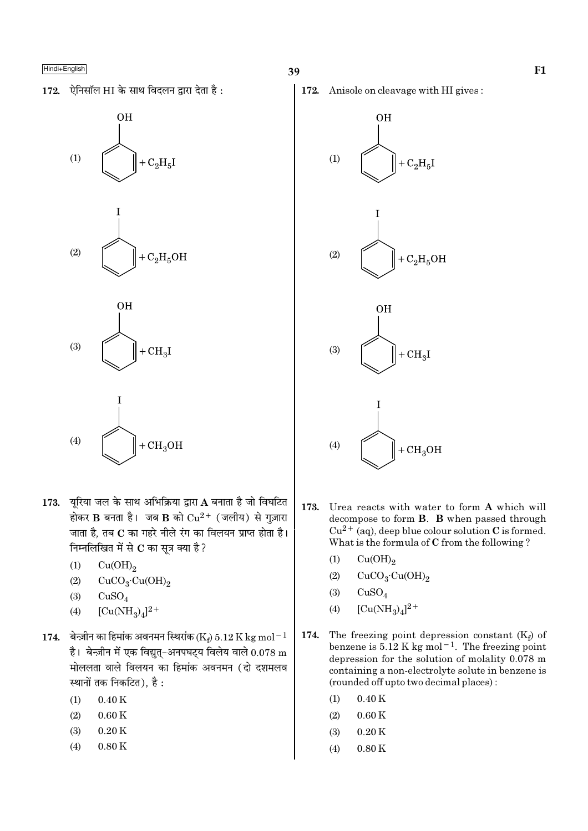

- 173. यरिया जल के साथ अभिक्रिया द्वारा A बनाता है जो विघटित होकर B बनता है। जब B को  $Cu^{2+}$  (जलीय) से गुज़ारा जाता है, तब C का गहरे नीले रंग का विलयन प्राप्त होता है। निम्नलिखित में से  $\bf C$  का सूत्र क्या है ?
	- $(1)$  $Cu(OH)<sub>2</sub>$
	- $(2)$  $CuCO<sub>3</sub>·Cu(OH)<sub>2</sub>$
	- $(3)$  $CuSO<sub>4</sub>$
	- $[Cu(NH<sub>2</sub>)<sub>4</sub>]<sup>2+</sup>$  $(4)$
- 174. बेन्ज़ीन का हिमांक अवनमन स्थिरांक (Ke) 5.12 K kg mol<sup>-1</sup> है। बेन्ज़ीन में एक विद्युत्-अनपघट्य विलेय वाले  $0.078$  m मोललता वाले विलयन का हिमांक अवनमन (दो दशमलव स्थानों तक निकटित), है:
	- $0.40K$  $(1)$
	- $(2)$  $0.60K$
	- $(3)$  $0.20K$
	- $(4)$  $0.80K$

172. Anisole on cleavage with HI gives:



- 173. Urea reacts with water to form A which will decompose to form **B**. **B** when passed through  $Cu^{2+}$  (aq), deep blue colour solution C is formed. What is the formula of C from the following?
	- $(1)$  $Cu(OH)_{2}$
	- $(2)$  $CuCO<sub>3</sub>·Cu(OH)<sub>2</sub>$
	- $(3)$  $CuSO<sub>4</sub>$
	- $[Cu(NH_3)_4]^{2+}$  $(4)$
- The freezing point depression constant  $(K_f)$  of 174. benzene is  $5.12$  K kg mol<sup>-1</sup>. The freezing point depression for the solution of molality 0.078 m containing a non-electrolyte solute in benzene is (rounded off upto two decimal places):
	- $(1)$  $0.40K$
	- $(2)$  $0.60K$
	- $0.20K$  $(3)$
	- $(4)$  $0.80K$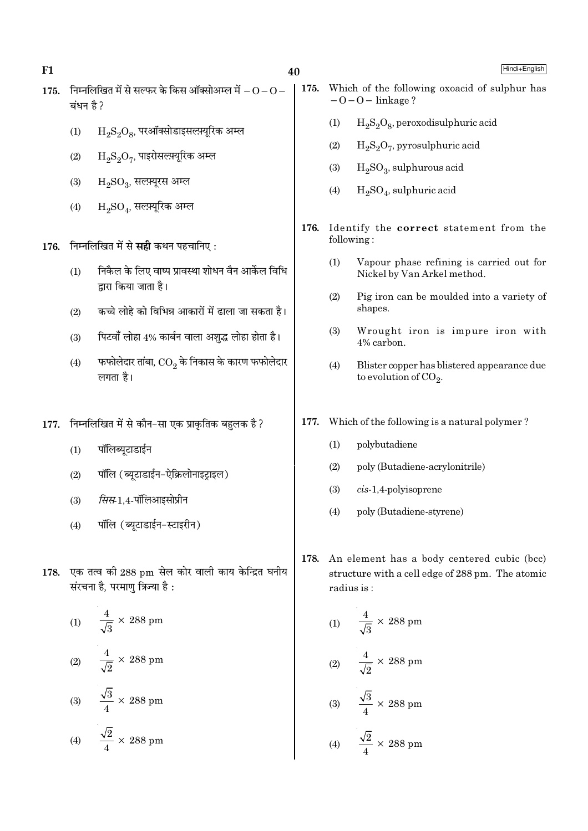- 175. निम्नलिखित में से सल्फर के किस ऑक्सोअम्ल में  $-0-0-$ ਕਂधन है ?
	- $\rm H_2S_2O_8$ , परऑक्सोडाइसल्फ़्यूरिक अम्ल  $(1)$
	- $(2)$  $\rm H_2S_2O_7$ , पाइरोसल्फ़्यूरिक अम्ल
	- $H_2SO_3$ , सलम्यूरस अम्ल  $(3)$
	- $H_2SO_4$ , सल्फ़्यूरिक अम्ल  $(4)$

176. निम्नलिखित में से सही कथन पहचानिए:

- निकैल के लिए वाष्प प्रावस्था शोधन वैन आर्केल विधि  $(1)$ द्गारा किया जाता है।
- कच्चे लोहे को विभिन्न आकारों में ढाला जा सकता है।  $(2)$
- पिटवाँ लोहा 4% कार्बन वाला अशुद्ध लोहा होता है।  $(3)$
- फफोलेदार तांबा,  $\mathop{\rm CO}_2$  के निकास के कारण फफोलेदार  $(4)$ लगता है।
- 177. निम्नलिखित में से कौन-सा एक प्राकृतिक बहुलक है?
	- पॉलिब्युटाडाईन  $(1)$
	- पॉलि (ब्यूटाडाईन-ऐक्रिलोनाइट्राइल)  $(2)$
	- *सिस*-1,4-पॉलिआइसोप्रीन  $(3)$
	- पॉलि (ब्यूटाडाईन-स्टाइरीन)  $(4)$
- 178. एक तत्व की 288 pm सेल कोर वाली काय केन्द्रित घनीय संरचना है, परमाणु त्रिज्या है:

(1) 
$$
\frac{4}{\sqrt{3}} \times 288 \text{ pm}
$$
  
(2) 
$$
\frac{4}{\sqrt{2}} \times 288 \text{ pm}
$$
  
(3) 
$$
\frac{\sqrt{3}}{4} \times 288 \text{ pm}
$$
  
(4) 
$$
\frac{\sqrt{2}}{4} \times 288 \text{ pm}
$$

- 175. Which of the following oxoacid of sulphur has  $-0-0$  – linkage?
	- $H_2S_2O_8$ , peroxodisulphuric acid  $(1)$
	- $H_2S_2O_7$ , pyrosulphuric acid  $(2)$
	- $H_2SO_3$ , sulphurous acid  $(3)$
	- $H<sub>2</sub>SO<sub>4</sub>$ , sulphuric acid  $(4)$
- 176. Identify the correct statement from the following:
	- $(1)$ Vapour phase refining is carried out for Nickel by Van Arkel method.
	- $(2)$ Pig iron can be moulded into a variety of shapes.
	- $(3)$ Wrought iron is impure iron with 4% carbon.
	- $(4)$ Blister copper has blistered appearance due to evolution of  $CO<sub>2</sub>$ .
- 177. Which of the following is a natural polymer?
	- polybutadiene  $(1)$
	- $(2)$ poly (Butadiene-acrylonitrile)
	- $(3)$  $cis-1,4$ -polyisoprene
	- poly (Butadiene-styrene)  $(4)$
- 178. An element has a body centered cubic (bcc) structure with a cell edge of 288 pm. The atomic radius is:

(1) 
$$
\frac{4}{\sqrt{3}} \times 288 \text{ pm}
$$
  
(2) 
$$
\frac{4}{\sqrt{2}} \times 288 \text{ pm}
$$
  
(3) 
$$
\frac{\sqrt{3}}{4} \times 288 \text{ pm}
$$
  
(4) 
$$
\frac{\sqrt{2}}{4} \times 288 \text{ pm}
$$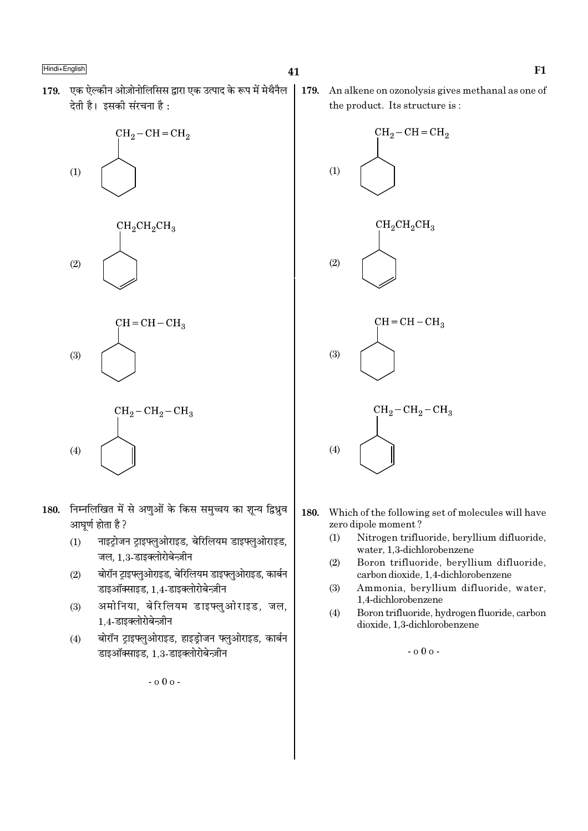179. एक ऐल्कीन ओज़ोनोलिसिस द्वारा एक उत्पाद के रूप में मेथैनैल देती है। इसकी संरचना है:









- 180. निम्नलिखित में से अणुओं के किस समुच्चय का शून्य द्विध्रुव आघूर्ण होता है ?
	- नाइट्रोजन ट्राइफ्लुओराइड, बेरिलियम डाइफ्लुओराइड,  $(1)$ जल. 1.3-डाइक्लोरोबेन्ज़ीन
	- बोरॉन टाइफ्लुओराइड, बेरिलियम डाइफ्लुओराइड, कार्बन  $(2)$ डाइऑक्साइड, 1.4-डाइक्लोरोबेन्ज़ीन
	- अमोनिया. बेरिलियम डाइफ्लओराइड. जल.  $(3)$ 1.4-डाइक्लोरोबेन्ज़ीन
	- बोरॉन ट्राइफ्लुओराइड, हाइड्रोजन फ्लुओराइड, कार्बन  $(4)$ डाइऑक्साइड, 1.3-डाइक्लोरोबेन्ज़ीन

 $-000-$ 

179. An alkene on ozonolysis gives methanal as one of the product. Its structure is:



- 180. Which of the following set of molecules will have zero dipole moment?
	- Nitrogen trifluoride, bervllium difluoride.  $(1)$ water, 1.3-dichlorobenzene
	- $(2)$ Boron trifluoride, beryllium difluoride, carbon dioxide, 1,4-dichlorobenzene
	- Ammonia, beryllium difluoride, water,  $(3)$ 1,4-dichlorobenzene
	- $(4)$ Boron trifluoride, hydrogen fluoride, carbon dioxide, 1,3-dichlorobenzene
		- $-000 -$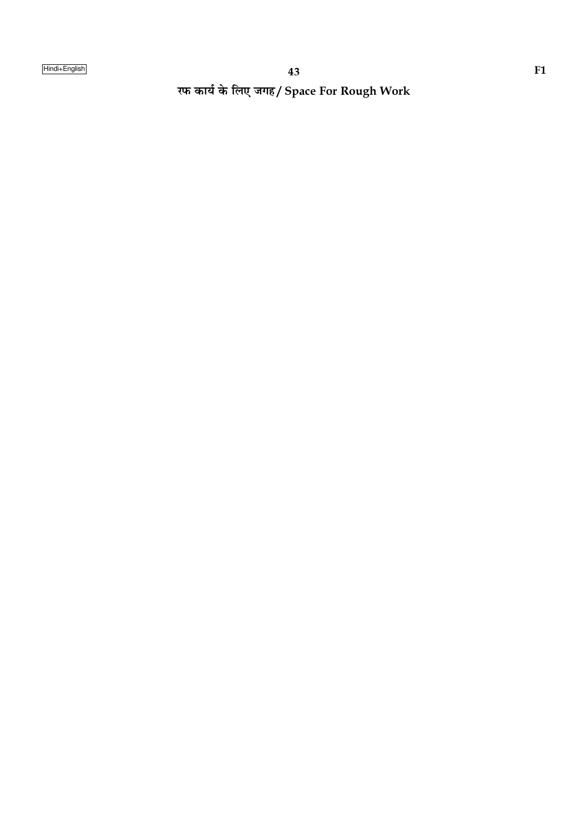रफ कार्य के लिए जगह/ Space For Rough Work